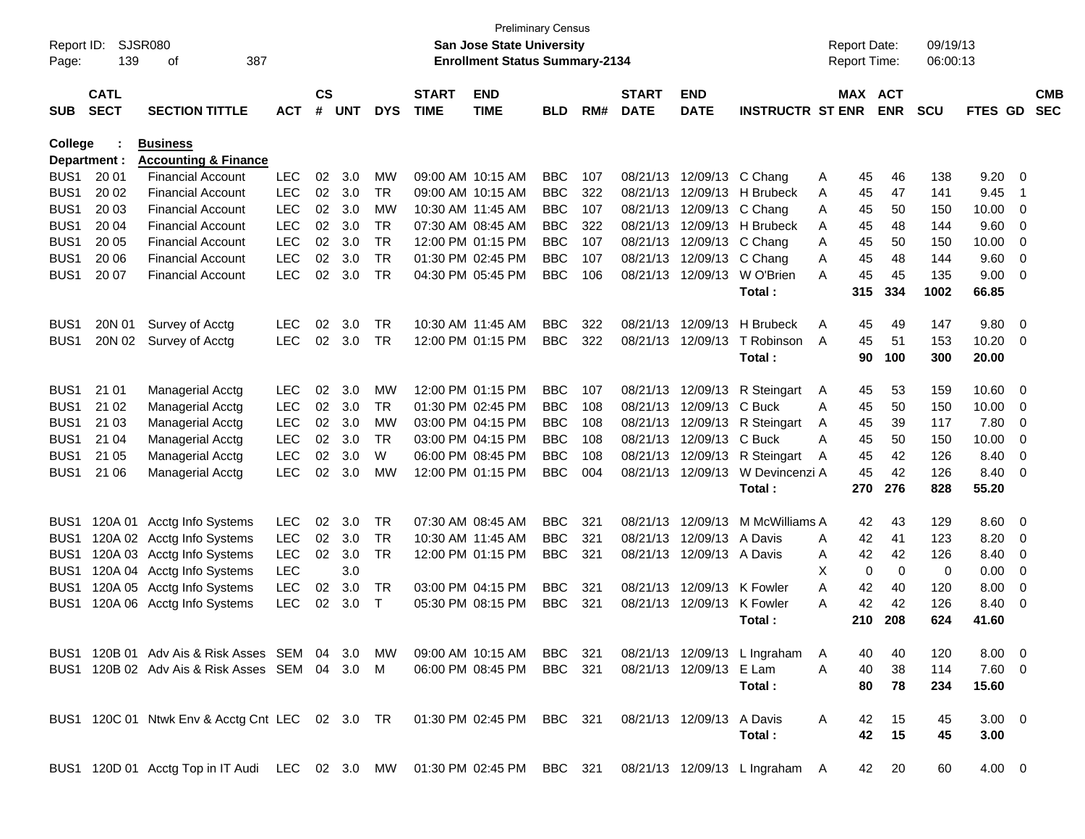| Report ID:<br>Page: | 139                        | SJSR080<br>387<br>οf                                                                                     |            |                    |            |            |                             | <b>Preliminary Census</b><br><b>San Jose State University</b><br><b>Enrollment Status Summary-2134</b> |            |     |                             |                           |                              |   | <b>Report Date:</b><br><b>Report Time:</b> |             | 09/19/13<br>06:00:13 |             |             |                          |
|---------------------|----------------------------|----------------------------------------------------------------------------------------------------------|------------|--------------------|------------|------------|-----------------------------|--------------------------------------------------------------------------------------------------------|------------|-----|-----------------------------|---------------------------|------------------------------|---|--------------------------------------------|-------------|----------------------|-------------|-------------|--------------------------|
| <b>SUB</b>          | <b>CATL</b><br><b>SECT</b> | <b>SECTION TITTLE</b>                                                                                    | <b>ACT</b> | $\mathsf{cs}$<br># | <b>UNT</b> | <b>DYS</b> | <b>START</b><br><b>TIME</b> | <b>END</b><br><b>TIME</b>                                                                              | <b>BLD</b> | RM# | <b>START</b><br><b>DATE</b> | <b>END</b><br><b>DATE</b> | <b>INSTRUCTR ST ENR</b>      |   | MAX ACT                                    | <b>ENR</b>  | <b>SCU</b>           | FTES GD     |             | <b>CMB</b><br><b>SEC</b> |
| College             |                            | <b>Business</b>                                                                                          |            |                    |            |            |                             |                                                                                                        |            |     |                             |                           |                              |   |                                            |             |                      |             |             |                          |
|                     | Department :               | <b>Accounting &amp; Finance</b>                                                                          |            |                    |            |            |                             |                                                                                                        |            |     |                             |                           |                              |   |                                            |             |                      |             |             |                          |
| BUS <sub>1</sub>    | 20 01                      | <b>Financial Account</b>                                                                                 | <b>LEC</b> | 02                 | 3.0        | MW         |                             | 09:00 AM 10:15 AM                                                                                      | <b>BBC</b> | 107 |                             | 08/21/13 12/09/13 C Chang |                              | Α | 45                                         | 46          | 138                  | 9.20        | - 0         |                          |
| BUS <sub>1</sub>    | 20 02                      | <b>Financial Account</b>                                                                                 | <b>LEC</b> | 02                 | 3.0        | <b>TR</b>  |                             | 09:00 AM 10:15 AM                                                                                      | <b>BBC</b> | 322 | 08/21/13                    |                           | 12/09/13 H Brubeck           | A | 45                                         | 47          | 141                  | 9.45        | -1          |                          |
| BUS <sub>1</sub>    | 20 03                      | <b>Financial Account</b>                                                                                 | <b>LEC</b> | 02                 | 3.0        | <b>MW</b>  |                             | 10:30 AM 11:45 AM                                                                                      | <b>BBC</b> | 107 | 08/21/13                    | 12/09/13 C Chang          |                              | A | 45                                         | 50          | 150                  | 10.00       | 0           |                          |
| BUS <sub>1</sub>    | 20 04                      | <b>Financial Account</b>                                                                                 | <b>LEC</b> | 02                 | 3.0        | <b>TR</b>  |                             | 07:30 AM 08:45 AM                                                                                      | <b>BBC</b> | 322 | 08/21/13                    |                           | 12/09/13 H Brubeck           | A | 45                                         | 48          | 144                  | 9.60        | 0           |                          |
| BUS <sub>1</sub>    | 20 05                      | <b>Financial Account</b>                                                                                 | <b>LEC</b> | 02                 | 3.0        | <b>TR</b>  |                             | 12:00 PM 01:15 PM                                                                                      | <b>BBC</b> | 107 | 08/21/13                    | 12/09/13                  | C Chang                      | A | 45                                         | 50          | 150                  | 10.00       | 0           |                          |
| BUS <sub>1</sub>    | 20 06                      | <b>Financial Account</b>                                                                                 | <b>LEC</b> | 02                 | 3.0        | <b>TR</b>  |                             | 01:30 PM 02:45 PM                                                                                      | <b>BBC</b> | 107 | 08/21/13                    | 12/09/13 C Chang          |                              | A | 45                                         | 48          | 144                  | 9.60        | $\mathbf 0$ |                          |
| BUS <sub>1</sub>    | 20 07                      | <b>Financial Account</b>                                                                                 | <b>LEC</b> | 02                 | 3.0        | <b>TR</b>  |                             | 04:30 PM 05:45 PM                                                                                      | <b>BBC</b> | 106 | 08/21/13                    | 12/09/13                  | W O'Brien                    | A | 45                                         | 45          | 135                  | 9.00        | 0           |                          |
|                     |                            |                                                                                                          |            |                    |            |            |                             |                                                                                                        |            |     |                             |                           | Total:                       |   | 315                                        | 334         | 1002                 | 66.85       |             |                          |
| BUS <sub>1</sub>    | 20N 01                     | Survey of Acctg                                                                                          | <b>LEC</b> | 02                 | 3.0        | <b>TR</b>  |                             | 10:30 AM 11:45 AM                                                                                      | <b>BBC</b> | 322 | 08/21/13                    | 12/09/13                  | <b>H</b> Brubeck             | A | 45                                         | 49          | 147                  | 9.80        | - 0         |                          |
| BUS <sub>1</sub>    | 20N 02                     | Survey of Acctg                                                                                          | <b>LEC</b> | 02                 | 3.0        | TR         |                             | 12:00 PM 01:15 PM                                                                                      | <b>BBC</b> | 322 | 08/21/13                    | 12/09/13                  | T Robinson                   | A | 45                                         | 51          | 153                  | 10.20       | 0           |                          |
|                     |                            |                                                                                                          |            |                    |            |            |                             |                                                                                                        |            |     |                             |                           | Total:                       |   | 90                                         | 100         | 300                  | 20.00       |             |                          |
| BUS <sub>1</sub>    | 21 01                      | <b>Managerial Acctg</b>                                                                                  | <b>LEC</b> | 02                 | 3.0        | MW         |                             | 12:00 PM 01:15 PM                                                                                      | <b>BBC</b> | 107 |                             | 08/21/13 12/09/13         | R Steingart                  | A | 45                                         | 53          | 159                  | 10.60       | - 0         |                          |
| BUS <sub>1</sub>    | 21 02                      | Managerial Acctg                                                                                         | <b>LEC</b> | 02                 | 3.0        | <b>TR</b>  |                             | 01:30 PM 02:45 PM                                                                                      | <b>BBC</b> | 108 | 08/21/13                    | 12/09/13                  | C Buck                       | A | 45                                         | 50          | 150                  | 10.00       | 0           |                          |
| BUS <sub>1</sub>    | 21 03                      | Managerial Acctg                                                                                         | <b>LEC</b> | 02                 | 3.0        | <b>MW</b>  |                             | 03:00 PM 04:15 PM                                                                                      | <b>BBC</b> | 108 | 08/21/13                    | 12/09/13                  | R Steingart                  | A | 45                                         | 39          | 117                  | 7.80        | 0           |                          |
| BUS <sub>1</sub>    | 21 04                      | Managerial Acctg                                                                                         | <b>LEC</b> | 02                 | 3.0        | <b>TR</b>  |                             | 03:00 PM 04:15 PM                                                                                      | <b>BBC</b> | 108 | 08/21/13                    | 12/09/13                  | C Buck                       | A | 45                                         | 50          | 150                  | 10.00       | 0           |                          |
| BUS <sub>1</sub>    | 21 05                      | <b>Managerial Acctg</b>                                                                                  | <b>LEC</b> | 02                 | 3.0        | W          |                             | 06:00 PM 08:45 PM                                                                                      | <b>BBC</b> | 108 | 08/21/13                    | 12/09/13                  | R Steingart                  | A | 45                                         | 42          | 126                  | 8.40        | 0           |                          |
| BUS <sub>1</sub>    | 21 06                      | <b>Managerial Acctg</b>                                                                                  | <b>LEC</b> | 02                 | 3.0        | <b>MW</b>  |                             | 12:00 PM 01:15 PM                                                                                      | <b>BBC</b> | 004 | 08/21/13                    | 12/09/13                  | W Devincenzi A               |   | 45                                         | 42          | 126                  | 8.40        | 0           |                          |
|                     |                            |                                                                                                          |            |                    |            |            |                             |                                                                                                        |            |     |                             |                           | Total:                       |   | 270                                        | 276         | 828                  | 55.20       |             |                          |
| BUS1                | 120A 01                    | Acctg Info Systems                                                                                       | <b>LEC</b> | 02                 | 3.0        | <b>TR</b>  | 07:30 AM 08:45 AM           |                                                                                                        | <b>BBC</b> | 321 | 08/21/13                    | 12/09/13                  | M McWilliams A               |   | 42                                         | 43          | 129                  | 8.60        | - 0         |                          |
| BUS1                |                            | 120A 02 Acctg Info Systems                                                                               | <b>LEC</b> | 02                 | 3.0        | TR         |                             | 10:30 AM 11:45 AM                                                                                      | <b>BBC</b> | 321 | 08/21/13                    | 12/09/13                  | A Davis                      | A | 42                                         | 41          | 123                  | 8.20        | 0           |                          |
| BUS <sub>1</sub>    | 120A 03                    | Acctg Info Systems                                                                                       | <b>LEC</b> | 02                 | 3.0        | <b>TR</b>  |                             | 12:00 PM 01:15 PM                                                                                      | <b>BBC</b> | 321 | 08/21/13                    | 12/09/13 A Davis          |                              | A | 42                                         | 42          | 126                  | 8.40        | 0           |                          |
| BUS <sub>1</sub>    |                            | 120A 04 Acctg Info Systems                                                                               | <b>LEC</b> |                    | 3.0        |            |                             |                                                                                                        |            |     |                             |                           |                              | х | 0                                          | $\mathbf 0$ | 0                    | 0.00        | 0           |                          |
| BUS <sub>1</sub>    |                            | 120A 05 Acctg Info Systems                                                                               | <b>LEC</b> | 02                 | 3.0        | TR         |                             | 03:00 PM 04:15 PM                                                                                      | <b>BBC</b> | 321 | 08/21/13                    | 12/09/13 K Fowler         |                              | A | 42                                         | 40          | 120                  | 8.00        | 0           |                          |
| BUS1                |                            | 120A 06 Acctg Info Systems                                                                               | <b>LEC</b> | 02                 | 3.0        | $\top$     |                             | 05:30 PM 08:15 PM                                                                                      | <b>BBC</b> | 321 |                             | 08/21/13 12/09/13         | K Fowler                     | A | 42                                         | 42          | 126                  | 8.40        | 0           |                          |
|                     |                            |                                                                                                          |            |                    |            |            |                             |                                                                                                        |            |     |                             |                           | Total:                       |   | 210                                        | 208         | 624                  | 41.60       |             |                          |
|                     |                            | BUS1 120B 01 Adv Ais & Risk Asses SEM 04 3.0                                                             |            |                    |            | MW.        |                             | 09:00 AM_10:15 AM                                                                                      | BBC 321    |     |                             |                           | 08/21/13 12/09/13 L Ingraham | A | 40                                         | 40          | 120                  | $8.00 \t 0$ |             |                          |
|                     |                            | BUS1 120B 02 Adv Ais & Risk Asses SEM 04 3.0 M                                                           |            |                    |            |            |                             | 06:00 PM 08:45 PM                                                                                      | BBC 321    |     |                             | 08/21/13 12/09/13 E Lam   |                              | A | 40                                         | 38          | 114                  | $7.60$ 0    |             |                          |
|                     |                            |                                                                                                          |            |                    |            |            |                             |                                                                                                        |            |     |                             |                           | Total:                       |   | 80                                         | 78          | 234                  | 15.60       |             |                          |
|                     |                            | BUS1 120C 01 Ntwk Env & Acctg Cnt LEC 02 3.0 TR                                                          |            |                    |            |            |                             | 01:30 PM 02:45 PM BBC 321                                                                              |            |     |                             | 08/21/13 12/09/13 A Davis |                              | A | 42                                         | 15          | 45                   | $3.00 \ 0$  |             |                          |
|                     |                            |                                                                                                          |            |                    |            |            |                             |                                                                                                        |            |     |                             |                           | Total:                       |   | 42                                         | 15          | 45                   | 3.00        |             |                          |
|                     |                            | BUS1 120D 01 Acctg Top in IT Audi LEC 02 3.0 MW 01:30 PM 02:45 PM BBC 321 08/21/13 12/09/13 L Ingraham A |            |                    |            |            |                             |                                                                                                        |            |     |                             |                           |                              |   |                                            | 42 20       | 60                   | $4.00 \t 0$ |             |                          |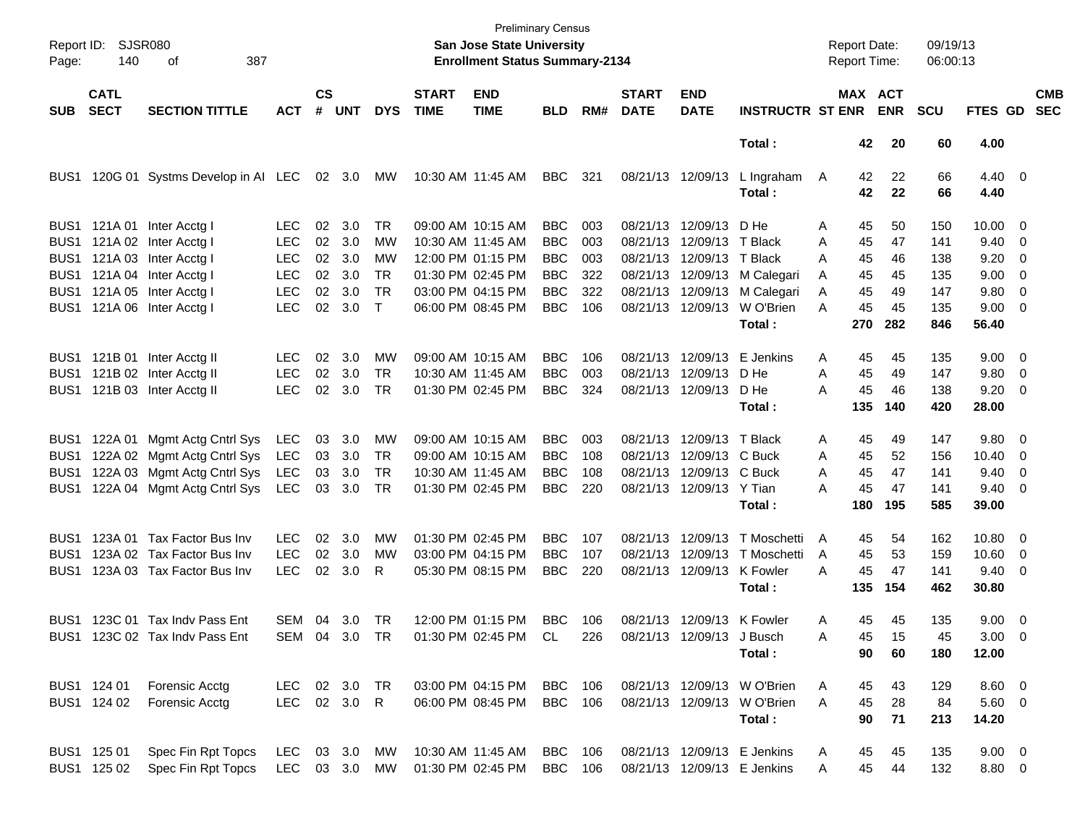| Report ID:<br>Page: | <b>SJSR080</b><br>140      | 387<br>оf                        |               |           |          |              |                             | <b>San Jose State University</b><br><b>Enrollment Status Summary-2134</b> | <b>Preliminary Census</b> |      |                             |                            |                               |   | <b>Report Date:</b><br>Report Time: |                              | 09/19/13<br>06:00:13 |                        |                          |                          |
|---------------------|----------------------------|----------------------------------|---------------|-----------|----------|--------------|-----------------------------|---------------------------------------------------------------------------|---------------------------|------|-----------------------------|----------------------------|-------------------------------|---|-------------------------------------|------------------------------|----------------------|------------------------|--------------------------|--------------------------|
| <b>SUB</b>          | <b>CATL</b><br><b>SECT</b> | <b>SECTION TITTLE</b>            | <b>ACT</b>    | <b>CS</b> | # UNT    | <b>DYS</b>   | <b>START</b><br><b>TIME</b> | <b>END</b><br><b>TIME</b>                                                 | <b>BLD</b>                | RM#  | <b>START</b><br><b>DATE</b> | <b>END</b><br><b>DATE</b>  | <b>INSTRUCTR ST ENR</b>       |   |                                     | <b>MAX ACT</b><br><b>ENR</b> | <b>SCU</b>           | FTES GD                |                          | <b>CMB</b><br><b>SEC</b> |
|                     |                            |                                  |               |           |          |              |                             |                                                                           |                           |      |                             |                            | Total:                        |   | 42                                  | 20                           | 60                   | 4.00                   |                          |                          |
| BUS1                |                            | 120G 01 Systms Develop in AI LEC |               |           | 02 3.0   | МW           |                             | 10:30 AM 11:45 AM                                                         | BBC                       | -321 |                             | 08/21/13 12/09/13          | L Ingraham<br>Total:          | A | 42<br>42                            | 22<br>22                     | 66<br>66             | $4.40 \quad 0$<br>4.40 |                          |                          |
|                     |                            | BUS1 121A 01 Inter Acctg I       | LEC.          | 02        | 3.0      | TR           |                             | 09:00 AM 10:15 AM                                                         | <b>BBC</b>                | 003  |                             | 08/21/13 12/09/13 D He     |                               | Α | 45                                  | 50                           | 150                  | $10.00 \t 0$           |                          |                          |
| BUS1                |                            | 121A 02 Inter Acctg I            | <b>LEC</b>    | 02        | 3.0      | МW           |                             | 10:30 AM 11:45 AM                                                         | <b>BBC</b>                | 003  |                             | 08/21/13 12/09/13 T Black  |                               | Α | 45                                  | 47                           | 141                  | 9.40                   | $\overline{\phantom{0}}$ |                          |
| BUS1                |                            | 121A 03 Inter Acctg I            | <b>LEC</b>    | 02        | 3.0      | МW           |                             | 12:00 PM 01:15 PM                                                         | <b>BBC</b>                | 003  |                             | 08/21/13 12/09/13 T Black  |                               | A | 45                                  | 46                           | 138                  | 9.20                   | - 0                      |                          |
| BUS1                |                            | 121A 04 Inter Acctg I            | <b>LEC</b>    | 02        | 3.0      | TR           |                             | 01:30 PM 02:45 PM                                                         | <b>BBC</b>                | 322  |                             |                            | 08/21/13 12/09/13 M Calegari  | A | 45                                  | 45                           | 135                  | 9.00                   | $\overline{\phantom{0}}$ |                          |
|                     |                            | BUS1 121A 05 Inter Acctg I       | <b>LEC</b>    | 02        | 3.0      | <b>TR</b>    |                             | 03:00 PM 04:15 PM                                                         | <b>BBC</b>                | 322  |                             |                            | 08/21/13 12/09/13 M Calegari  | Α | 45                                  | 49                           | 147                  | 9.80                   | $\overline{\phantom{0}}$ |                          |
|                     |                            | BUS1 121A 06 Inter Acctg I       | <b>LEC</b>    | 02        | 3.0      | $\mathsf{T}$ |                             | 06:00 PM 08:45 PM                                                         | <b>BBC</b>                | 106  |                             |                            | 08/21/13 12/09/13 W O'Brien   | A | 45                                  | 45                           | 135                  | $9.00 \t 0$            |                          |                          |
|                     |                            |                                  |               |           |          |              |                             |                                                                           |                           |      |                             |                            | Total:                        |   | 270                                 | 282                          | 846                  | 56.40                  |                          |                          |
|                     |                            | BUS1 121B 01 Inter Acctg II      | <b>LEC</b>    | 02        | 3.0      | MW           |                             | 09:00 AM 10:15 AM                                                         | <b>BBC</b>                | 106  |                             | 08/21/13 12/09/13          | E Jenkins                     | Α | 45                                  | 45                           | 135                  | $9.00 \quad 0$         |                          |                          |
|                     |                            | BUS1 121B 02 Inter Acctg II      | <b>LEC</b>    | 02        | 3.0      | <b>TR</b>    |                             | 10:30 AM 11:45 AM                                                         | <b>BBC</b>                | 003  |                             | 08/21/13 12/09/13          | D He                          | Α | 45                                  | 49                           | 147                  | 9.80                   | $\overline{\phantom{0}}$ |                          |
|                     |                            | BUS1 121B 03 Inter Acctg II      | <b>LEC</b>    | 02        | 3.0      | TR           |                             | 01:30 PM 02:45 PM                                                         | <b>BBC</b>                | 324  |                             | 08/21/13 12/09/13          | D He                          | А | 45                                  | 46                           | 138                  | $9.20 \ 0$             |                          |                          |
|                     |                            |                                  |               |           |          |              |                             |                                                                           |                           |      |                             |                            | Total:                        |   | 135                                 | 140                          | 420                  | 28.00                  |                          |                          |
| BUS <sub>1</sub>    |                            | 122A 01 Mgmt Actg Cntrl Sys      | LEC           | 03        | 3.0      | MW           |                             | 09:00 AM 10:15 AM                                                         | <b>BBC</b>                | 003  |                             | 08/21/13 12/09/13 T Black  |                               | Α | 45                                  | 49                           | 147                  | 9.80 0                 |                          |                          |
| BUS1                |                            | 122A 02 Mgmt Actg Cntrl Sys      | LEC           | 03        | 3.0      | TR           |                             | 09:00 AM 10:15 AM                                                         | <b>BBC</b>                | 108  |                             | 08/21/13 12/09/13 C Buck   |                               | A | 45                                  | 52                           | 156                  | 10.40                  | $\overline{\phantom{0}}$ |                          |
| BUS1                |                            | 122A 03 Mgmt Actg Cntrl Sys      | LEC           | 03        | 3.0      | <b>TR</b>    |                             | 10:30 AM 11:45 AM                                                         | <b>BBC</b>                | 108  |                             | 08/21/13 12/09/13 C Buck   |                               | A | 45                                  | 47                           | 141                  | 9.40                   | $\overline{\mathbf{0}}$  |                          |
| BUS1                |                            | 122A 04 Mgmt Actg Cntrl Sys      | LEC           | 03        | 3.0      | TR           |                             | 01:30 PM 02:45 PM                                                         | <b>BBC</b>                | 220  |                             | 08/21/13 12/09/13 Y Tian   |                               | А | 45                                  | 47                           | 141                  | $9.40 \quad 0$         |                          |                          |
|                     |                            |                                  |               |           |          |              |                             |                                                                           |                           |      |                             |                            | Total:                        |   | 180                                 | 195                          | 585                  | 39.00                  |                          |                          |
| BUS1                |                            | 123A 01 Tax Factor Bus Inv       | LEC.          | 02        | 3.0      | MW           |                             | 01:30 PM 02:45 PM                                                         | <b>BBC</b>                | 107  |                             | 08/21/13 12/09/13          | T Moschetti                   | A | 45                                  | 54                           | 162                  | 10.80 0                |                          |                          |
| BUS1                |                            | 123A 02 Tax Factor Bus Inv       | <b>LEC</b>    | 02        | 3.0      | MW           |                             | 03:00 PM 04:15 PM                                                         | <b>BBC</b>                | 107  |                             |                            | 08/21/13 12/09/13 T Moschetti | A | 45                                  | 53                           | 159                  | 10.60                  | $\overline{\phantom{0}}$ |                          |
| BUS1                |                            | 123A 03 Tax Factor Bus Inv       | <b>LEC</b>    | 02        | 3.0      | R            |                             | 05:30 PM 08:15 PM                                                         | <b>BBC</b>                | 220  |                             | 08/21/13 12/09/13 K Fowler |                               | A | 45                                  | 47                           | 141                  | $9.40 \quad 0$         |                          |                          |
|                     |                            |                                  |               |           |          |              |                             |                                                                           |                           |      |                             |                            | Total:                        |   | 135                                 | 154                          | 462                  | 30.80                  |                          |                          |
|                     |                            | BUS1 123C 01 Tax Indy Pass Ent   | SEM           | 04        | 3.0      | TR           |                             | 12:00 PM 01:15 PM                                                         | BBC                       | 106  |                             | 08/21/13 12/09/13 K Fowler |                               | Α | 45                                  | 45                           | 135                  | $9.00 \t 0$            |                          |                          |
|                     |                            | BUS1 123C 02 Tax Indv Pass Ent   | SEM 04 3.0 TR |           |          |              |                             | 01:30 PM 02:45 PM CL                                                      |                           | 226  |                             | 08/21/13 12/09/13 J Busch  |                               | Α | 45                                  | 15                           | 45                   | $3.00 \ 0$             |                          |                          |
|                     |                            |                                  |               |           |          |              |                             |                                                                           |                           |      |                             |                            | Total:                        |   | 90                                  | 60                           | 180                  | 12.00                  |                          |                          |
|                     | BUS1 124 01                | Forensic Acctg                   | LEC           |           | 02 3.0   | <b>TR</b>    |                             | 03:00 PM 04:15 PM                                                         | <b>BBC</b> 106            |      |                             |                            | 08/21/13 12/09/13 W O'Brien   | A | 45                                  | 43                           | 129                  | $8.60$ 0               |                          |                          |
|                     | BUS1 124 02                | Forensic Acctg                   | LEC           |           | 02 3.0 R |              |                             | 06:00 PM 08:45 PM                                                         | <b>BBC</b> 106            |      |                             |                            | 08/21/13 12/09/13 W O'Brien   | A | 45                                  | 28                           | 84                   | $5.60$ 0               |                          |                          |
|                     |                            |                                  |               |           |          |              |                             |                                                                           |                           |      |                             |                            | Total:                        |   | 90                                  | 71                           | 213                  | 14.20                  |                          |                          |
|                     | BUS1 125 01                | Spec Fin Rpt Topcs               | <b>LEC</b>    |           | 03 3.0   | МW           |                             | 10:30 AM 11:45 AM                                                         | BBC                       | 106  |                             |                            | 08/21/13 12/09/13 E Jenkins   | A | 45                                  | 45                           | 135                  | $9.00 \t 0$            |                          |                          |
|                     | BUS1 125 02                | Spec Fin Rpt Topcs               | LEC 03 3.0 MW |           |          |              |                             | 01:30 PM 02:45 PM                                                         | BBC 106                   |      |                             |                            | 08/21/13 12/09/13 E Jenkins   | Α | 45                                  | 44                           | 132                  | 8.80 0                 |                          |                          |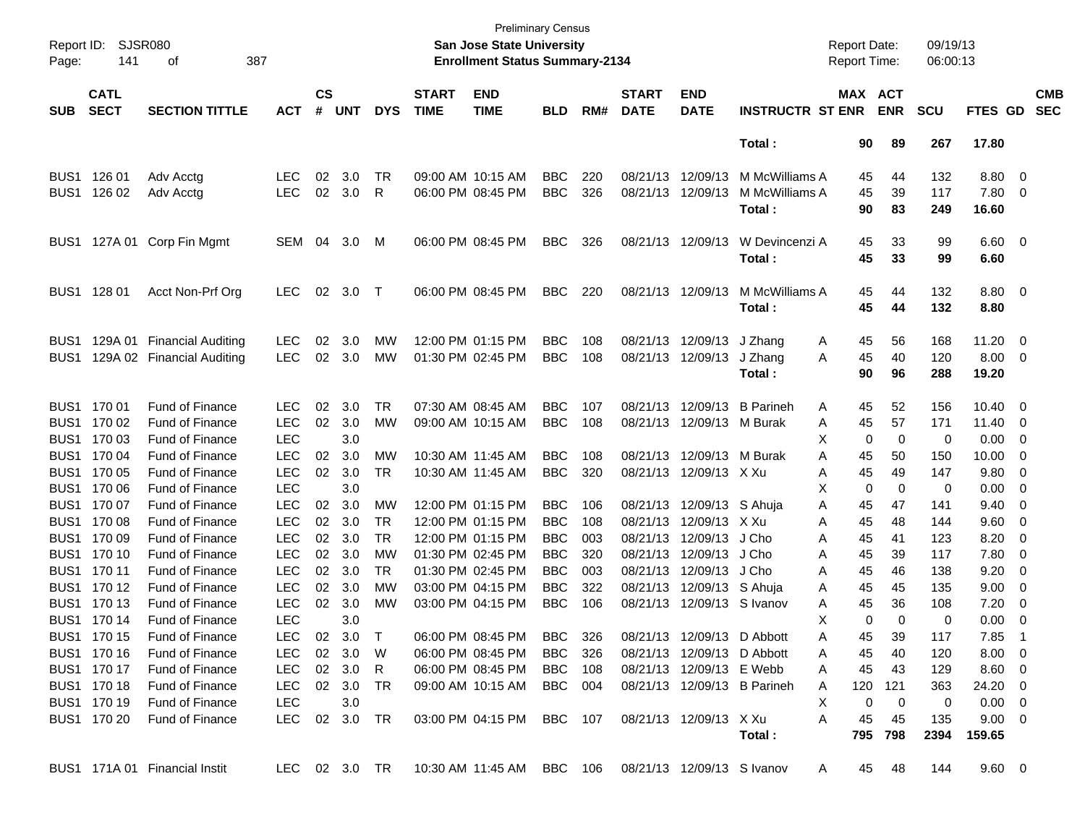| Report ID:<br>Page: | SJSR080<br>141             | οf                            | 387           |                    |              |            |                             | <b>Preliminary Census</b><br>San Jose State University<br><b>Enrollment Status Summary-2134</b> |                |     |                             |                            |                             | <b>Report Date:</b><br><b>Report Time:</b> |                 | 09/19/13<br>06:00:13 |                          |                         |                          |
|---------------------|----------------------------|-------------------------------|---------------|--------------------|--------------|------------|-----------------------------|-------------------------------------------------------------------------------------------------|----------------|-----|-----------------------------|----------------------------|-----------------------------|--------------------------------------------|-----------------|----------------------|--------------------------|-------------------------|--------------------------|
| <b>SUB</b>          | <b>CATL</b><br><b>SECT</b> | <b>SECTION TITTLE</b>         | <b>ACT</b>    | $\mathsf{cs}$<br># | <b>UNT</b>   | <b>DYS</b> | <b>START</b><br><b>TIME</b> | <b>END</b><br><b>TIME</b>                                                                       | <b>BLD</b>     | RM# | <b>START</b><br><b>DATE</b> | <b>END</b><br><b>DATE</b>  | <b>INSTRUCTR ST ENR</b>     | MAX ACT                                    | <b>ENR</b>      | <b>SCU</b>           | FTES GD                  |                         | <b>CMB</b><br><b>SEC</b> |
|                     |                            |                               |               |                    |              |            |                             |                                                                                                 |                |     |                             |                            | Total:                      | 90                                         | 89              | 267                  | 17.80                    |                         |                          |
| BUS1                | 126 01                     | Adv Acctg                     | <b>LEC</b>    | 02                 | 3.0          | TR         |                             | 09:00 AM 10:15 AM                                                                               | <b>BBC</b>     | 220 |                             | 08/21/13 12/09/13          | M McWilliams A              | 45                                         | 44              | 132                  | 8.80                     | $\overline{0}$          |                          |
| BUS <sub>1</sub>    | 126 02                     | Adv Acctg                     | <b>LEC</b>    | 02                 | 3.0          | R          |                             | 06:00 PM 08:45 PM                                                                               | <b>BBC</b>     | 326 |                             | 08/21/13 12/09/13          | M McWilliams A              | 45                                         | 39              | 117                  | 7.80                     | $\overline{0}$          |                          |
|                     |                            |                               |               |                    |              |            |                             |                                                                                                 |                |     |                             |                            | Total:                      | 90                                         | 83              | 249                  | 16.60                    |                         |                          |
| BUS1                |                            | 127A 01 Corp Fin Mgmt         | <b>SEM</b>    | 04                 | 3.0          | M          |                             | 06:00 PM 08:45 PM                                                                               | <b>BBC</b>     | 326 |                             | 08/21/13 12/09/13          | W Devincenzi A              | 45                                         | 33              | 99                   | $6.60 \quad 0$           |                         |                          |
|                     |                            |                               |               |                    |              |            |                             |                                                                                                 |                |     |                             |                            | Total:                      | 45                                         | 33              | 99                   | 6.60                     |                         |                          |
| BUS <sub>1</sub>    | 128 01                     | Acct Non-Prf Org              | <b>LEC</b>    | 02                 | 3.0          | $\top$     |                             | 06:00 PM 08:45 PM                                                                               | <b>BBC</b>     | 220 |                             | 08/21/13 12/09/13          | M McWilliams A              | 45                                         | 44              | 132                  | 8.80                     | $\overline{\mathbf{0}}$ |                          |
|                     |                            |                               |               |                    |              |            |                             |                                                                                                 |                |     |                             |                            | Total:                      | 45                                         | 44              | 132                  | 8.80                     |                         |                          |
| BUS1                | 129A 01                    | <b>Financial Auditing</b>     | <b>LEC</b>    | 02                 | 3.0          | MW         |                             | 12:00 PM 01:15 PM                                                                               | <b>BBC</b>     | 108 |                             | 08/21/13 12/09/13          | J Zhang                     | 45<br>A                                    | 56              | 168                  | 11.20                    | $\overline{\mathbf{0}}$ |                          |
| BUS1                |                            | 129A 02 Financial Auditing    | <b>LEC</b>    |                    | 02 3.0       | MW         |                             | 01:30 PM 02:45 PM                                                                               | <b>BBC</b>     | 108 |                             | 08/21/13 12/09/13          | J Zhang                     | 45<br>A                                    | 40              | 120                  | 8.00                     | - 0                     |                          |
|                     |                            |                               |               |                    |              |            |                             |                                                                                                 |                |     |                             |                            | Total:                      | 90                                         | 96              | 288                  | 19.20                    |                         |                          |
| BUS <sub>1</sub>    | 170 01                     | <b>Fund of Finance</b>        | <b>LEC</b>    | 02                 | 3.0          | <b>TR</b>  |                             | 07:30 AM 08:45 AM                                                                               | <b>BBC</b>     | 107 |                             | 08/21/13 12/09/13          | <b>B</b> Parineh            | A<br>45                                    | 52              | 156                  | 10.40                    | - 0                     |                          |
| BUS <sub>1</sub>    | 170 02                     | Fund of Finance               | <b>LEC</b>    | 02                 | 3.0          | MW         |                             | 09:00 AM 10:15 AM                                                                               | <b>BBC</b>     | 108 |                             | 08/21/13 12/09/13 M Burak  |                             | 45<br>A                                    | 57              | 171                  | 11.40                    | - 0                     |                          |
| BUS <sub>1</sub>    | 170 03                     | <b>Fund of Finance</b>        | <b>LEC</b>    |                    | 3.0          |            |                             |                                                                                                 |                |     |                             |                            |                             | х<br>0                                     | 0               | 0                    | 0.00                     | 0                       |                          |
| BUS <sub>1</sub>    | 170 04                     | <b>Fund of Finance</b>        | <b>LEC</b>    | 02                 | 3.0          | <b>MW</b>  |                             | 10:30 AM 11:45 AM                                                                               | <b>BBC</b>     | 108 |                             | 08/21/13 12/09/13 M Burak  |                             | A<br>45                                    | 50              | 150                  | 10.00                    | 0                       |                          |
| BUS <sub>1</sub>    | 170 05                     | <b>Fund of Finance</b>        | <b>LEC</b>    | 02                 | 3.0          | TR         |                             | 10:30 AM 11:45 AM                                                                               | <b>BBC</b>     | 320 |                             | 08/21/13 12/09/13 X Xu     |                             | A<br>45                                    | 49              | 147                  | 9.80                     | 0                       |                          |
| BUS <sub>1</sub>    | 170 06                     | <b>Fund of Finance</b>        | <b>LEC</b>    |                    | 3.0          |            |                             |                                                                                                 |                |     |                             |                            |                             | X<br>0                                     | 0               | 0                    | 0.00                     | 0                       |                          |
| BUS <sub>1</sub>    | 170 07                     | <b>Fund of Finance</b>        | <b>LEC</b>    | $02\,$             | 3.0          | MW         |                             | 12:00 PM 01:15 PM                                                                               | <b>BBC</b>     | 106 |                             | 08/21/13 12/09/13 S Ahuja  |                             | Α<br>45                                    | 47              | 141                  | 9.40                     | 0                       |                          |
| BUS <sub>1</sub>    | 170 08                     | <b>Fund of Finance</b>        | <b>LEC</b>    | 02                 | 3.0          | <b>TR</b>  |                             | 12:00 PM 01:15 PM                                                                               | <b>BBC</b>     | 108 |                             | 08/21/13 12/09/13 X Xu     |                             | A<br>45                                    | 48              | 144                  | 9.60                     | 0                       |                          |
| BUS <sub>1</sub>    | 170 09                     | <b>Fund of Finance</b>        | <b>LEC</b>    | 02                 | 3.0          | <b>TR</b>  |                             | 12:00 PM 01:15 PM                                                                               | <b>BBC</b>     | 003 |                             | 08/21/13 12/09/13          | J Cho                       | A<br>45                                    | 41              | 123                  | 8.20                     | 0                       |                          |
| BUS <sub>1</sub>    | 170 10                     | <b>Fund of Finance</b>        | <b>LEC</b>    | 02                 | 3.0          | <b>MW</b>  |                             | 01:30 PM 02:45 PM                                                                               | <b>BBC</b>     | 320 |                             | 08/21/13 12/09/13          | J Cho                       | A<br>45                                    | 39              | 117                  | 7.80                     | 0                       |                          |
| BUS <sub>1</sub>    | 170 11                     | <b>Fund of Finance</b>        | <b>LEC</b>    | 02                 | 3.0          | <b>TR</b>  |                             | 01:30 PM 02:45 PM                                                                               | <b>BBC</b>     | 003 |                             | 08/21/13 12/09/13          | J Cho                       | A<br>45                                    | 46              | 138                  | 9.20                     | 0                       |                          |
| BUS <sub>1</sub>    | 170 12                     | <b>Fund of Finance</b>        | <b>LEC</b>    | 02                 | 3.0          | <b>MW</b>  |                             | 03:00 PM 04:15 PM                                                                               | <b>BBC</b>     | 322 |                             | 08/21/13 12/09/13 S Ahuja  |                             | 45<br>A                                    | 45              | 135                  | 9.00                     | 0                       |                          |
| BUS <sub>1</sub>    | 170 13                     | <b>Fund of Finance</b>        | <b>LEC</b>    | 02                 | 3.0          | MW         |                             | 03:00 PM 04:15 PM                                                                               | <b>BBC</b>     | 106 |                             | 08/21/13 12/09/13 S Ivanov |                             | 45<br>A                                    | 36              | 108                  | 7.20                     | 0                       |                          |
|                     | BUS1 170 14                | <b>Fund of Finance</b>        | <b>LEC</b>    |                    | 3.0          |            |                             |                                                                                                 |                |     |                             |                            |                             | X<br>$\mathbf 0$                           | 0               | 0                    | 0.00                     | 0                       |                          |
|                     | BUS1 170 15                | Fund of Finance               |               |                    | LEC 02 3.0 T |            |                             | 06:00 PM 08:45 PM                                                                               | BBC            | 326 |                             | 08/21/13 12/09/13 D Abbott |                             | 45<br>A                                    | 39              | 117                  | 7.85                     | - 1                     |                          |
|                     | BUS1 170 16                | <b>Fund of Finance</b>        | LEC 02 3.0 W  |                    |              |            |                             | 06:00 PM 08:45 PM                                                                               | BBC 326        |     |                             | 08/21/13 12/09/13 D Abbott |                             | A<br>45                                    | 40              | 120                  | $8.00 \quad 0$           |                         |                          |
|                     | BUS1 170 17                | Fund of Finance               | LEC           |                    | 02 3.0 R     |            |                             | 06:00 PM 08:45 PM                                                                               | <b>BBC</b> 108 |     |                             | 08/21/13 12/09/13 E Webb   |                             | 45<br>A                                    | 43              | 129                  | $8.60\quad 0$            |                         |                          |
|                     | BUS1 170 18                | Fund of Finance               | LEC 02 3.0 TR |                    |              |            |                             | 09:00 AM 10:15 AM BBC 004                                                                       |                |     |                             |                            | 08/21/13 12/09/13 B Parineh | A                                          | 120 121         | 363                  | 24.20 0                  |                         |                          |
|                     | BUS1 170 19                | Fund of Finance               | LEC           |                    | 3.0          |            |                             |                                                                                                 |                |     |                             |                            |                             | 0<br>X.                                    | - 0             | 0                    | $0.00 \quad 0$           |                         |                          |
|                     | BUS1 170 20                | Fund of Finance               | LEC 02 3.0 TR |                    |              |            |                             | 03:00 PM 04:15 PM BBC 107 08/21/13 12/09/13 X Xu                                                |                |     |                             |                            | Total:                      | $\mathsf{A}$<br>45                         | - 45<br>795 798 | 135<br>2394          | $9.00 \quad 0$<br>159.65 |                         |                          |
|                     |                            | BUS1 171A 01 Financial Instit |               |                    |              |            |                             | LEC 02 3.0 TR 10:30 AM 11:45 AM BBC 106 08/21/13 12/09/13 S Ivanov                              |                |     |                             |                            |                             | A                                          | 45 48           | 144                  | $9.60 \quad 0$           |                         |                          |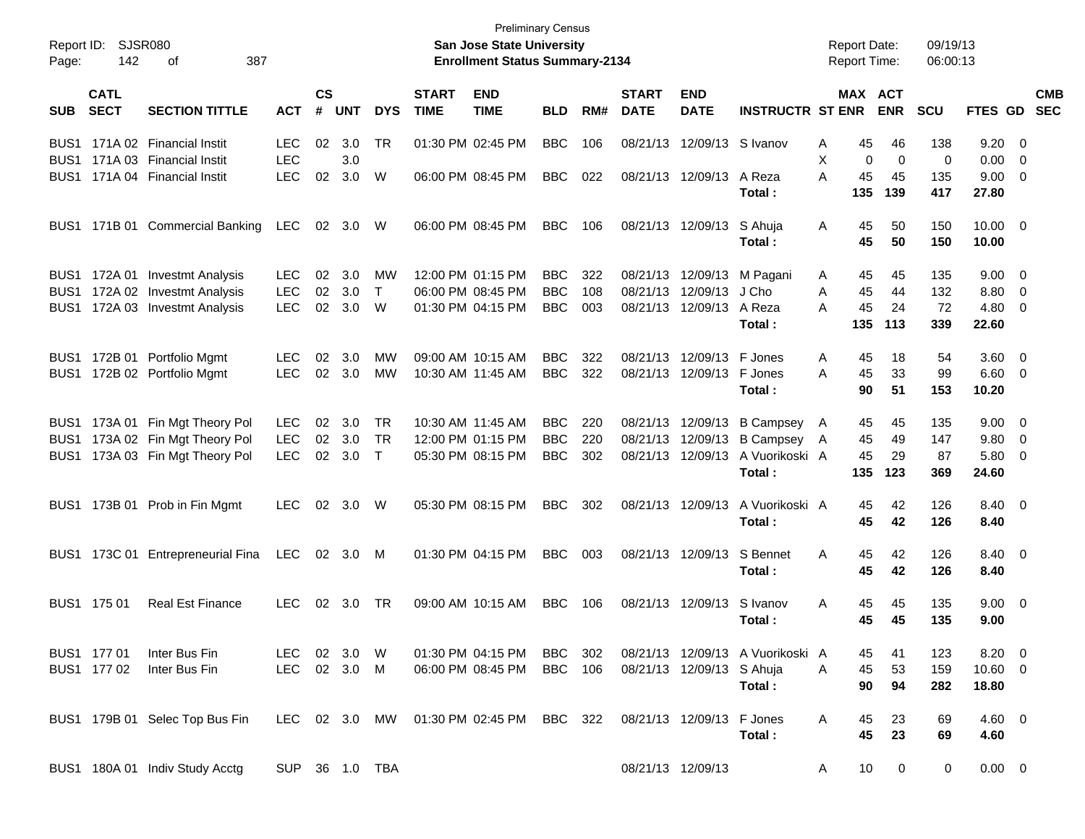| Page:                    | Report ID: SJSR080<br>142  | 387<br>οf                                                |                              |                             |            |              |                             | <b>Preliminary Census</b><br><b>San Jose State University</b><br><b>Enrollment Status Summary-2134</b> |                          |              |                             |                           |                                              | <b>Report Date:</b> | <b>Report Time:</b>              | 09/19/13<br>06:00:13 |                                 |                          |
|--------------------------|----------------------------|----------------------------------------------------------|------------------------------|-----------------------------|------------|--------------|-----------------------------|--------------------------------------------------------------------------------------------------------|--------------------------|--------------|-----------------------------|---------------------------|----------------------------------------------|---------------------|----------------------------------|----------------------|---------------------------------|--------------------------|
| <b>SUB</b>               | <b>CATL</b><br><b>SECT</b> | <b>SECTION TITTLE</b>                                    | <b>ACT</b>                   | $\mathsf{cs}$<br>$\pmb{\#}$ | <b>UNT</b> | <b>DYS</b>   | <b>START</b><br><b>TIME</b> | <b>END</b><br><b>TIME</b>                                                                              | <b>BLD</b>               | RM#          | <b>START</b><br><b>DATE</b> | <b>END</b><br><b>DATE</b> | <b>INSTRUCTR ST ENR</b>                      |                     | MAX ACT<br><b>ENR</b>            | <b>SCU</b>           | FTES GD                         | <b>CMB</b><br><b>SEC</b> |
| BUS1<br>BUS1             |                            | 171A 02 Financial Instit<br>171A 03 Financial Instit     | <b>LEC</b><br><b>LEC</b>     | 02                          | 3.0<br>3.0 | TR           |                             | 01:30 PM 02:45 PM                                                                                      | <b>BBC</b>               | 106          | 08/21/13                    | 12/09/13 S Ivanov         |                                              | Α<br>X              | 46<br>45<br>0<br>$\mathbf 0$     | 138<br>0             | $9.20 \ 0$<br>$0.00 \t 0$       |                          |
| BUS1                     |                            | 171A 04 Financial Instit                                 | <b>LEC</b>                   | 02                          | 3.0        | W            |                             | 06:00 PM 08:45 PM                                                                                      | <b>BBC</b>               | 022          |                             | 08/21/13 12/09/13         | A Reza<br>Total:                             | A<br>135            | 45<br>45<br>139                  | 135<br>417           | $9.00 \t 0$<br>27.80            |                          |
| BUS1                     |                            | 171B 01 Commercial Banking                               | <b>LEC</b>                   | 02                          | 3.0        | W            |                             | 06:00 PM 08:45 PM                                                                                      | <b>BBC</b>               | 106          |                             | 08/21/13 12/09/13         | S Ahuja<br>Total:                            | A                   | 50<br>45<br>45<br>50             | 150<br>150           | $10.00 \t 0$<br>10.00           |                          |
| BUS1<br>BUS <sub>1</sub> |                            | 172A 01 Investmt Analysis<br>172A 02 Investmt Analysis   | <b>LEC</b><br><b>LEC</b>     | 02<br>02                    | 3.0<br>3.0 | MW<br>$\top$ |                             | 12:00 PM 01:15 PM<br>06:00 PM 08:45 PM                                                                 | <b>BBC</b><br><b>BBC</b> | 322<br>108   | 08/21/13                    | 12/09/13                  | 08/21/13 12/09/13 M Pagani<br>J Cho          | A<br>A              | 45<br>45<br>45<br>44             | 135<br>132           | $9.00 \t 0$<br>8.80 0           |                          |
| BUS1                     |                            | 172A 03 Investmt Analysis                                | <b>LEC</b>                   | 02                          | 3.0        | W            |                             | 01:30 PM 04:15 PM                                                                                      | <b>BBC</b>               | 003          |                             | 08/21/13 12/09/13         | A Reza<br>Total :                            | А<br>135            | 45<br>24<br>113                  | 72<br>339            | $4.80\ 0$<br>22.60              |                          |
| BUS1                     |                            | BUS1 172B 01 Portfolio Mgmt<br>172B 02 Portfolio Mgmt    | <b>LEC</b><br><b>LEC</b>     | 02<br>02                    | 3.0<br>3.0 | MW<br>MW     |                             | 09:00 AM 10:15 AM<br>10:30 AM 11:45 AM                                                                 | <b>BBC</b><br><b>BBC</b> | 322<br>322   | 08/21/13<br>08/21/13        | 12/09/13<br>12/09/13      | F Jones<br>F Jones<br>Total:                 | A<br>A              | 18<br>45<br>45<br>33<br>90<br>51 | 54<br>99<br>153      | $3.60 \ 0$<br>$6.60$ 0<br>10.20 |                          |
| BUS1                     |                            | 173A 01 Fin Mgt Theory Pol                               | LEC.                         | 02                          | 3.0        | TR           |                             | 10:30 AM 11:45 AM                                                                                      | <b>BBC</b>               | 220          | 08/21/13                    | 12/09/13                  | <b>B Campsey</b>                             | A                   | 45<br>45                         | 135                  | $9.00 \t 0$                     |                          |
| BUS <sub>1</sub><br>BUS1 |                            | 173A 02 Fin Mgt Theory Pol<br>173A 03 Fin Mgt Theory Pol | <b>LEC</b><br><b>LEC</b>     | 02<br>02                    | 3.0<br>3.0 | TR<br>$\top$ |                             | 12:00 PM 01:15 PM<br>05:30 PM 08:15 PM                                                                 | <b>BBC</b><br><b>BBC</b> | 220<br>302   | 08/21/13<br>08/21/13        | 12/09/13<br>12/09/13      | <b>B</b> Campsey<br>A Vuorikoski A<br>Total: | A<br>135            | 45<br>49<br>45<br>29<br>123      | 147<br>87<br>369     | 9.80 0<br>5.80 0<br>24.60       |                          |
|                          |                            | BUS1 173B 01 Prob in Fin Mgmt                            | <b>LEC</b>                   |                             | 02 3.0     | W            |                             | 05:30 PM 08:15 PM                                                                                      | <b>BBC</b>               | 302          |                             | 08/21/13 12/09/13         | A Vuorikoski A<br>Total:                     |                     | 42<br>45<br>45<br>42             | 126<br>126           | 8.40 0<br>8.40                  |                          |
| BUS1.                    |                            | 173C 01 Entrepreneurial Fina                             | LEC                          |                             | 02 3.0     | M            |                             | 01:30 PM 04:15 PM                                                                                      | <b>BBC</b>               | 003          |                             | 08/21/13 12/09/13         | S Bennet<br>Total :                          | A                   | 45<br>42<br>45<br>42             | 126<br>126           | 8.40 0<br>8.40                  |                          |
|                          | BUS1 175 01                | <b>Real Est Finance</b>                                  | <b>LEC</b>                   |                             | 02 3.0     | TR           |                             | 09:00 AM 10:15 AM                                                                                      | <b>BBC</b>               | 106          |                             | 08/21/13 12/09/13         | S Ivanov<br>Total :                          | Α                   | 45<br>45<br>45<br>45             | 135<br>135           | $9.00 \t 0$<br>9.00             |                          |
|                          | BUS1 177 01<br>BUS1 177 02 | Inter Bus Fin<br>Inter Bus Fin                           | LEC 02 3.0 W<br>LEC 02 3.0 M |                             |            |              |                             | 01:30 PM 04:15 PM<br>06:00 PM 08:45 PM                                                                 | BBC<br>BBC               | - 302<br>106 |                             | 08/21/13 12/09/13 S Ahuja | 08/21/13 12/09/13 A Vuorikoski A<br>Total:   | A                   | 45<br>41<br>45<br>53<br>90<br>94 | 123<br>159<br>282    | 8.20 0<br>$10.60$ 0<br>18.80    |                          |
|                          |                            | BUS1 179B 01 Selec Top Bus Fin                           |                              |                             |            |              |                             | LEC 02 3.0 MW 01:30 PM 02:45 PM BBC 322                                                                |                          |              |                             | 08/21/13 12/09/13 F Jones | Total:                                       | A                   | 45<br>23<br>45<br>23             | 69<br>69             | $4.60 \quad 0$<br>4.60          |                          |
|                          |                            | BUS1 180A 01 Indiv Study Acctg                           | SUP 36 1.0 TBA               |                             |            |              |                             |                                                                                                        |                          |              | 08/21/13 12/09/13           |                           |                                              | A                   | 10 <sup>°</sup><br>$\mathbf 0$   | 0                    | $0.00 \t 0$                     |                          |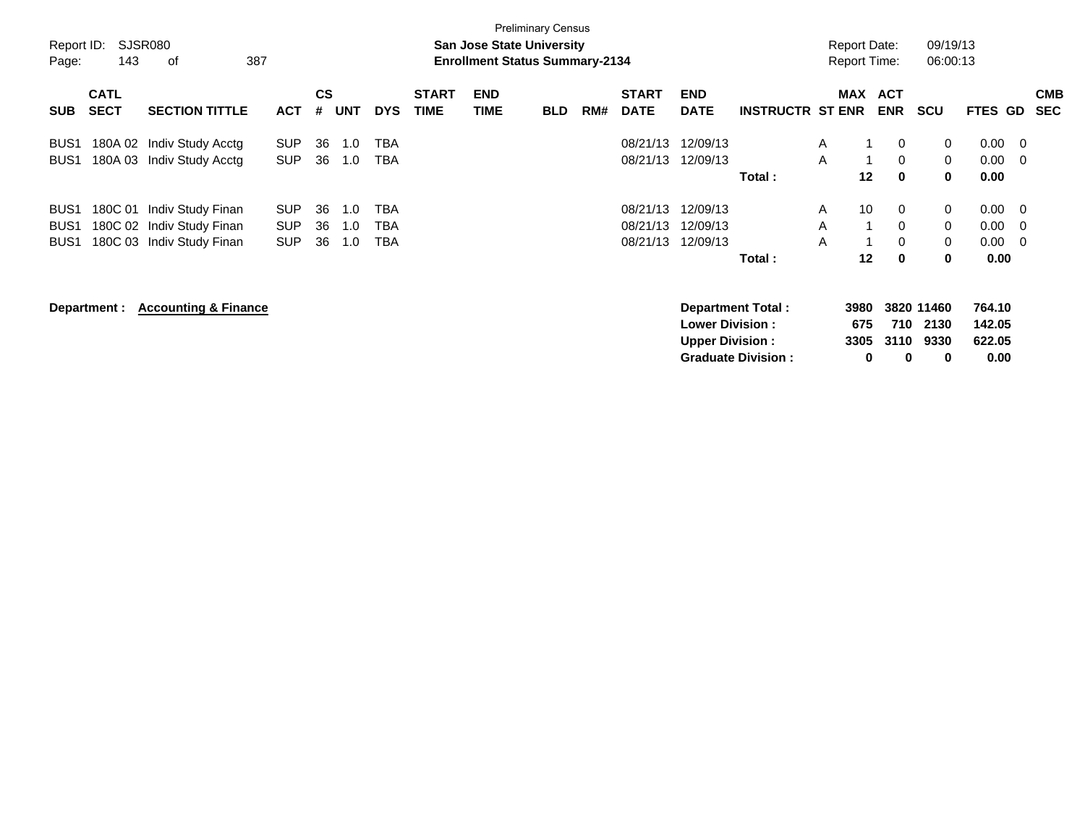| Report ID:<br>Page: | 143                        | <b>SJSR080</b><br>оf            | 387        |                |            |            |                             | <b>San Jose State University</b><br><b>Enrollment Status Summary-2134</b> | <b>Preliminary Census</b> |     |                             |                           |                         |            | <b>Report Date:</b><br><b>Report Time:</b> |                  | 09/19/13<br>06:00:13 |     |                          |
|---------------------|----------------------------|---------------------------------|------------|----------------|------------|------------|-----------------------------|---------------------------------------------------------------------------|---------------------------|-----|-----------------------------|---------------------------|-------------------------|------------|--------------------------------------------|------------------|----------------------|-----|--------------------------|
| <b>SUB</b>          | <b>CATL</b><br><b>SECT</b> | <b>SECTION TITTLE</b>           | <b>ACT</b> | <b>CS</b><br># | <b>UNT</b> | <b>DYS</b> | <b>START</b><br><b>TIME</b> | <b>END</b><br><b>TIME</b>                                                 | <b>BLD</b>                | RM# | <b>START</b><br><b>DATE</b> | <b>END</b><br><b>DATE</b> | <b>INSTRUCTR ST ENR</b> | <b>MAX</b> | <b>ACT</b><br><b>ENR</b>                   | <b>SCU</b>       | FTES GD              |     | <b>CMB</b><br><b>SEC</b> |
| BUS <sub>1</sub>    |                            | 180A 02 Indiv Study Acctg       | <b>SUP</b> | 36             | 1.0        | TBA        |                             |                                                                           |                           |     | 08/21/13                    | 12/09/13                  |                         | A          |                                            | 0<br>0           | 0.00                 | - 0 |                          |
| BUS <sub>1</sub>    |                            | 180A 03 Indiv Study Acctg       | <b>SUP</b> | 36             | 1.0        | <b>TBA</b> |                             |                                                                           |                           |     | 08/21/13                    | 12/09/13                  |                         | A          | $\mathbf 1$                                | $\mathbf 0$<br>0 | 0.00                 | - 0 |                          |
|                     |                            |                                 |            |                |            |            |                             |                                                                           |                           |     |                             |                           | Total:                  |            | 12                                         | 0<br>$\bf{0}$    | 0.00                 |     |                          |
| BUS <sub>1</sub>    | 180C 01                    | Indiv Study Finan               | <b>SUP</b> | 36             | 1.0        | TBA        |                             |                                                                           |                           |     | 08/21/13                    | 12/09/13                  |                         | A          | 10                                         | 0<br>0           | 0.00                 | - 0 |                          |
| BUS <sub>1</sub>    |                            | 180C 02 Indiv Study Finan       | <b>SUP</b> | 36             | 1.0        | <b>TBA</b> |                             |                                                                           |                           |     | 08/21/13                    | 12/09/13                  |                         | A          | 1                                          | $\mathbf 0$<br>0 | 0.00                 | - 0 |                          |
| BUS <sub>1</sub>    |                            | 180C 03 Indiv Study Finan       | <b>SUP</b> | 36             | 1.0        | <b>TBA</b> |                             |                                                                           |                           |     | 08/21/13                    | 12/09/13                  |                         | A          | 1                                          | $\mathbf 0$<br>0 | 0.00                 | - 0 |                          |
|                     |                            |                                 |            |                |            |            |                             |                                                                           |                           |     |                             |                           | Total:                  |            | $12 \,$                                    | $\bf{0}$<br>0    | 0.00                 |     |                          |
|                     | Department :               | <b>Accounting &amp; Finance</b> |            |                |            |            |                             |                                                                           |                           |     |                             |                           | Department Total:       |            | 3980                                       | 3820 11460       | 764.10               |     |                          |
|                     |                            |                                 |            |                |            |            |                             |                                                                           |                           |     |                             | <b>Lower Division:</b>    |                         |            | 675                                        | 710<br>2130      | 142.05               |     |                          |
|                     |                            |                                 |            |                |            |            |                             |                                                                           |                           |     |                             | <b>Upper Division:</b>    |                         |            | 3305                                       | 3110<br>9330     | 622.05               |     |                          |

**Graduate Division : 0 0 0 0.00**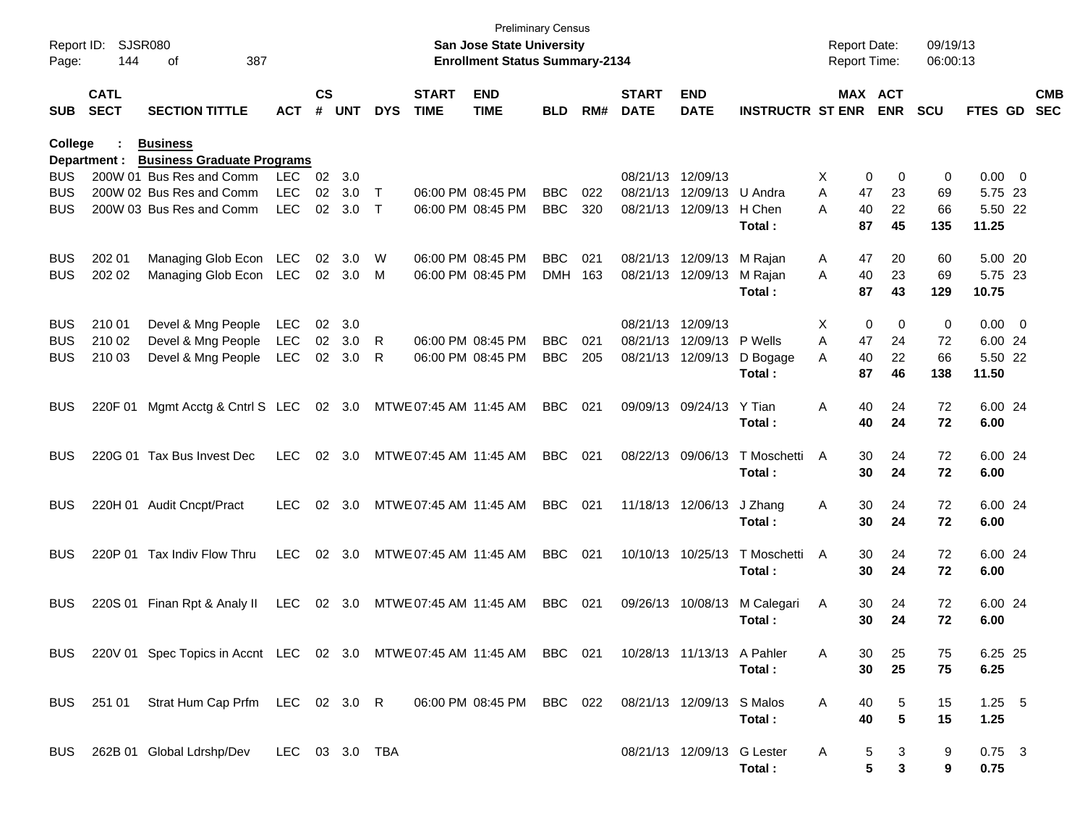| Page:      | Report ID: SJSR080<br>144  | 387<br>οf                                                                  |            |                    |            |            |                             | <b>Preliminary Census</b><br>San Jose State University<br><b>Enrollment Status Summary-2134</b> |            |     |                             |                            |                             | <b>Report Date:</b><br>Report Time: |          | 09/19/13<br>06:00:13 |                  |                          |
|------------|----------------------------|----------------------------------------------------------------------------|------------|--------------------|------------|------------|-----------------------------|-------------------------------------------------------------------------------------------------|------------|-----|-----------------------------|----------------------------|-----------------------------|-------------------------------------|----------|----------------------|------------------|--------------------------|
| <b>SUB</b> | <b>CATL</b><br><b>SECT</b> | <b>SECTION TITTLE</b>                                                      | <b>ACT</b> | $\mathsf{cs}$<br># | <b>UNT</b> | <b>DYS</b> | <b>START</b><br><b>TIME</b> | <b>END</b><br><b>TIME</b>                                                                       | BLD        | RM# | <b>START</b><br><b>DATE</b> | <b>END</b><br><b>DATE</b>  | <b>INSTRUCTR ST ENR ENR</b> |                                     | MAX ACT  | <b>SCU</b>           | <b>FTES GD</b>   | <b>CMB</b><br><b>SEC</b> |
| College    | Department :               | <b>Business</b><br><b>Business Graduate Programs</b>                       |            |                    |            |            |                             |                                                                                                 |            |     |                             |                            |                             |                                     |          |                      |                  |                          |
| <b>BUS</b> |                            | 200W 01 Bus Res and Comm                                                   | <b>LEC</b> | 02                 | 3.0        |            |                             |                                                                                                 |            |     | 08/21/13 12/09/13           |                            |                             | X.                                  | 0<br>0   | 0                    | $0.00 \t 0$      |                          |
| <b>BUS</b> |                            | 200W 02 Bus Res and Comm                                                   | <b>LEC</b> | 02                 | 3.0        | $\top$     | 06:00 PM 08:45 PM           |                                                                                                 | <b>BBC</b> | 022 |                             | 08/21/13 12/09/13 U Andra  |                             | 47<br>A                             | 23       | 69                   | 5.75 23          |                          |
| <b>BUS</b> |                            | 200W 03 Bus Res and Comm                                                   | <b>LEC</b> | 02 <sub>o</sub>    | 3.0        | $\top$     |                             | 06:00 PM 08:45 PM                                                                               | <b>BBC</b> | 320 |                             | 08/21/13 12/09/13 H Chen   | Total:                      | 40<br>A<br>87                       | 22<br>45 | 66<br>135            | 5.50 22<br>11.25 |                          |
| <b>BUS</b> | 202 01                     | Managing Glob Econ LEC                                                     |            | 02                 | 3.0        | W          |                             | 06:00 PM 08:45 PM                                                                               | <b>BBC</b> | 021 |                             | 08/21/13 12/09/13 M Rajan  |                             | 47<br>A                             | 20       | 60                   | 5.00 20          |                          |
| <b>BUS</b> | 202 02                     | Managing Glob Econ LEC                                                     |            |                    | 02 3.0     | M          |                             | 06:00 PM 08:45 PM                                                                               | <b>DMH</b> | 163 |                             | 08/21/13 12/09/13          | M Rajan                     | 40<br>A                             | 23       | 69                   | 5.75 23          |                          |
|            |                            |                                                                            |            |                    |            |            |                             |                                                                                                 |            |     |                             |                            | Total:                      | 87                                  | 43       | 129                  | 10.75            |                          |
| <b>BUS</b> | 210 01                     | Devel & Mng People                                                         | LEC        | 02                 | 3.0        |            |                             |                                                                                                 |            |     | 08/21/13 12/09/13           |                            |                             | X                                   | 0<br>0   | 0                    | $0.00 \t 0$      |                          |
| <b>BUS</b> | 210 02                     | Devel & Mng People                                                         | <b>LEC</b> | 02                 | 3.0        | R          |                             | 06:00 PM 08:45 PM                                                                               | <b>BBC</b> | 021 |                             | 08/21/13 12/09/13 P Wells  |                             | 47<br>A                             | 24       | 72                   | 6.00 24          |                          |
| <b>BUS</b> | 210 03                     | Devel & Mng People                                                         | <b>LEC</b> | 02 <sub>o</sub>    | 3.0        | R          |                             | 06:00 PM 08:45 PM                                                                               | <b>BBC</b> | 205 |                             | 08/21/13 12/09/13          | D Bogage                    | 40<br>A                             | 22       | 66                   | 5.50 22          |                          |
|            |                            |                                                                            |            |                    |            |            |                             |                                                                                                 |            |     |                             |                            | Total:                      | 87                                  | 46       | 138                  | 11.50            |                          |
| <b>BUS</b> | 220F 01                    | Mgmt Acctg & Cntrl S LEC 02 3.0                                            |            |                    |            |            | MTWE 07:45 AM 11:45 AM      |                                                                                                 | <b>BBC</b> | 021 |                             | 09/09/13 09/24/13          | Y Tian                      | 40<br>A                             | 24       | 72                   | 6.00 24          |                          |
|            |                            |                                                                            |            |                    |            |            |                             |                                                                                                 |            |     |                             |                            | Total:                      | 40                                  | 24       | 72                   | 6.00             |                          |
| <b>BUS</b> |                            | 220G 01 Tax Bus Invest Dec                                                 | <b>LEC</b> |                    | 02 3.0     |            | MTWE 07:45 AM 11:45 AM      |                                                                                                 | <b>BBC</b> | 021 |                             | 08/22/13 09/06/13          | T Moschetti<br>Total:       | 30<br>A<br>30                       | 24<br>24 | 72<br>72             | 6.00 24<br>6.00  |                          |
|            |                            |                                                                            |            |                    |            |            |                             |                                                                                                 |            |     |                             |                            |                             |                                     |          |                      |                  |                          |
| <b>BUS</b> |                            | 220H 01 Audit Cncpt/Pract                                                  | <b>LEC</b> | 02                 | 3.0        |            | MTWE 07:45 AM 11:45 AM      |                                                                                                 | <b>BBC</b> | 021 |                             | 11/18/13 12/06/13          | J Zhang                     | 30<br>A                             | 24       | 72                   | 6.00 24          |                          |
|            |                            |                                                                            |            |                    |            |            |                             |                                                                                                 |            |     |                             |                            | Total:                      | 30                                  | 24       | 72                   | 6.00             |                          |
| <b>BUS</b> |                            | 220P 01 Tax Indiv Flow Thru                                                | <b>LEC</b> |                    | 02 3.0     |            | MTWE 07:45 AM 11:45 AM      |                                                                                                 | <b>BBC</b> | 021 |                             | 10/10/13 10/25/13          | T Moschetti                 | 30<br>A                             | 24       | 72                   | 6.00 24          |                          |
|            |                            |                                                                            |            |                    |            |            |                             |                                                                                                 |            |     |                             |                            | Total:                      | 30                                  | 24       | 72                   | 6.00             |                          |
| <b>BUS</b> |                            | 220S 01 Finan Rpt & Analy II                                               | <b>LEC</b> |                    | 02 3.0     |            | MTWE 07:45 AM 11:45 AM      |                                                                                                 | <b>BBC</b> | 021 |                             | 09/26/13 10/08/13          | M Calegari                  | 30<br>A                             | 24       | 72                   | 6.00 24          |                          |
|            |                            |                                                                            |            |                    |            |            |                             |                                                                                                 |            |     |                             |                            | Total:                      | 30                                  | 24       | 72                   | 6.00             |                          |
|            |                            |                                                                            |            |                    |            |            |                             |                                                                                                 |            |     |                             |                            |                             |                                     |          |                      |                  |                          |
|            |                            | BUS 220V 01 Spec Topics in Accnt LEC 02 3.0 MTWE 07:45 AM 11:45 AM BBC 021 |            |                    |            |            |                             |                                                                                                 |            |     |                             | 10/28/13 11/13/13 A Pahler |                             | 30<br>A                             | 25       | 75                   | 6.25 25          |                          |
|            |                            |                                                                            |            |                    |            |            |                             |                                                                                                 |            |     |                             |                            | Total:                      | 30                                  | 25       | 75                   | 6.25             |                          |
|            |                            | BUS 251 01 Strat Hum Cap Prfm LEC 02 3.0 R 06:00 PM 08:45 PM BBC 022       |            |                    |            |            |                             |                                                                                                 |            |     |                             | 08/21/13 12/09/13 S Malos  |                             | A<br>40                             | 5        | 15                   | $1.25$ 5         |                          |
|            |                            |                                                                            |            |                    |            |            |                             |                                                                                                 |            |     |                             |                            | Total:                      | 40                                  | 5        | 15                   | 1.25             |                          |
|            |                            | BUS 262B 01 Global Ldrshp/Dev LEC 03 3.0 TBA                               |            |                    |            |            |                             |                                                                                                 |            |     |                             | 08/21/13 12/09/13 G Lester |                             | A                                   | 5<br>3   | 9                    | $0.75$ 3         |                          |
|            |                            |                                                                            |            |                    |            |            |                             |                                                                                                 |            |     |                             |                            | Total:                      |                                     | 5<br>3   | 9                    | 0.75             |                          |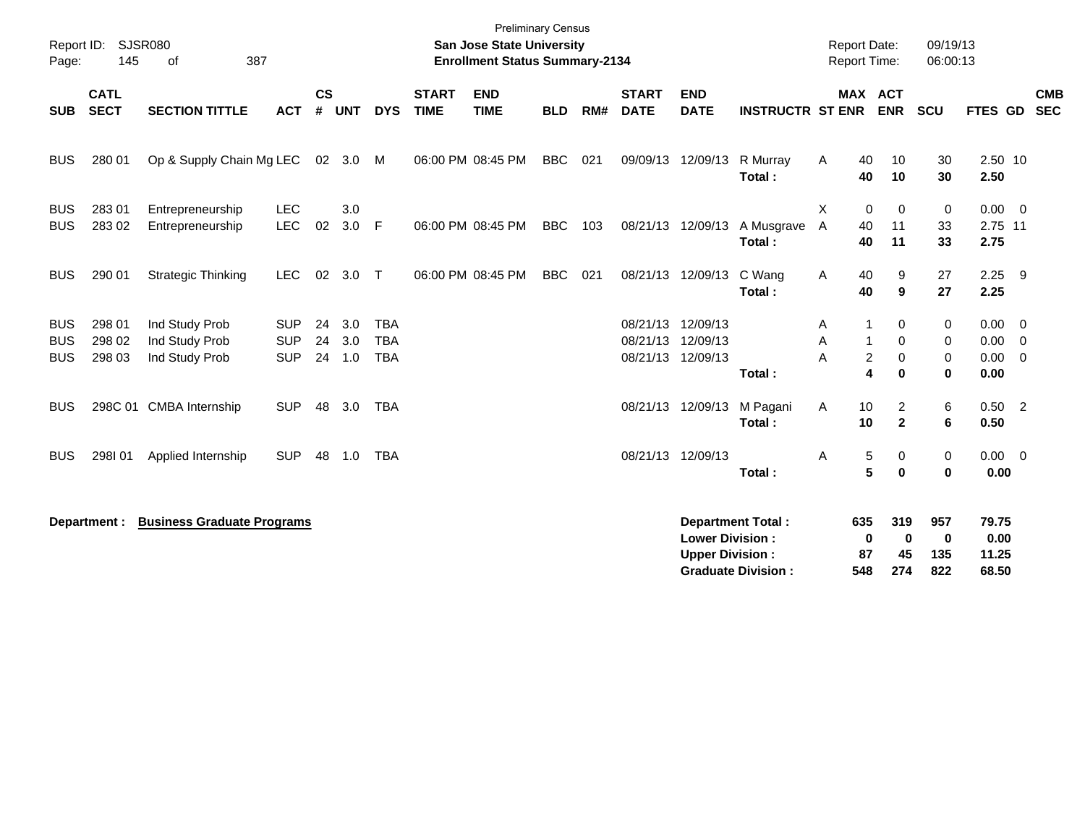| Page:                                  | Report ID: SJSR080<br>145  | 387<br>οf                                          |                                        |                    |                      |                                        |                             | <b>Preliminary Census</b><br><b>San Jose State University</b><br><b>Enrollment Status Summary-2134</b> |            |     |                             |                                                  |                                                       | <b>Report Date:</b><br><b>Report Time:</b> |                                                                  | 09/19/13<br>06:00:13             |                                                   |                          |
|----------------------------------------|----------------------------|----------------------------------------------------|----------------------------------------|--------------------|----------------------|----------------------------------------|-----------------------------|--------------------------------------------------------------------------------------------------------|------------|-----|-----------------------------|--------------------------------------------------|-------------------------------------------------------|--------------------------------------------|------------------------------------------------------------------|----------------------------------|---------------------------------------------------|--------------------------|
| <b>SUB</b>                             | <b>CATL</b><br><b>SECT</b> | <b>SECTION TITTLE</b>                              | <b>ACT</b>                             | $\mathsf{cs}$<br># | <b>UNT</b>           | <b>DYS</b>                             | <b>START</b><br><b>TIME</b> | <b>END</b><br><b>TIME</b>                                                                              | <b>BLD</b> | RM# | <b>START</b><br><b>DATE</b> | <b>END</b><br><b>DATE</b>                        | <b>INSTRUCTR ST ENR</b>                               |                                            | MAX ACT<br><b>ENR</b>                                            | <b>SCU</b>                       | <b>FTES GD</b>                                    | <b>CMB</b><br><b>SEC</b> |
| <b>BUS</b>                             | 280 01                     | Op & Supply Chain Mg LEC                           |                                        | 02                 | 3.0                  | M                                      |                             | 06:00 PM 08:45 PM                                                                                      | <b>BBC</b> | 021 | 09/09/13                    | 12/09/13                                         | R Murray<br>Total:                                    | A                                          | 40<br>10<br>40<br>10                                             | 30<br>30                         | 2.50 10<br>2.50                                   |                          |
| <b>BUS</b><br><b>BUS</b>               | 283 01<br>283 02           | Entrepreneurship<br>Entrepreneurship               | <b>LEC</b><br><b>LEC</b>               | 02                 | 3.0<br>3.0 F         |                                        |                             | 06:00 PM 08:45 PM                                                                                      | <b>BBC</b> | 103 |                             | 08/21/13 12/09/13                                | A Musgrave<br>Total:                                  | X<br>A                                     | 0<br>$\Omega$<br>40<br>11<br>40<br>11                            | 0<br>33<br>33                    | $0.00 \t 0$<br>2.75 11<br>2.75                    |                          |
| <b>BUS</b>                             | 290 01                     | <b>Strategic Thinking</b>                          | <b>LEC</b>                             | 02                 | 3.0                  | $\top$                                 |                             | 06:00 PM 08:45 PM                                                                                      | <b>BBC</b> | 021 | 08/21/13                    | 12/09/13                                         | C Wang<br>Total:                                      | Α                                          | 40<br>9<br>40<br>9                                               | 27<br>27                         | $2.25$ 9<br>2.25                                  |                          |
| <b>BUS</b><br><b>BUS</b><br><b>BUS</b> | 298 01<br>298 02<br>298 03 | Ind Study Prob<br>Ind Study Prob<br>Ind Study Prob | <b>SUP</b><br><b>SUP</b><br><b>SUP</b> | 24<br>24           | 3.0<br>3.0<br>24 1.0 | <b>TBA</b><br><b>TBA</b><br><b>TBA</b> |                             |                                                                                                        |            |     | 08/21/13<br>08/21/13        | 12/09/13<br>12/09/13<br>08/21/13 12/09/13        | Total:                                                | A<br>Α<br>Α                                | 0<br>0<br>1<br>$\overline{c}$<br>$\mathbf 0$<br>4<br>$\mathbf 0$ | 0<br>0<br>0<br>$\mathbf{0}$      | $0.00 \t 0$<br>$0.00 \t 0$<br>$0.00 \t 0$<br>0.00 |                          |
| <b>BUS</b>                             |                            | 298C 01 CMBA Internship                            | <b>SUP</b>                             | 48                 | 3.0                  | <b>TBA</b>                             |                             |                                                                                                        |            |     | 08/21/13                    | 12/09/13                                         | M Pagani<br>Total:                                    | Α                                          | $\overline{c}$<br>10<br>$\mathbf{2}$<br>10                       | 6<br>6                           | $0.50 \quad 2$<br>0.50                            |                          |
| <b>BUS</b>                             | 298101                     | Applied Internship                                 | <b>SUP</b>                             | 48                 | 1.0                  | <b>TBA</b>                             |                             |                                                                                                        |            |     |                             | 08/21/13 12/09/13                                | Total:                                                | Α                                          | 5<br>0<br>5<br>$\bf{0}$                                          | 0<br>$\mathbf 0$                 | $0.00 \t 0$<br>0.00                               |                          |
|                                        | Department :               | <b>Business Graduate Programs</b>                  |                                        |                    |                      |                                        |                             |                                                                                                        |            |     |                             | <b>Lower Division:</b><br><b>Upper Division:</b> | <b>Department Total:</b><br><b>Graduate Division:</b> | 635<br>548                                 | 319<br>$\mathbf 0$<br>0<br>87<br>45<br>274                       | 957<br>$\mathbf 0$<br>135<br>822 | 79.75<br>0.00<br>11.25<br>68.50                   |                          |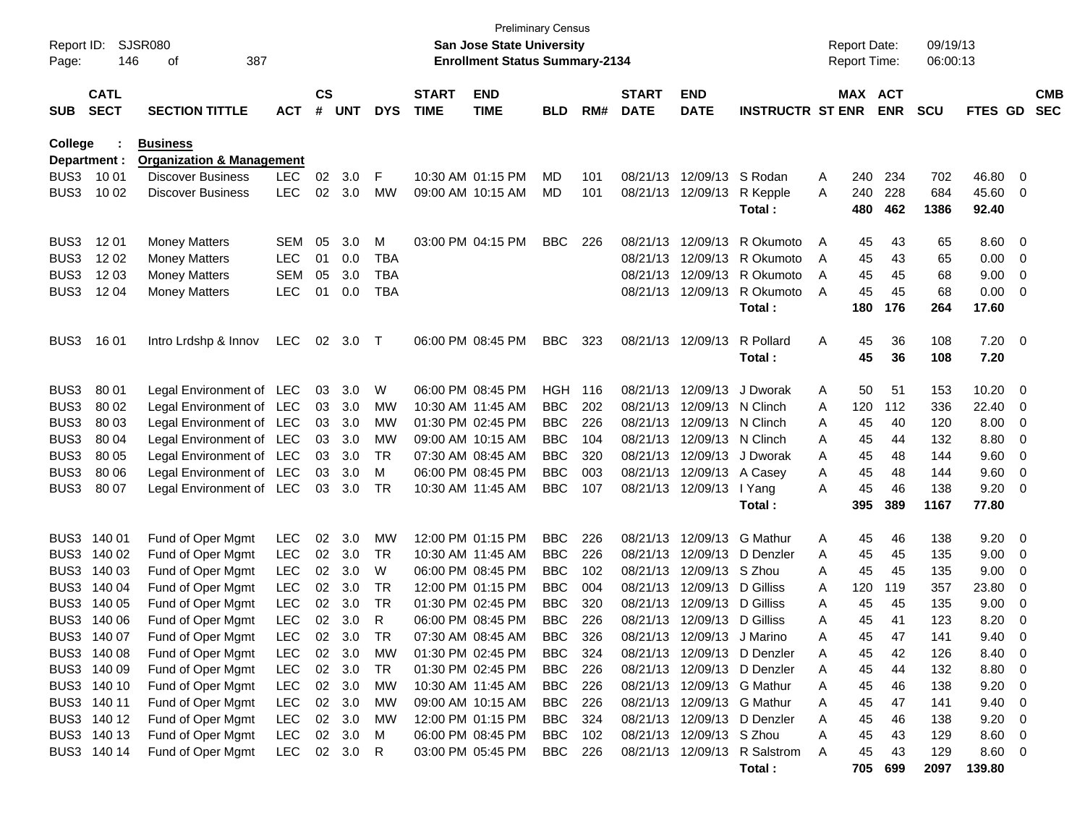| Report ID:<br>Page: | 146                        | SJSR080<br>387<br>οf                 |            |         |            |            |                             | <b>Preliminary Census</b><br><b>San Jose State University</b><br><b>Enrollment Status Summary-2134</b> |            |     |                             |                            |                                        |   | <b>Report Date:</b><br><b>Report Time:</b> |            | 09/19/13<br>06:00:13 |                |                         |                          |
|---------------------|----------------------------|--------------------------------------|------------|---------|------------|------------|-----------------------------|--------------------------------------------------------------------------------------------------------|------------|-----|-----------------------------|----------------------------|----------------------------------------|---|--------------------------------------------|------------|----------------------|----------------|-------------------------|--------------------------|
| <b>SUB</b>          | <b>CATL</b><br><b>SECT</b> | <b>SECTION TITTLE</b>                | <b>ACT</b> | CS<br># | <b>UNT</b> | <b>DYS</b> | <b>START</b><br><b>TIME</b> | <b>END</b><br><b>TIME</b>                                                                              | <b>BLD</b> | RM# | <b>START</b><br><b>DATE</b> | <b>END</b><br><b>DATE</b>  | <b>INSTRUCTR ST ENR</b>                |   | MAX ACT                                    | <b>ENR</b> | <b>SCU</b>           | FTES GD        |                         | <b>CMB</b><br><b>SEC</b> |
| College             |                            | <b>Business</b>                      |            |         |            |            |                             |                                                                                                        |            |     |                             |                            |                                        |   |                                            |            |                      |                |                         |                          |
|                     | Department :               | <b>Organization &amp; Management</b> |            |         |            |            |                             |                                                                                                        |            |     |                             |                            |                                        |   |                                            |            |                      |                |                         |                          |
| BUS3                | 10 01                      | <b>Discover Business</b>             | <b>LEC</b> | 02      | 3.0        | F          |                             | 10:30 AM 01:15 PM                                                                                      | MD         | 101 | 08/21/13                    | 12/09/13                   | S Rodan                                | Α | 240                                        | 234        | 702                  | 46.80          | 0                       |                          |
| BUS3                | 10 02                      | <b>Discover Business</b>             | <b>LEC</b> | 02      | 3.0        | MW         |                             | 09:00 AM 10:15 AM                                                                                      | MD         | 101 |                             | 08/21/13 12/09/13          | R Kepple<br>Total:                     | A | 240<br>480                                 | 228<br>462 | 684<br>1386          | 45.60<br>92.40 | 0                       |                          |
| BUS3                | 12 01                      | <b>Money Matters</b>                 | <b>SEM</b> | 05      | 3.0        | M          |                             | 03:00 PM 04:15 PM                                                                                      | <b>BBC</b> | 226 | 08/21/13                    | 12/09/13                   | R Okumoto                              | A | 45                                         | 43         | 65                   | 8.60           | 0                       |                          |
| BUS3                | 12 02                      | <b>Money Matters</b>                 | LEC        | 01      | 0.0        | <b>TBA</b> |                             |                                                                                                        |            |     | 08/21/13                    | 12/09/13                   | R Okumoto                              | A | 45                                         | 43         | 65                   | 0.00           | 0                       |                          |
| BUS3                | 12 03                      | <b>Money Matters</b>                 | <b>SEM</b> | 05      | 3.0        | <b>TBA</b> |                             |                                                                                                        |            |     | 08/21/13                    | 12/09/13                   | R Okumoto                              | A | 45                                         | 45         | 68                   | 9.00           | 0                       |                          |
| BUS3                | 12 04                      | <b>Money Matters</b>                 | LEC        | 01      | 0.0        | <b>TBA</b> |                             |                                                                                                        |            |     |                             | 08/21/13 12/09/13          | R Okumoto<br>Total:                    | A | 45<br>180                                  | 45<br>176  | 68<br>264            | 0.00<br>17.60  | 0                       |                          |
| BUS3                | 16 01                      | Intro Lrdshp & Innov                 | <b>LEC</b> | 02      | 3.0        | $\top$     |                             | 06:00 PM 08:45 PM                                                                                      | <b>BBC</b> | 323 |                             | 08/21/13 12/09/13          | R Pollard<br>Total:                    | Α | 45<br>45                                   | 36<br>36   | 108<br>108           | 7.20<br>7.20   | $\overline{\mathbf{0}}$ |                          |
| BUS3                | 80 01                      | Legal Environment of LEC             |            | 03      | 3.0        | W          |                             | 06:00 PM 08:45 PM                                                                                      | <b>HGH</b> | 116 | 08/21/13                    | 12/09/13                   | J Dworak                               | Α | 50                                         | 51         | 153                  | 10.20          | 0                       |                          |
| BUS3                | 80 02                      | Legal Environment of LEC             |            | 03      | 3.0        | МW         |                             | 10:30 AM 11:45 AM                                                                                      | <b>BBC</b> | 202 | 08/21/13                    | 12/09/13                   | N Clinch                               | Α | 120                                        | 112        | 336                  | 22.40          | 0                       |                          |
| BUS3                | 80 03                      | Legal Environment of LEC             |            | 03      | 3.0        | MW         |                             | 01:30 PM 02:45 PM                                                                                      | <b>BBC</b> | 226 | 08/21/13                    | 12/09/13                   | N Clinch                               | Α | 45                                         | 40         | 120                  | 8.00           | 0                       |                          |
| BUS3                | 80 04                      | Legal Environment of LEC             |            | 03      | 3.0        | MW         |                             | 09:00 AM 10:15 AM                                                                                      | <b>BBC</b> | 104 | 08/21/13                    | 12/09/13                   | N Clinch                               | A | 45                                         | 44         | 132                  | 8.80           | 0                       |                          |
| BUS3                | 80 05                      | Legal Environment of LEC             |            | 03      | 3.0        | TR         |                             | 07:30 AM 08:45 AM                                                                                      | <b>BBC</b> | 320 | 08/21/13                    | 12/09/13                   | J Dworak                               | Α | 45                                         | 48         | 144                  | 9.60           | 0                       |                          |
| BUS3                | 80 06                      | Legal Environment of LEC             |            | 03      | 3.0        | м          |                             | 06:00 PM 08:45 PM                                                                                      | <b>BBC</b> | 003 | 08/21/13                    | 12/09/13                   | A Casey                                | Α | 45                                         | 48         | 144                  | 9.60           | 0                       |                          |
| BUS3                | 80 07                      | Legal Environment of LEC             |            | 03      | 3.0        | TR         |                             | 10:30 AM 11:45 AM                                                                                      | <b>BBC</b> | 107 |                             | 08/21/13 12/09/13          | I Yang                                 | A | 45                                         | 46         | 138                  | 9.20           | 0                       |                          |
|                     |                            |                                      |            |         |            |            |                             |                                                                                                        |            |     |                             |                            | Total:                                 |   | 395                                        | 389        | 1167                 | 77.80          |                         |                          |
| BUS3                | 140 01                     | Fund of Oper Mgmt                    | LEC        | 02      | 3.0        | MW         |                             | 12:00 PM 01:15 PM                                                                                      | <b>BBC</b> | 226 | 08/21/13                    | 12/09/13                   | <b>G</b> Mathur                        | Α | 45                                         | 46         | 138                  | 9.20           | 0                       |                          |
| BUS3                | 140 02                     | Fund of Oper Mgmt                    | LEC        | 02      | 3.0        | TR         |                             | 10:30 AM 11:45 AM                                                                                      | <b>BBC</b> | 226 | 08/21/13                    | 12/09/13                   | D Denzler                              | Α | 45                                         | 45         | 135                  | 9.00           | 0                       |                          |
| BUS3                | 140 03                     | Fund of Oper Mgmt                    | <b>LEC</b> | 02      | 3.0        | W          |                             | 06:00 PM 08:45 PM                                                                                      | <b>BBC</b> | 102 | 08/21/13                    | 12/09/13                   | S Zhou                                 | A | 45                                         | 45         | 135                  | 9.00           | 0                       |                          |
| BUS3                | 140 04                     | Fund of Oper Mgmt                    | LEC        | 02      | 3.0        | TR         |                             | 12:00 PM 01:15 PM                                                                                      | <b>BBC</b> | 004 | 08/21/13                    | 12/09/13                   | D Gilliss                              | Α | 120                                        | 119        | 357                  | 23.80          | 0                       |                          |
| BUS3                | 140 05                     | Fund of Oper Mgmt                    | LEC        | 02      | 3.0        | TR         |                             | 01:30 PM 02:45 PM                                                                                      | <b>BBC</b> | 320 | 08/21/13                    | 12/09/13                   | D Gilliss                              | Α | 45                                         | 45         | 135                  | 9.00           | 0                       |                          |
| BUS3                | 140 06                     | Fund of Oper Mgmt                    | <b>LEC</b> | 02      | 3.0        | R          |                             | 06:00 PM 08:45 PM                                                                                      | <b>BBC</b> | 226 |                             | 08/21/13 12/09/13          | D Gilliss                              | Α | 45                                         | 41         | 123                  | 8.20           | 0                       |                          |
|                     | BUS3 140 07                | Fund of Oper Mgmt                    | LEC        |         | 02 3.0     | <b>TR</b>  |                             | 07:30 AM 08:45 AM                                                                                      | <b>BBC</b> | 326 |                             | 08/21/13 12/09/13 J Marino |                                        | Α | 45                                         | 47         | 141                  | 9.40           | $\Omega$                |                          |
|                     | BUS3 140 08                | Fund of Oper Mgmt                    | LEC        | 02      | 3.0        | МW         |                             | 01:30 PM 02:45 PM                                                                                      | BBC        | 324 |                             |                            | 08/21/13 12/09/13 D Denzler            | A | 45                                         | 42         | 126                  | 8.40           | 0                       |                          |
| BUS3                | 140 09                     | Fund of Oper Mgmt                    | <b>LEC</b> | 02      | 3.0        | TR         |                             | 01:30 PM 02:45 PM                                                                                      | BBC        | 226 |                             |                            | 08/21/13 12/09/13 D Denzler            | A | 45                                         | 44         | 132                  | 8.80           | 0                       |                          |
| BUS3                | 140 10                     | Fund of Oper Mgmt                    | <b>LEC</b> | 02      | 3.0        | MW         |                             | 10:30 AM 11:45 AM                                                                                      | BBC        | 226 |                             |                            | 08/21/13 12/09/13 G Mathur             | Α | 45                                         | 46         | 138                  | 9.20           | 0                       |                          |
| BUS3                | 140 11                     | Fund of Oper Mgmt                    | <b>LEC</b> | 02      | 3.0        | MW         |                             | 09:00 AM 10:15 AM                                                                                      | BBC        | 226 |                             |                            | 08/21/13 12/09/13 G Mathur             | Α | 45                                         | 47         | 141                  | 9.40           | 0                       |                          |
| BUS3                | 140 12                     | Fund of Oper Mgmt                    | <b>LEC</b> | 02      | 3.0        | MW         |                             | 12:00 PM 01:15 PM                                                                                      | BBC        | 324 |                             | 08/21/13 12/09/13          | D Denzler                              | Α | 45                                         | 46         | 138                  | 9.20           | 0                       |                          |
|                     | BUS3 140 13                | Fund of Oper Mgmt                    | LEC        | 02      | 3.0        | M          |                             | 06:00 PM 08:45 PM                                                                                      | BBC        | 102 |                             | 08/21/13 12/09/13 S Zhou   |                                        | Α | 45                                         | 43         | 129                  | 8.60           | 0                       |                          |
|                     | BUS3 140 14                | Fund of Oper Mgmt                    | <b>LEC</b> |         | 02 3.0     | R          |                             | 03:00 PM 05:45 PM                                                                                      | BBC        | 226 |                             |                            | 08/21/13 12/09/13 R Salstrom<br>Total: | Α | 45<br>705                                  | 43<br>699  | 129<br>2097          | 8.60<br>139.80 | 0                       |                          |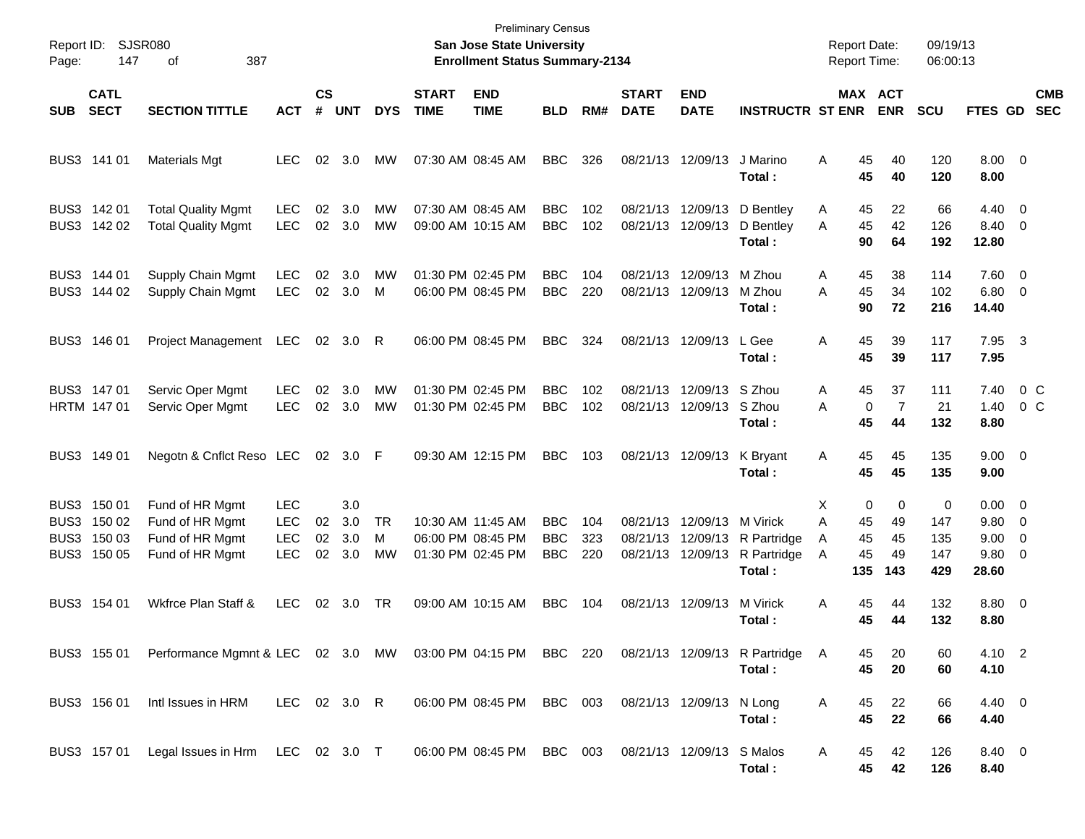| Page:      | Report ID: SJSR080<br>147                                | 387<br>οf                                                                |                                                      |                    |                          |               |                             | <b>Preliminary Census</b><br><b>San Jose State University</b><br><b>Enrollment Status Summary-2134</b> |                                        |                   |                                  |                                             |                                                  |                         | <b>Report Date:</b><br><b>Report Time:</b>        | 09/19/13<br>06:00:13          |                                                  |                          |                          |
|------------|----------------------------------------------------------|--------------------------------------------------------------------------|------------------------------------------------------|--------------------|--------------------------|---------------|-----------------------------|--------------------------------------------------------------------------------------------------------|----------------------------------------|-------------------|----------------------------------|---------------------------------------------|--------------------------------------------------|-------------------------|---------------------------------------------------|-------------------------------|--------------------------------------------------|--------------------------|--------------------------|
| <b>SUB</b> | <b>CATL</b><br><b>SECT</b>                               | <b>SECTION TITTLE</b>                                                    | <b>ACT</b>                                           | $\mathsf{cs}$<br># | <b>UNT</b>               | <b>DYS</b>    | <b>START</b><br><b>TIME</b> | <b>END</b><br><b>TIME</b>                                                                              | <b>BLD</b>                             | RM#               | <b>START</b><br><b>DATE</b>      | <b>END</b><br><b>DATE</b>                   | <b>INSTRUCTR ST ENR</b>                          |                         | MAX ACT<br><b>ENR</b>                             | <b>SCU</b>                    | <b>FTES GD</b>                                   |                          | <b>CMB</b><br><b>SEC</b> |
|            | BUS3 141 01                                              | <b>Materials Mgt</b>                                                     | <b>LEC</b>                                           | 02                 | 3.0                      | MW            | 07:30 AM 08:45 AM           |                                                                                                        | <b>BBC</b>                             | 326               |                                  | 08/21/13 12/09/13                           | J Marino<br>Total:                               | A                       | 45<br>40<br>45<br>40                              | 120<br>120                    | $8.00 \t 0$<br>8.00                              |                          |                          |
|            | BUS3 142 01<br>BUS3 142 02                               | <b>Total Quality Mgmt</b><br><b>Total Quality Mgmt</b>                   | <b>LEC</b><br><b>LEC</b>                             | 02<br>02           | 3.0<br>3.0               | MW<br>MW      |                             | 07:30 AM 08:45 AM<br>09:00 AM 10:15 AM                                                                 | <b>BBC</b><br><b>BBC</b>               | 102<br>102        | 08/21/13<br>08/21/13             | 12/09/13<br>12/09/13                        | D Bentley<br>D Bentley<br>Total:                 | A<br>A                  | 22<br>45<br>45<br>42<br>90<br>64                  | 66<br>126<br>192              | $4.40 \quad 0$<br>8.40 0<br>12.80                |                          |                          |
|            | BUS3 144 01<br>BUS3 144 02                               | Supply Chain Mgmt<br>Supply Chain Mgmt                                   | <b>LEC</b><br><b>LEC</b>                             | 02                 | 3.0<br>02 3.0            | MW<br>M       | 01:30 PM 02:45 PM           | 06:00 PM 08:45 PM                                                                                      | <b>BBC</b><br><b>BBC</b>               | 104<br>220        | 08/21/13<br>08/21/13             | 12/09/13<br>12/09/13                        | M Zhou<br>M Zhou<br>Total:                       | A<br>A                  | 45<br>38<br>45<br>34<br>90<br>72                  | 114<br>102<br>216             | 7.60 0<br>$6.80$ 0<br>14.40                      |                          |                          |
|            | BUS3 146 01                                              | <b>Project Management</b>                                                | LEC                                                  | 02                 | 3.0                      | R             |                             | 06:00 PM 08:45 PM                                                                                      | <b>BBC</b>                             | 324               | 08/21/13 12/09/13                |                                             | L Gee<br>Total:                                  | Α                       | 45<br>39<br>45<br>39                              | 117<br>117                    | 7.95<br>7.95                                     | $\overline{\mathbf{3}}$  |                          |
|            | BUS3 147 01<br>HRTM 147 01                               | Servic Oper Mgmt<br>Servic Oper Mgmt                                     | <b>LEC</b><br><b>LEC</b>                             | 02<br>02           | 3.0<br>3.0               | MW<br>MW      | 01:30 PM 02:45 PM           | 01:30 PM 02:45 PM                                                                                      | <b>BBC</b><br><b>BBC</b>               | 102<br>102        | 08/21/13                         | 12/09/13 S Zhou<br>08/21/13 12/09/13 S Zhou | Total:                                           | A<br>A                  | 45<br>37<br>$\overline{7}$<br>0<br>45<br>44       | 111<br>21<br>132              | 7.40<br>1.40<br>8.80                             |                          | 0 <sup>o</sup><br>$0\,C$ |
|            | BUS3 149 01                                              | Negotn & Cnflct Reso LEC                                                 |                                                      |                    | 02 3.0 F                 |               |                             | 09:30 AM 12:15 PM                                                                                      | <b>BBC</b>                             | 103               | 08/21/13 12/09/13                |                                             | K Bryant<br>Total:                               | A                       | 45<br>45<br>45<br>45                              | 135<br>135                    | $9.00 \t 0$<br>9.00                              |                          |                          |
|            | BUS3 150 01<br>BUS3 150 02<br>BUS3 150 03<br>BUS3 150 05 | Fund of HR Mgmt<br>Fund of HR Mgmt<br>Fund of HR Mgmt<br>Fund of HR Mgmt | <b>LEC</b><br><b>LEC</b><br><b>LEC</b><br><b>LEC</b> | 02<br>02<br>02     | 3.0<br>3.0<br>3.0<br>3.0 | TR<br>м<br>МW |                             | 10:30 AM 11:45 AM<br>06:00 PM 08:45 PM<br>01:30 PM 02:45 PM                                            | <b>BBC</b><br><b>BBC</b><br><b>BBC</b> | 104<br>323<br>220 | 08/21/13<br>08/21/13<br>08/21/13 | 12/09/13<br>12/09/13<br>12/09/13            | M Virick<br>R Partridge<br>R Partridge<br>Total: | X<br>A<br>A<br>A<br>135 | 0<br>0<br>45<br>49<br>45<br>45<br>45<br>49<br>143 | 0<br>147<br>135<br>147<br>429 | $0.00 \t 0$<br>9.80 0<br>9.00<br>9.80 0<br>28.60 | $\overline{\phantom{0}}$ |                          |
|            | BUS3 154 01                                              | Wkfrce Plan Staff &                                                      | <b>LEC</b>                                           | 02                 | 3.0                      | TR            |                             | 09:00 AM 10:15 AM                                                                                      | <b>BBC</b>                             | 104               | 08/21/13 12/09/13                |                                             | M Virick<br>Total :                              | Α                       | 45<br>44<br>45<br>44                              | 132<br>132                    | 8.80 0<br>8.80                                   |                          |                          |
|            | BUS3 155 01                                              | Performance Mgmnt & LEC 02 3.0 MW 03:00 PM 04:15 PM BBC 220              |                                                      |                    |                          |               |                             |                                                                                                        |                                        |                   |                                  |                                             | 08/21/13 12/09/13 R Partridge<br>Total:          | A                       | 20<br>45<br>45<br>20                              | 60<br>60                      | 4.10 2<br>4.10                                   |                          |                          |
|            | BUS3 156 01                                              | Intl Issues in HRM                                                       | LEC 02 3.0 R                                         |                    |                          |               |                             | 06:00 PM 08:45 PM BBC 003                                                                              |                                        |                   |                                  | 08/21/13 12/09/13 N Long                    | Total:                                           | A                       | 45<br>22<br>45<br>22                              | 66<br>66                      | $4.40 \quad 0$<br>4.40                           |                          |                          |
|            | BUS3 157 01                                              | Legal Issues in Hrm LEC 02 3.0 T                                         |                                                      |                    |                          |               |                             | 06:00 PM 08:45 PM BBC 003                                                                              |                                        |                   |                                  | 08/21/13 12/09/13 S Malos                   | Total:                                           | A                       | 42<br>45<br>45<br>42                              | 126<br>126                    | 8.40 0<br>8.40                                   |                          |                          |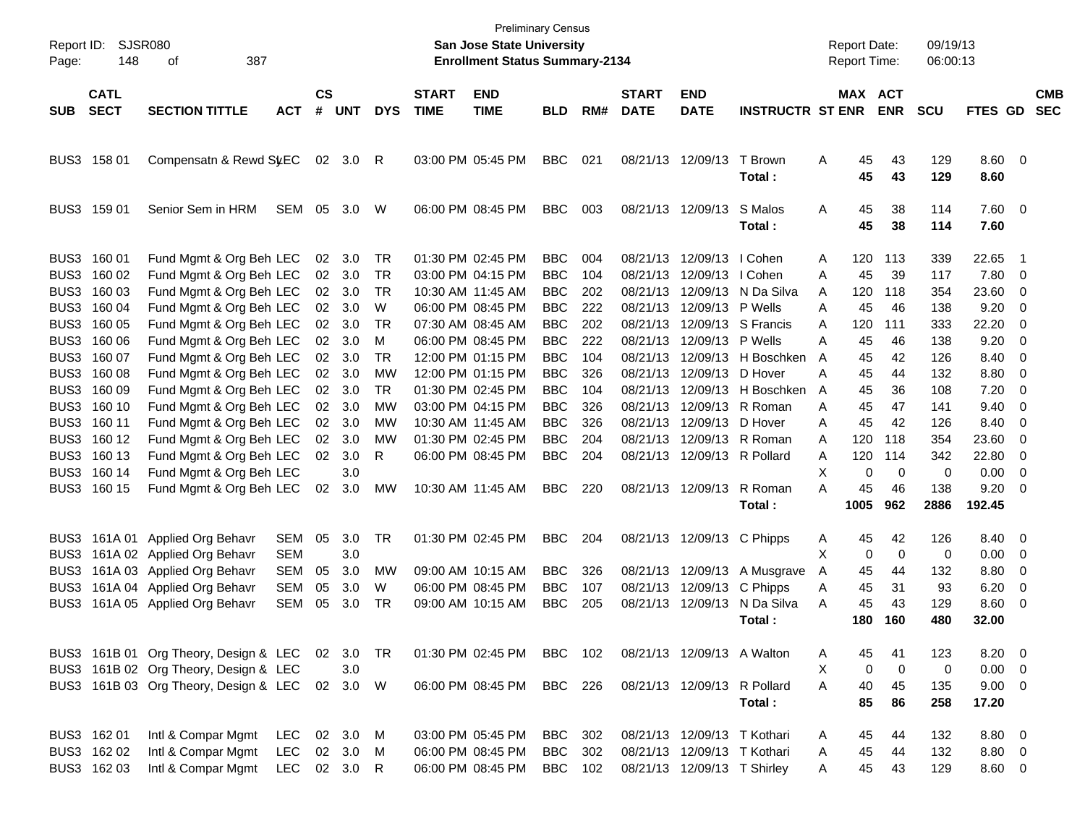| Report ID:<br>Page: | 148                        | <b>SJSR080</b><br>387<br>οf           |            |                    |            |            |                             | <b>Preliminary Census</b><br>San Jose State University<br><b>Enrollment Status Summary-2134</b> |            |     |                             |                             |                         |   | Report Date:<br><b>Report Time:</b> |             | 09/19/13<br>06:00:13 |                |                          |                          |
|---------------------|----------------------------|---------------------------------------|------------|--------------------|------------|------------|-----------------------------|-------------------------------------------------------------------------------------------------|------------|-----|-----------------------------|-----------------------------|-------------------------|---|-------------------------------------|-------------|----------------------|----------------|--------------------------|--------------------------|
| <b>SUB</b>          | <b>CATL</b><br><b>SECT</b> | <b>SECTION TITTLE</b>                 | <b>ACT</b> | $\mathsf{cs}$<br># | <b>UNT</b> | <b>DYS</b> | <b>START</b><br><b>TIME</b> | <b>END</b><br><b>TIME</b>                                                                       | <b>BLD</b> | RM# | <b>START</b><br><b>DATE</b> | <b>END</b><br><b>DATE</b>   | <b>INSTRUCTR ST ENR</b> |   | MAX ACT                             | <b>ENR</b>  | <b>SCU</b>           | FTES GD        |                          | <b>CMB</b><br><b>SEC</b> |
|                     |                            |                                       |            |                    |            |            |                             |                                                                                                 |            |     |                             |                             |                         |   |                                     |             |                      |                |                          |                          |
| BUS3                | 158 01                     | Compensatn & Rewd SyEC                |            | 02                 | -3.0       | R          |                             | 03:00 PM 05:45 PM                                                                               | <b>BBC</b> | 021 |                             | 08/21/13 12/09/13           | T Brown<br>Total:       | A | 45<br>45                            | 43<br>43    | 129<br>129           | 8.60 0<br>8.60 |                          |                          |
| BUS3                | 159 01                     | Senior Sem in HRM                     | <b>SEM</b> | 05                 | 3.0        | W          |                             | 06:00 PM 08:45 PM                                                                               | <b>BBC</b> | 003 |                             | 08/21/13 12/09/13           | S Malos<br>Total:       | Α | 45<br>45                            | 38<br>38    | 114<br>114           | 7.60<br>7.60   | $\overline{\mathbf{0}}$  |                          |
| BUS3                | 160 01                     | Fund Mgmt & Org Beh LEC               |            | 02                 | 3.0        | TR         |                             | 01:30 PM 02:45 PM                                                                               | <b>BBC</b> | 004 | 08/21/13                    | 12/09/13                    | I Cohen                 | Α | 120                                 | 113         | 339                  | 22.65          | -1                       |                          |
| BUS3                | 160 02                     | Fund Mgmt & Org Beh LEC               |            | 02                 | 3.0        | TR         |                             | 03:00 PM 04:15 PM                                                                               | <b>BBC</b> | 104 | 08/21/13                    | 12/09/13                    | I Cohen                 | A | 45                                  | 39          | 117                  | 7.80           | 0                        |                          |
| BUS3                | 160 03                     | Fund Mgmt & Org Beh LEC               |            | 02                 | 3.0        | TR         |                             | 10:30 AM 11:45 AM                                                                               | <b>BBC</b> | 202 | 08/21/13                    | 12/09/13                    | N Da Silva              | A | 120                                 | 118         | 354                  | 23.60          | 0                        |                          |
| BUS3                | 160 04                     | Fund Mgmt & Org Beh LEC               |            | 02                 | 3.0        | W          |                             | 06:00 PM 08:45 PM                                                                               | <b>BBC</b> | 222 | 08/21/13                    | 12/09/13                    | P Wells                 | A | 45                                  | 46          | 138                  | 9.20           | 0                        |                          |
| BUS3                | 160 05                     | Fund Mgmt & Org Beh LEC               |            | 02                 | 3.0        | <b>TR</b>  |                             | 07:30 AM 08:45 AM                                                                               | <b>BBC</b> | 202 | 08/21/13                    | 12/09/13                    | S Francis               | A | 120                                 | 111         | 333                  | 22.20          | 0                        |                          |
| BUS3                | 160 06                     | Fund Mgmt & Org Beh LEC               |            | 02                 | 3.0        | м          |                             | 06:00 PM 08:45 PM                                                                               | <b>BBC</b> | 222 | 08/21/13                    | 12/09/13                    | P Wells                 | A | 45                                  | 46          | 138                  | 9.20           | 0                        |                          |
| BUS3                | 160 07                     | Fund Mgmt & Org Beh LEC               |            | 02                 | 3.0        | TR         |                             | 12:00 PM 01:15 PM                                                                               | <b>BBC</b> | 104 | 08/21/13                    | 12/09/13                    | H Boschken              | A | 45                                  | 42          | 126                  | 8.40           | 0                        |                          |
| BUS3                | 160 08                     | Fund Mgmt & Org Beh LEC               |            | 02                 | 3.0        | MW         |                             | 12:00 PM 01:15 PM                                                                               | <b>BBC</b> | 326 | 08/21/13                    | 12/09/13                    | D Hover                 | A | 45                                  | 44          | 132                  | 8.80           | 0                        |                          |
| BUS3                | 160 09                     | Fund Mgmt & Org Beh LEC               |            | 02                 | 3.0        | TR         |                             | 01:30 PM 02:45 PM                                                                               | <b>BBC</b> | 104 | 08/21/13                    | 12/09/13                    | H Boschken              | A | 45                                  | 36          | 108                  | 7.20           | 0                        |                          |
| BUS3                | 160 10                     | Fund Mgmt & Org Beh LEC               |            | 02                 | 3.0        | MW         |                             | 03:00 PM 04:15 PM                                                                               | <b>BBC</b> | 326 | 08/21/13                    | 12/09/13                    | R Roman                 | A | 45                                  | 47          | 141                  | 9.40           | 0                        |                          |
| BUS3                | 160 11                     | Fund Mgmt & Org Beh LEC               |            | 02                 | 3.0        | MW         |                             | 10:30 AM 11:45 AM                                                                               | <b>BBC</b> | 326 | 08/21/13                    | 12/09/13                    | D Hover                 | A | 45                                  | 42          | 126                  | 8.40           | 0                        |                          |
| BUS3                | 160 12                     | Fund Mgmt & Org Beh LEC               |            | 02                 | 3.0        | MW         |                             | 01:30 PM 02:45 PM                                                                               | <b>BBC</b> | 204 | 08/21/13                    | 12/09/13                    | R Roman                 | A | 120                                 | 118         | 354                  | 23.60          | 0                        |                          |
| BUS3                | 160 13                     | Fund Mgmt & Org Beh LEC               |            | 02                 | 3.0        | R          |                             | 06:00 PM 08:45 PM                                                                               | <b>BBC</b> | 204 | 08/21/13                    | 12/09/13                    | R Pollard               | Α | 120                                 | 114         | 342                  | 22.80          | 0                        |                          |
| BUS3                | 160 14                     | Fund Mgmt & Org Beh LEC               |            |                    | 3.0        |            |                             |                                                                                                 |            |     |                             |                             |                         | Χ | 0                                   | 0           | 0                    | 0.00           | 0                        |                          |
| BUS3                | 160 15                     | Fund Mgmt & Org Beh LEC               |            | 02                 | 3.0        | MW         |                             | 10:30 AM 11:45 AM                                                                               | <b>BBC</b> | 220 |                             | 08/21/13 12/09/13           | R Roman                 | A | 45                                  | 46          | 138                  | 9.20           | $\overline{0}$           |                          |
|                     |                            |                                       |            |                    |            |            |                             |                                                                                                 |            |     |                             |                             | Total:                  |   | 1005                                | 962         | 2886                 | 192.45         |                          |                          |
| BUS3                | 161A 01                    | <b>Applied Org Behavr</b>             | <b>SEM</b> | 05                 | 3.0        | <b>TR</b>  |                             | 01:30 PM 02:45 PM                                                                               | <b>BBC</b> | 204 |                             | 08/21/13 12/09/13           | C Phipps                | A | 45                                  | 42          | 126                  | 8.40           | 0                        |                          |
| BUS3                |                            | 161A 02 Applied Org Behavr            | <b>SEM</b> |                    | 3.0        |            |                             |                                                                                                 |            |     |                             |                             |                         | X | 0                                   | 0           | 0                    | 0.00           | 0                        |                          |
| BUS3                |                            | 161A 03 Applied Org Behavr            | <b>SEM</b> | 05                 | 3.0        | MW         |                             | 09:00 AM 10:15 AM                                                                               | <b>BBC</b> | 326 |                             | 08/21/13 12/09/13           | A Musgrave              | A | 45                                  | 44          | 132                  | 8.80           | 0                        |                          |
| BUS3                |                            | 161A 04 Applied Org Behavr            | <b>SEM</b> | 05                 | 3.0        | W          |                             | 06:00 PM 08:45 PM                                                                               | <b>BBC</b> | 107 | 08/21/13                    | 12/09/13                    | C Phipps                | Α | 45                                  | 31          | 93                   | 6.20           | 0                        |                          |
| BUS <sub>3</sub>    |                            | 161A 05 Applied Org Behavr            | <b>SEM</b> | 05                 | 3.0        | TR         |                             | 09:00 AM 10:15 AM                                                                               | <b>BBC</b> | 205 |                             | 08/21/13 12/09/13           | N Da Silva              | A | 45                                  | 43          | 129                  | 8.60           | 0                        |                          |
|                     |                            |                                       |            |                    |            |            |                             |                                                                                                 |            |     |                             |                             | Total:                  |   | 180                                 | 160         | 480                  | 32.00          |                          |                          |
|                     |                            | BUS3 161B 01 Org Theory, Design & LEC |            |                    | 02 3.0 TR  |            |                             | 01:30 PM 02:45 PM                                                                               | BBC        | 102 |                             | 08/21/13 12/09/13 A Walton  |                         | Α | 45                                  | 41          | 123                  | 8.20           | $\overline{\phantom{0}}$ |                          |
|                     |                            | BUS3 161B 02 Org Theory, Design & LEC |            |                    | 3.0        |            |                             |                                                                                                 |            |     |                             |                             |                         | х | 0                                   | $\mathbf 0$ | 0                    | 0.00           | $\overline{\mathbf{0}}$  |                          |
|                     |                            | BUS3 161B 03 Org Theory, Design & LEC |            |                    | 02 3.0 W   |            |                             | 06:00 PM 08:45 PM                                                                               | BBC 226    |     |                             | 08/21/13 12/09/13 R Pollard |                         | A | 40                                  | 45          | 135                  | $9.00 \t 0$    |                          |                          |
|                     |                            |                                       |            |                    |            |            |                             |                                                                                                 |            |     |                             |                             | Total:                  |   | 85                                  | 86          | 258                  | 17.20          |                          |                          |
|                     | BUS3 162 01                | Intl & Compar Mgmt                    | LEC        |                    | 02 3.0     | M          |                             | 03:00 PM 05:45 PM                                                                               | BBC        | 302 |                             | 08/21/13 12/09/13 T Kothari |                         | A | 45                                  | 44          | 132                  | 8.80 0         |                          |                          |
|                     | BUS3 162 02                | Intl & Compar Mgmt                    | LEC        |                    | 02 3.0     | M          |                             | 06:00 PM 08:45 PM                                                                               | <b>BBC</b> | 302 |                             | 08/21/13 12/09/13 T Kothari |                         | Α | 45                                  | 44          | 132                  | 8.80 0         |                          |                          |
|                     | BUS3 162 03                | Intl & Compar Mgmt                    | <b>LEC</b> |                    | 02 3.0 R   |            |                             | 06:00 PM 08:45 PM                                                                               | BBC        | 102 |                             | 08/21/13 12/09/13 T Shirley |                         | Α | 45                                  | 43          | 129                  | 8.60 0         |                          |                          |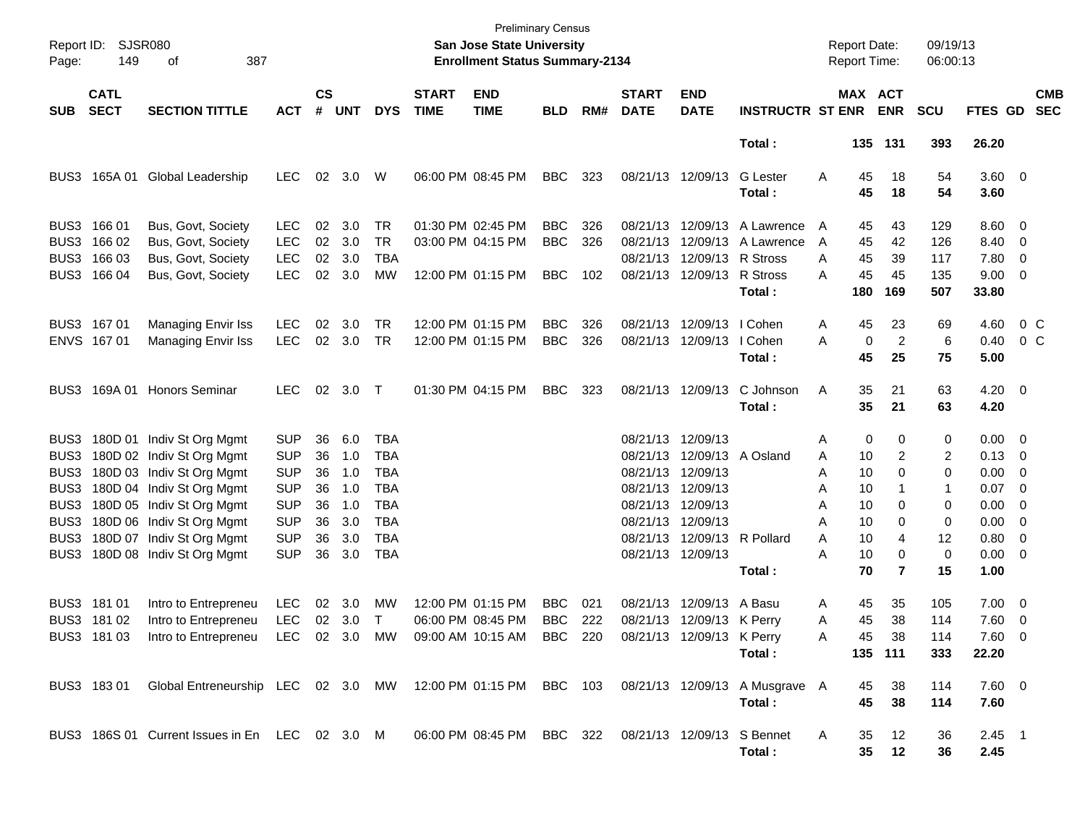| Page:      | Report ID: SJSR080<br>149  | 387<br>of                                                                                               |            |                    |            |            |                             | <b>Preliminary Census</b><br><b>San Jose State University</b><br><b>Enrollment Status Summary-2134</b> |            |     |                             |                             |                              |   | <b>Report Date:</b><br>Report Time: |                | 09/19/13<br>06:00:13 |                    |                          |
|------------|----------------------------|---------------------------------------------------------------------------------------------------------|------------|--------------------|------------|------------|-----------------------------|--------------------------------------------------------------------------------------------------------|------------|-----|-----------------------------|-----------------------------|------------------------------|---|-------------------------------------|----------------|----------------------|--------------------|--------------------------|
| <b>SUB</b> | <b>CATL</b><br><b>SECT</b> | <b>SECTION TITTLE</b>                                                                                   | <b>ACT</b> | $\mathsf{cs}$<br># | <b>UNT</b> | <b>DYS</b> | <b>START</b><br><b>TIME</b> | <b>END</b><br><b>TIME</b>                                                                              | <b>BLD</b> | RM# | <b>START</b><br><b>DATE</b> | <b>END</b><br><b>DATE</b>   | <b>INSTRUCTR ST ENR</b>      |   | MAX ACT                             | <b>ENR</b>     | <b>SCU</b>           | <b>FTES GD</b>     | <b>CMB</b><br><b>SEC</b> |
|            |                            |                                                                                                         |            |                    |            |            |                             |                                                                                                        |            |     |                             |                             | Total:                       |   |                                     | 135 131        | 393                  | 26.20              |                          |
| BUS3       | 165A 01                    | Global Leadership                                                                                       | <b>LEC</b> | 02                 | 3.0        | W          |                             | 06:00 PM 08:45 PM                                                                                      | <b>BBC</b> | 323 | 08/21/13 12/09/13           |                             | <b>G</b> Lester<br>Total :   | Α | 45<br>45                            | 18<br>18       | 54<br>54             | $3.60 \ 0$<br>3.60 |                          |
|            | BUS3 166 01                | Bus, Govt, Society                                                                                      | <b>LEC</b> | 02                 | 3.0        | TR         |                             | 01:30 PM 02:45 PM                                                                                      | <b>BBC</b> | 326 |                             | 08/21/13 12/09/13           | A Lawrence                   | A | 45                                  | 43             | 129                  | $8.60 \quad 0$     |                          |
| BUS3       | 166 02                     | Bus, Govt, Society                                                                                      | <b>LEC</b> |                    | 02 3.0     | <b>TR</b>  |                             | 03:00 PM 04:15 PM                                                                                      | <b>BBC</b> | 326 |                             |                             | 08/21/13 12/09/13 A Lawrence | A | 45                                  | 42             | 126                  | 8.40 0             |                          |
| BUS3       | 166 03                     | Bus, Govt, Society                                                                                      | <b>LEC</b> | $02\,$             | 3.0        | TBA        |                             |                                                                                                        |            |     |                             | 08/21/13 12/09/13 R Stross  |                              | A | 45                                  | 39             | 117                  | 7.80               | $\overline{\phantom{0}}$ |
| BUS3       | 166 04                     | Bus, Govt, Society                                                                                      | <b>LEC</b> | 02                 | 3.0        | MW         |                             | 12:00 PM 01:15 PM                                                                                      | <b>BBC</b> | 102 |                             | 08/21/13 12/09/13           | R Stross                     | A | 45                                  | 45             | 135                  | $9.00 \t 0$        |                          |
|            |                            |                                                                                                         |            |                    |            |            |                             |                                                                                                        |            |     |                             |                             | Total:                       |   | 180                                 | 169            | 507                  | 33.80              |                          |
|            | BUS3 167 01                | <b>Managing Envir Iss</b>                                                                               | <b>LEC</b> | 02                 | 3.0        | TR         |                             | 12:00 PM 01:15 PM                                                                                      | <b>BBC</b> | 326 |                             | 08/21/13 12/09/13           | I Cohen                      | Α | 45                                  | 23             | 69                   | 4.60               | 0 C                      |
|            | ENVS 167 01                | Managing Envir Iss                                                                                      | <b>LEC</b> |                    | 02 3.0     | TR         |                             | 12:00 PM 01:15 PM                                                                                      | <b>BBC</b> | 326 |                             | 08/21/13 12/09/13           | I Cohen                      | A | 0                                   | 2              | 6                    | 0.40               | 0 C                      |
|            |                            |                                                                                                         |            |                    |            |            |                             |                                                                                                        |            |     |                             |                             | Total:                       |   | 45                                  | 25             | 75                   | 5.00               |                          |
| BUS3       | 169A 01                    | <b>Honors Seminar</b>                                                                                   | <b>LEC</b> | 02                 | 3.0        | $\top$     |                             | 01:30 PM 04:15 PM                                                                                      | <b>BBC</b> | 323 | 08/21/13 12/09/13           |                             | C Johnson                    | Α | 35                                  | 21             | 63                   | $4.20 \ 0$         |                          |
|            |                            |                                                                                                         |            |                    |            |            |                             |                                                                                                        |            |     |                             |                             | Total:                       |   | 35                                  | 21             | 63                   | 4.20               |                          |
| BUS3       |                            | 180D 01 Indiv St Org Mgmt                                                                               | <b>SUP</b> | 36                 | 6.0        | <b>TBA</b> |                             |                                                                                                        |            |     | 08/21/13 12/09/13           |                             |                              | Α | 0                                   | 0              | 0                    | $0.00 \t 0$        |                          |
| BUS3       |                            | 180D 02 Indiv St Org Mgmt                                                                               | <b>SUP</b> | 36                 | 1.0        | <b>TBA</b> |                             |                                                                                                        |            |     |                             |                             | 08/21/13 12/09/13 A Osland   | Α | 10                                  | 2              | 2                    | $0.13 \quad 0$     |                          |
| BUS3       |                            | 180D 03 Indiv St Org Mgmt                                                                               | <b>SUP</b> | 36                 | 1.0        | <b>TBA</b> |                             |                                                                                                        |            |     | 08/21/13 12/09/13           |                             |                              | Α | 10                                  | 0              | 0                    | $0.00 \t 0$        |                          |
| BUS3       |                            | 180D 04 Indiv St Org Mgmt                                                                               | <b>SUP</b> | 36                 | 1.0        | <b>TBA</b> |                             |                                                                                                        |            |     | 08/21/13 12/09/13           |                             |                              | Α | 10                                  |                | 1                    | 0.07               | $\overline{\phantom{0}}$ |
| BUS3       |                            | 180D 05 Indiv St Org Mgmt                                                                               | <b>SUP</b> | 36                 | 1.0        | <b>TBA</b> |                             |                                                                                                        |            |     | 08/21/13 12/09/13           |                             |                              | Α | 10                                  | 0              | 0                    | 0.00               | $\overline{\phantom{0}}$ |
| BUS3       |                            | 180D 06 Indiv St Org Mgmt                                                                               | <b>SUP</b> | 36                 | 3.0        | <b>TBA</b> |                             |                                                                                                        |            |     | 08/21/13 12/09/13           |                             |                              | Α | 10                                  | 0              | 0                    | $0.00 \t 0$        |                          |
| BUS3       |                            | 180D 07 Indiv St Org Mgmt                                                                               | <b>SUP</b> | 36                 | 3.0        | <b>TBA</b> |                             |                                                                                                        |            |     |                             | 08/21/13 12/09/13 R Pollard |                              | A | 10                                  | 4              | 12                   | $0.80 \ 0$         |                          |
| BUS3       |                            | 180D 08 Indiv St Org Mgmt                                                                               | <b>SUP</b> | 36                 | 3.0        | <b>TBA</b> |                             |                                                                                                        |            |     | 08/21/13 12/09/13           |                             |                              | Α | 10                                  | 0              | 0                    | $0.00 \t 0$        |                          |
|            |                            |                                                                                                         |            |                    |            |            |                             |                                                                                                        |            |     |                             |                             | Total:                       |   | 70                                  | $\overline{7}$ | 15                   | 1.00               |                          |
|            | BUS3 181 01                | Intro to Entrepreneu                                                                                    | <b>LEC</b> |                    | 02 3.0     | MW         |                             | 12:00 PM 01:15 PM                                                                                      | <b>BBC</b> | 021 |                             | 08/21/13 12/09/13 A Basu    |                              | Α | 45                                  | 35             | 105                  | $7.00 \t 0$        |                          |
|            | BUS3 181 02                | Intro to Entrepreneu                                                                                    | <b>LEC</b> |                    | 02 3.0     | Τ          |                             | 06:00 PM 08:45 PM                                                                                      | <b>BBC</b> | 222 |                             | 08/21/13 12/09/13 K Perry   |                              | Α | 45                                  | 38             | 114                  | $7.60 \t 0$        |                          |
|            | BUS3 181 03                | Intro to Entrepreneu                                                                                    | LEC        |                    | 02 3.0     | MW         |                             | 09:00 AM 10:15 AM                                                                                      | BBC        | 220 |                             | 08/21/13 12/09/13 K Perry   |                              | Α | 45                                  | 38             | 114                  | $7.60 \quad 0$     |                          |
|            |                            |                                                                                                         |            |                    |            |            |                             |                                                                                                        |            |     |                             |                             | Total:                       |   |                                     | 135 111        | 333                  | 22.20              |                          |
|            |                            | BUS3 183 01 Global Entreneurship LEC 02 3.0 MW 12:00 PM 01:15 PM BBC 103 08/21/13 12/09/13 A Musgrave A |            |                    |            |            |                             |                                                                                                        |            |     |                             |                             |                              |   | 45                                  | 38             | 114                  | $7.60$ 0           |                          |
|            |                            |                                                                                                         |            |                    |            |            |                             |                                                                                                        |            |     |                             |                             | Total:                       |   | 45                                  | 38             | 114                  | 7.60               |                          |
|            |                            | BUS3 186S 01 Current Issues in En LEC 02 3.0 M 06:00 PM 08:45 PM BBC 322 08/21/13 12/09/13 S Bennet     |            |                    |            |            |                             |                                                                                                        |            |     |                             |                             |                              | A | 35                                  | 12             | 36                   | $2.45$ 1           |                          |
|            |                            |                                                                                                         |            |                    |            |            |                             |                                                                                                        |            |     |                             |                             | Total:                       |   |                                     | 35 12          | 36                   | 2.45               |                          |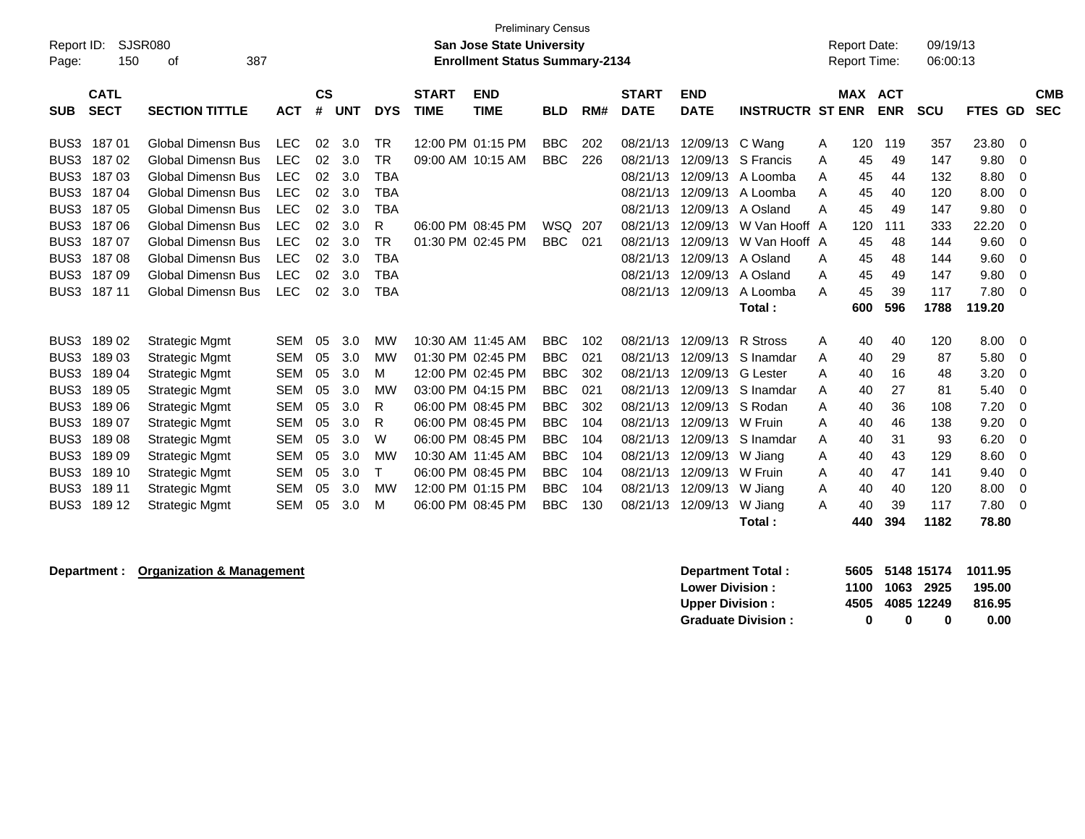| Report ID:<br>Page:                                      | 150                        | SJSR080<br>387<br>οf                                                                |                                        |                    |                   |                               |                             | <b>Preliminary Census</b><br><b>San Jose State University</b><br><b>Enrollment Status Summary-2134</b> |                                        |                   |                                  |                                  |                                            |             | <b>Report Date:</b><br><b>Report Time:</b> |                          | 09/19/13<br>06:00:13 |                        |                           |
|----------------------------------------------------------|----------------------------|-------------------------------------------------------------------------------------|----------------------------------------|--------------------|-------------------|-------------------------------|-----------------------------|--------------------------------------------------------------------------------------------------------|----------------------------------------|-------------------|----------------------------------|----------------------------------|--------------------------------------------|-------------|--------------------------------------------|--------------------------|----------------------|------------------------|---------------------------|
| <b>SUB</b>                                               | <b>CATL</b><br><b>SECT</b> | <b>SECTION TITTLE</b>                                                               | <b>ACT</b>                             | $\mathsf{cs}$<br># | <b>UNT</b>        | <b>DYS</b>                    | <b>START</b><br><b>TIME</b> | <b>END</b><br><b>TIME</b>                                                                              | <b>BLD</b>                             | RM#               | <b>START</b><br><b>DATE</b>      | <b>END</b><br><b>DATE</b>        | <b>INSTRUCTR ST ENR</b>                    |             | <b>MAX</b>                                 | <b>ACT</b><br><b>ENR</b> | <b>SCU</b>           | FTES GD                | <b>CMB</b><br><b>SEC</b>  |
| BUS3<br>BUS <sub>3</sub><br>BUS3                         | 18701<br>18702<br>18703    | <b>Global Dimensn Bus</b><br><b>Global Dimensn Bus</b><br><b>Global Dimensn Bus</b> | <b>LEC</b><br><b>LEC</b><br><b>LEC</b> | 02<br>02<br>02     | 3.0<br>3.0<br>3.0 | TR<br><b>TR</b><br><b>TBA</b> |                             | 12:00 PM 01:15 PM<br>09:00 AM 10:15 AM                                                                 | <b>BBC</b><br><b>BBC</b>               | 202<br>226        | 08/21/13<br>08/21/13<br>08/21/13 | 12/09/13<br>12/09/13<br>12/09/13 | C Wang<br>S Francis<br>A Loomba            | A<br>A<br>Α | 120<br>45<br>45                            | 119<br>49<br>44          | 357<br>147<br>132    | 23.80<br>9.80<br>8.80  | 0<br>$\Omega$<br>$\Omega$ |
| BUS <sub>3</sub><br>BUS3                                 | 18704<br>18705             | <b>Global Dimensn Bus</b><br><b>Global Dimensn Bus</b>                              | <b>LEC</b><br><b>LEC</b>               | 02<br>02           | 3.0<br>3.0        | <b>TBA</b><br><b>TBA</b>      |                             |                                                                                                        |                                        |                   | 08/21/13<br>08/21/13             | 12/09/13<br>12/09/13             | A Loomba<br>A Osland                       | A<br>A      | 45<br>45                                   | 40<br>49                 | 120<br>147           | 8.00<br>9.80           | 0<br>0                    |
| BUS <sub>3</sub><br>BUS <sub>3</sub><br>BUS <sub>3</sub> | 18706<br>18707<br>18708    | <b>Global Dimensn Bus</b><br>Global Dimensn Bus<br><b>Global Dimensn Bus</b>        | <b>LEC</b><br><b>LEC</b><br><b>LEC</b> | 02<br>02<br>02     | 3.0<br>3.0<br>3.0 | R<br><b>TR</b><br><b>TBA</b>  |                             | 06:00 PM 08:45 PM<br>01:30 PM 02:45 PM                                                                 | <b>WSQ</b><br><b>BBC</b>               | 207<br>021        | 08/21/13<br>08/21/13<br>08/21/13 | 12/09/13<br>12/09/13<br>12/09/13 | W Van Hooff A<br>W Van Hooff A<br>A Osland | A           | 120<br>45<br>45                            | 111<br>48<br>48          | 333<br>144<br>144    | 22.20<br>9.60<br>9.60  | $\Omega$<br>$\Omega$<br>0 |
| BUS <sub>3</sub><br>BUS3                                 | 18709<br>187 11            | <b>Global Dimensn Bus</b><br><b>Global Dimensn Bus</b>                              | <b>LEC</b><br><b>LEC</b>               | 02<br>02           | 3.0<br>3.0        | <b>TBA</b><br><b>TBA</b>      |                             |                                                                                                        |                                        |                   | 08/21/13<br>08/21/13             | 12/09/13<br>12/09/13             | A Osland<br>A Loomba<br>Total:             | A<br>A      | 45<br>45<br>600                            | 49<br>39<br>596          | 147<br>117<br>1788   | 9.80<br>7.80<br>119.20 | 0<br>$\Omega$             |
| BUS3                                                     | 18902                      | <b>Strategic Mgmt</b>                                                               | <b>SEM</b>                             | 05                 | 3.0               | МW                            |                             | 10:30 AM 11:45 AM                                                                                      | <b>BBC</b>                             | 102               | 08/21/13                         | 12/09/13                         | <b>R</b> Stross                            | A           | 40                                         | 40                       | 120                  | 8.00                   | 0                         |
| BUS <sub>3</sub><br>BUS3                                 | 18903<br>18904             | <b>Strategic Mgmt</b><br><b>Strategic Mgmt</b>                                      | <b>SEM</b><br>SEM                      | 05<br>05           | 3.0<br>3.0        | MW<br>м                       |                             | 01:30 PM 02:45 PM<br>12:00 PM 02:45 PM                                                                 | <b>BBC</b><br><b>BBC</b>               | 021<br>302        | 08/21/13<br>08/21/13             | 12/09/13<br>12/09/13             | S Inamdar<br><b>G</b> Lester               | A<br>A      | 40<br>40                                   | 29<br>16                 | 87<br>48             | 5.80<br>3.20           | 0<br>0                    |
| BUS <sub>3</sub><br>BUS <sub>3</sub>                     | 18905<br>18906             | <b>Strategic Mgmt</b><br><b>Strategic Mgmt</b>                                      | <b>SEM</b><br><b>SEM</b>               | 05<br>05           | 3.0<br>3.0        | <b>MW</b><br>R                |                             | 03:00 PM 04:15 PM<br>06:00 PM 08:45 PM                                                                 | <b>BBC</b><br><b>BBC</b>               | 021<br>302        | 08/21/13<br>08/21/13             | 12/09/13<br>12/09/13             | S Inamdar<br>S Rodan                       | A<br>A      | 40<br>40                                   | 27<br>36                 | 81<br>108            | 5.40<br>7.20           | $\Omega$<br>$\Omega$      |
| BUS <sub>3</sub><br>BUS <sub>3</sub>                     | 18907<br>18908             | <b>Strategic Mgmt</b><br><b>Strategic Mgmt</b>                                      | <b>SEM</b><br><b>SEM</b>               | 05<br>05           | 3.0<br>3.0        | R<br>W                        |                             | 06:00 PM 08:45 PM<br>06:00 PM 08:45 PM                                                                 | <b>BBC</b><br><b>BBC</b>               | 104<br>104        | 08/21/13<br>08/21/13             | 12/09/13<br>12/09/13             | W Fruin<br>S Inamdar                       | A<br>A      | 40<br>40                                   | 46<br>31                 | 138<br>93            | 9.20<br>6.20           | 0<br>0                    |
| BUS <sub>3</sub><br>BUS <sub>3</sub><br>BUS <sub>3</sub> | 18909<br>189 10<br>189 11  | <b>Strategic Mgmt</b><br><b>Strategic Mgmt</b><br><b>Strategic Mgmt</b>             | <b>SEM</b><br><b>SEM</b><br><b>SEM</b> | 05<br>05<br>05     | 3.0<br>3.0<br>3.0 | <b>MW</b><br>т<br>MW          |                             | 10:30 AM 11:45 AM<br>06:00 PM 08:45 PM<br>12:00 PM 01:15 PM                                            | <b>BBC</b><br><b>BBC</b><br><b>BBC</b> | 104<br>104<br>104 | 08/21/13<br>08/21/13<br>08/21/13 | 12/09/13<br>12/09/13<br>12/09/13 | W Jiang<br>W Fruin<br>W Jiang              | A<br>A<br>A | 40<br>40<br>40                             | 43<br>47<br>40           | 129<br>141<br>120    | 8.60<br>9.40<br>8.00   | 0<br>$\Omega$<br>0        |
| BUS3                                                     | 189 12                     | <b>Strategic Mgmt</b>                                                               | <b>SEM</b>                             | 05                 | 3.0               | м                             |                             | 06:00 PM 08:45 PM                                                                                      | <b>BBC</b>                             | 130               | 08/21/13                         | 12/09/13                         | W Jiang<br>Total:                          | A           | 40<br>440                                  | 39<br>394                | 117<br>1182          | 7.80<br>78.80          | 0                         |

## **Department : Organization & Management in the set of the Separt Construction of the Separt Separt in the Separt Separt Separt Separt Separt Separt Separt Separt Separt Separt Separt Separt Separt Separate Separate Separat**

| <b>Department Total:</b>  |   |   |                 | 5605 5148 15174 1011.95 |
|---------------------------|---|---|-----------------|-------------------------|
| <b>Lower Division :</b>   |   |   | 1100 1063 2925  | 195.00                  |
| <b>Upper Division :</b>   |   |   | 4505 4085 12249 | 816.95                  |
| <b>Graduate Division:</b> | o | n | o               | 0.00                    |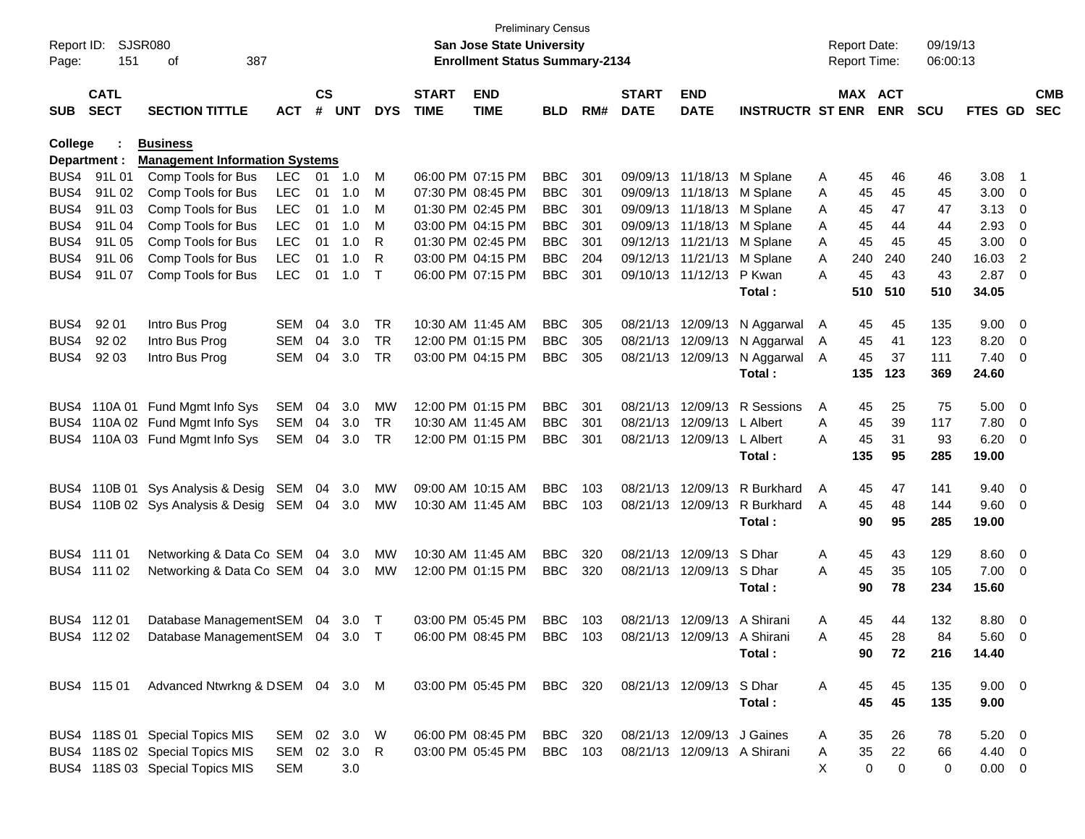| Report ID: SJSR080<br>387<br>151<br>Page:<br>оf |                            |                                       |            |                    |            |              |                             | San Jose State University<br><b>Enrollment Status Summary-2134</b> | <b>Preliminary Census</b> |     |                             |                             |                            |   | <b>Report Date:</b><br><b>Report Time:</b> |            | 09/19/13<br>06:00:13 |             |                          |            |
|-------------------------------------------------|----------------------------|---------------------------------------|------------|--------------------|------------|--------------|-----------------------------|--------------------------------------------------------------------|---------------------------|-----|-----------------------------|-----------------------------|----------------------------|---|--------------------------------------------|------------|----------------------|-------------|--------------------------|------------|
| <b>SUB</b>                                      | <b>CATL</b><br><b>SECT</b> | <b>SECTION TITTLE</b>                 | <b>ACT</b> | $\mathsf{cs}$<br># | <b>UNT</b> | <b>DYS</b>   | <b>START</b><br><b>TIME</b> | <b>END</b><br><b>TIME</b>                                          | <b>BLD</b>                | RM# | <b>START</b><br><b>DATE</b> | <b>END</b><br><b>DATE</b>   | <b>INSTRUCTR ST ENR</b>    |   | MAX ACT                                    | <b>ENR</b> | <b>SCU</b>           | FTES GD SEC |                          | <b>CMB</b> |
| College                                         |                            | <b>Business</b>                       |            |                    |            |              |                             |                                                                    |                           |     |                             |                             |                            |   |                                            |            |                      |             |                          |            |
|                                                 | Department :               | <b>Management Information Systems</b> |            |                    |            |              |                             |                                                                    |                           |     |                             |                             |                            |   |                                            |            |                      |             |                          |            |
|                                                 | BUS4 91L01                 | Comp Tools for Bus                    | <b>LEC</b> | 01                 | 1.0        | M            |                             | 06:00 PM 07:15 PM                                                  | <b>BBC</b>                | 301 |                             |                             | 09/09/13 11/18/13 M Splane | A | 45                                         | 46         | 46                   | 3.08        | - 1                      |            |
| BUS4                                            | 91L 02                     | Comp Tools for Bus                    | <b>LEC</b> | 01                 | 1.0        | M            |                             | 07:30 PM 08:45 PM                                                  | <b>BBC</b>                | 301 |                             |                             | 09/09/13 11/18/13 M Splane | A | 45                                         | 45         | 45                   | 3.00        | $\overline{\phantom{0}}$ |            |
| BUS4                                            | 91L 03                     | Comp Tools for Bus                    | <b>LEC</b> | 01                 | 1.0        | М            |                             | 01:30 PM 02:45 PM                                                  | <b>BBC</b>                | 301 |                             | 09/09/13 11/18/13           | M Splane                   | A | 45                                         | 47         | 47                   | 3.13        | $\overline{\phantom{0}}$ |            |
| BUS4                                            | 91L04                      | Comp Tools for Bus                    | <b>LEC</b> | 01                 | 1.0        | М            |                             | 03:00 PM 04:15 PM                                                  | <b>BBC</b>                | 301 |                             | 09/09/13 11/18/13           | M Splane                   | Α | 45                                         | 44         | 44                   | 2.93        | 0                        |            |
| BUS4                                            | 91L 05                     | Comp Tools for Bus                    | <b>LEC</b> | 01                 | 1.0        | R            |                             | 01:30 PM 02:45 PM                                                  | <b>BBC</b>                | 301 |                             | 09/12/13 11/21/13           | M Splane                   | Α | 45                                         | 45         | 45                   | 3.00        | 0                        |            |
| BUS4                                            | 91L 06                     | Comp Tools for Bus                    | <b>LEC</b> | 01                 | 1.0        | R            |                             | 03:00 PM 04:15 PM                                                  | <b>BBC</b>                | 204 |                             |                             | 09/12/13 11/21/13 M Splane | A | 240                                        | 240        | 240                  | 16.03       | $\overline{2}$           |            |
| BUS4                                            | 91L 07                     | Comp Tools for Bus                    | <b>LEC</b> | 01                 | 1.0        | $\mathsf{T}$ |                             | 06:00 PM 07:15 PM                                                  | <b>BBC</b>                | 301 |                             | 09/10/13 11/12/13           | P Kwan                     | A | 45                                         | 43         | 43                   | 2.87        | - 0                      |            |
|                                                 |                            |                                       |            |                    |            |              |                             |                                                                    |                           |     |                             |                             | Total:                     |   | 510                                        | 510        | 510                  | 34.05       |                          |            |
| BUS4                                            | 92 01                      | Intro Bus Prog                        | SEM        | 04                 | 3.0        | <b>TR</b>    |                             | 10:30 AM 11:45 AM                                                  | <b>BBC</b>                | 305 |                             | 08/21/13 12/09/13           | N Aggarwal                 | A | 45                                         | 45         | 135                  | 9.00        | $\overline{\mathbf{0}}$  |            |
| BUS4                                            | 92 02                      | Intro Bus Prog                        | <b>SEM</b> | 04                 | 3.0        | <b>TR</b>    |                             | 12:00 PM 01:15 PM                                                  | <b>BBC</b>                | 305 |                             | 08/21/13 12/09/13           | N Aggarwal                 | A | 45                                         | 41         | 123                  | 8.20        | $\overline{\mathbf{0}}$  |            |
| BUS4                                            | 92 03                      | Intro Bus Prog                        | SEM        | 04                 | 3.0        | TR           |                             | 03:00 PM 04:15 PM                                                  | <b>BBC</b>                | 305 |                             | 08/21/13 12/09/13           | N Aggarwal                 | A | 45                                         | 37         | 111                  | 7.40        | $\overline{\mathbf{0}}$  |            |
|                                                 |                            |                                       |            |                    |            |              |                             |                                                                    |                           |     |                             |                             | Total:                     |   | 135                                        | 123        | 369                  | 24.60       |                          |            |
|                                                 |                            | BUS4 110A 01 Fund Mgmt Info Sys       | SEM        | 04                 | 3.0        | MW           |                             | 12:00 PM 01:15 PM                                                  | <b>BBC</b>                | 301 |                             | 08/21/13 12/09/13           | R Sessions                 | A | 45                                         | 25         | 75                   | 5.00        | $\overline{\mathbf{0}}$  |            |
|                                                 |                            | BUS4 110A 02 Fund Mgmt Info Sys       | SEM        | 04                 | 3.0        | TR           |                             | 10:30 AM 11:45 AM                                                  | <b>BBC</b>                | 301 |                             | 08/21/13 12/09/13           | L Albert                   | A | 45                                         | 39         | 117                  | 7.80        | $\overline{\phantom{0}}$ |            |
|                                                 |                            | BUS4 110A 03 Fund Mgmt Info Sys       | SEM        | 04                 | 3.0        | TR           |                             | 12:00 PM 01:15 PM                                                  | <b>BBC</b>                | 301 |                             | 08/21/13 12/09/13           | L Albert                   | A | 45                                         | 31         | 93                   | 6.20        | $\overline{\mathbf{0}}$  |            |
|                                                 |                            |                                       |            |                    |            |              |                             |                                                                    |                           |     |                             |                             | Total:                     |   | 135                                        | 95         | 285                  | 19.00       |                          |            |
|                                                 |                            | BUS4 110B 01 Sys Analysis & Desig     | SEM        | 04                 | 3.0        | MW           |                             | 09:00 AM 10:15 AM                                                  | <b>BBC</b>                | 103 |                             | 08/21/13 12/09/13           | R Burkhard                 | A | 45                                         | 47         | 141                  | 9.40        | $\overline{\phantom{0}}$ |            |
|                                                 |                            | BUS4 110B 02 Sys Analysis & Desig SEM |            |                    | 04 3.0     | <b>MW</b>    |                             | 10:30 AM 11:45 AM                                                  | <b>BBC</b>                | 103 |                             | 08/21/13 12/09/13           | R Burkhard                 | A | 45                                         | 48         | 144                  | 9.60        | $\overline{\phantom{0}}$ |            |
|                                                 |                            |                                       |            |                    |            |              |                             |                                                                    |                           |     |                             |                             | Total:                     |   | 90                                         | 95         | 285                  | 19.00       |                          |            |
|                                                 | BUS4 111 01                | Networking & Data Co SEM              |            | 04                 | 3.0        | MW           |                             | 10:30 AM 11:45 AM                                                  | <b>BBC</b>                | 320 |                             | 08/21/13 12/09/13           | S Dhar                     | A | 45                                         | 43         | 129                  | 8.60        | $\overline{\phantom{0}}$ |            |
|                                                 | BUS4 111 02                | Networking & Data Co SEM              |            |                    | 04 3.0     | <b>MW</b>    |                             | 12:00 PM 01:15 PM                                                  | <b>BBC</b>                | 320 |                             | 08/21/13 12/09/13 S Dhar    |                            | A | 45                                         | 35         | 105                  | 7.00        | $\overline{\phantom{0}}$ |            |
|                                                 |                            |                                       |            |                    |            |              |                             |                                                                    |                           |     |                             |                             | Total:                     |   | 90                                         | 78         | 234                  | 15.60       |                          |            |
|                                                 | BUS4 11201                 | Database ManagementSEM                |            | 04                 | 3.0        | $\top$       |                             | 03:00 PM 05:45 PM                                                  | <b>BBC</b>                | 103 |                             | 08/21/13 12/09/13 A Shirani |                            | A | 45                                         | 44         | 132                  | 8.80        | $\overline{\mathbf{0}}$  |            |
|                                                 | BUS4 11202                 | Database ManagementSEM 04 3.0 T       |            |                    |            |              |                             | 06:00 PM 08:45 PM                                                  | BBC 103                   |     |                             | 08/21/13 12/09/13 A Shirani |                            | A | 45                                         | 28         | 84                   | 5.60        | $\overline{\phantom{0}}$ |            |
|                                                 |                            |                                       |            |                    |            |              |                             |                                                                    |                           |     |                             |                             | Total:                     |   | 90                                         | 72         | 216                  | 14.40       |                          |            |
|                                                 | BUS4 115 01                | Advanced Ntwrkng & DSEM 04 3.0 M      |            |                    |            |              |                             | 03:00 PM 05:45 PM                                                  | BBC 320                   |     |                             | 08/21/13 12/09/13 S Dhar    |                            | A | 45                                         | 45         | 135                  | $9.00 \t 0$ |                          |            |
|                                                 |                            |                                       |            |                    |            |              |                             |                                                                    |                           |     |                             |                             | Total:                     |   | 45                                         | 45         | 135                  | 9.00        |                          |            |
|                                                 |                            | BUS4 118S 01 Special Topics MIS       | SEM 02 3.0 |                    |            | W            |                             | 06:00 PM 08:45 PM                                                  | BBC                       | 320 |                             | 08/21/13 12/09/13 J Gaines  |                            | A | 35                                         | 26         | 78                   | $5.20 \t 0$ |                          |            |
|                                                 |                            | BUS4 118S 02 Special Topics MIS       | SEM        | 02                 | 3.0        | R            |                             | 03:00 PM 05:45 PM                                                  | <b>BBC</b>                | 103 |                             | 08/21/13 12/09/13 A Shirani |                            | A | 35                                         | 22         | 66                   | 4.40 0      |                          |            |
|                                                 |                            | BUS4 118S 03 Special Topics MIS       | <b>SEM</b> |                    | 3.0        |              |                             |                                                                    |                           |     |                             |                             |                            | X | 0                                          | 0          | 0                    | $0.00 \t 0$ |                          |            |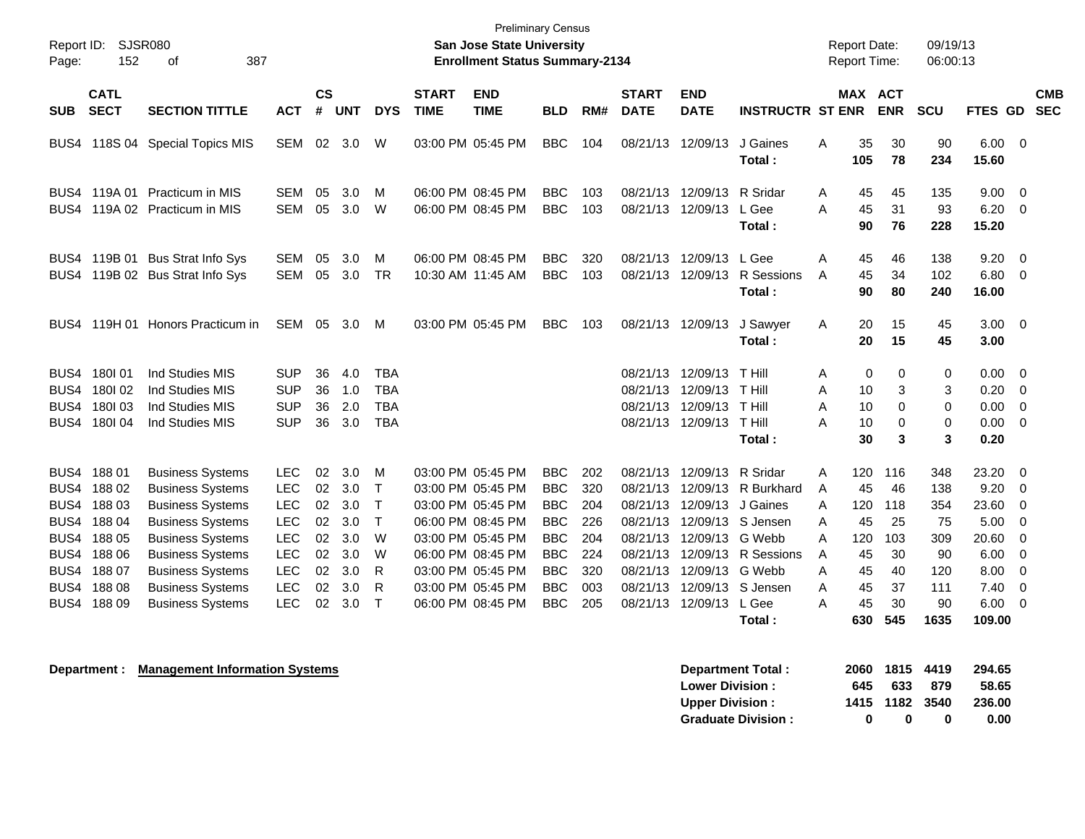| Page:                                                | <b>Preliminary Census</b><br>SJSR080<br>Report ID:<br>San Jose State University<br>152<br>387<br><b>Enrollment Status Summary-2134</b><br>of |                                                                                                                                                                                           |                                                                                                |                                        |                                               |                                                       |                             |                                                                                                                                                 |                                                                                                |                                               |                                                                                  |                                                                                  |                                                                                  |                                 |                                           | <b>Report Date:</b><br>Report Time:       | 09/19/13<br>06:00:13                                |                                                         |                                                                                          |            |
|------------------------------------------------------|----------------------------------------------------------------------------------------------------------------------------------------------|-------------------------------------------------------------------------------------------------------------------------------------------------------------------------------------------|------------------------------------------------------------------------------------------------|----------------------------------------|-----------------------------------------------|-------------------------------------------------------|-----------------------------|-------------------------------------------------------------------------------------------------------------------------------------------------|------------------------------------------------------------------------------------------------|-----------------------------------------------|----------------------------------------------------------------------------------|----------------------------------------------------------------------------------|----------------------------------------------------------------------------------|---------------------------------|-------------------------------------------|-------------------------------------------|-----------------------------------------------------|---------------------------------------------------------|------------------------------------------------------------------------------------------|------------|
| SUB                                                  | <b>CATL</b><br><b>SECT</b>                                                                                                                   | <b>SECTION TITTLE</b>                                                                                                                                                                     | <b>ACT</b>                                                                                     | <b>CS</b><br>#                         | <b>UNT</b>                                    | <b>DYS</b>                                            | <b>START</b><br><b>TIME</b> | <b>END</b><br><b>TIME</b>                                                                                                                       | BLD                                                                                            | RM#                                           | <b>START</b><br><b>DATE</b>                                                      | <b>END</b><br><b>DATE</b>                                                        | <b>INSTRUCTR ST ENR</b>                                                          |                                 | <b>MAX</b>                                | <b>ACT</b><br><b>ENR</b>                  | <b>SCU</b>                                          | FTES GD SEC                                             |                                                                                          | <b>CMB</b> |
| BUS4                                                 |                                                                                                                                              | 118S 04 Special Topics MIS                                                                                                                                                                | SEM                                                                                            | 02                                     | 3.0                                           | W                                                     |                             | 03:00 PM 05:45 PM                                                                                                                               | <b>BBC</b>                                                                                     | 104                                           | 08/21/13                                                                         | 12/09/13                                                                         | J Gaines<br>Total:                                                               | Α                               | 35<br>105                                 | 30<br>78                                  | 90<br>234                                           | 6.00<br>15.60                                           | $\overline{0}$                                                                           |            |
| BUS4                                                 |                                                                                                                                              | BUS4 119A 01 Practicum in MIS<br>119A 02 Practicum in MIS                                                                                                                                 | <b>SEM</b><br><b>SEM</b>                                                                       | 05<br>05                               | 3.0<br>3.0                                    | м<br>W                                                |                             | 06:00 PM 08:45 PM<br>06:00 PM 08:45 PM                                                                                                          | <b>BBC</b><br><b>BBC</b>                                                                       | 103<br>103                                    | 08/21/13                                                                         | 12/09/13<br>08/21/13 12/09/13                                                    | R Sridar<br>L Gee<br>Total:                                                      | A<br>A                          | 45<br>45<br>90                            | 45<br>31<br>76                            | 135<br>93<br>228                                    | 9.00<br>6.20<br>15.20                                   | - 0<br>- 0                                                                               |            |
|                                                      |                                                                                                                                              | BUS4 119B 01 Bus Strat Info Sys<br>BUS4 119B 02 Bus Strat Info Sys                                                                                                                        | <b>SEM</b><br><b>SEM</b>                                                                       | 05<br>05                               | 3.0<br>3.0                                    | м<br><b>TR</b>                                        |                             | 06:00 PM 08:45 PM<br>10:30 AM 11:45 AM                                                                                                          | <b>BBC</b><br><b>BBC</b>                                                                       | 320<br>103                                    |                                                                                  | 08/21/13 12/09/13<br>08/21/13 12/09/13                                           | L Gee<br>R Sessions<br>Total:                                                    | A<br>A                          | 45<br>45<br>90                            | 46<br>34<br>80                            | 138<br>102<br>240                                   | 9.20<br>6.80<br>16.00                                   | - 0<br>$\overline{0}$                                                                    |            |
| BUS4                                                 |                                                                                                                                              | 119H 01 Honors Practicum in                                                                                                                                                               | SEM                                                                                            | 05                                     | 3.0                                           | M                                                     | 03:00 PM 05:45 PM           |                                                                                                                                                 | <b>BBC</b>                                                                                     | 103                                           | 08/21/13 12/09/13                                                                |                                                                                  | J Sawyer<br>Total:                                                               | A                               | 20<br>20                                  | 15<br>15                                  | 45<br>45                                            | $3.00 \ 0$<br>3.00                                      |                                                                                          |            |
| BUS4<br>BUS4<br>BUS4<br>BUS4                         | 180101<br>180102<br>180103<br>180104                                                                                                         | Ind Studies MIS<br>Ind Studies MIS<br>Ind Studies MIS<br>Ind Studies MIS                                                                                                                  | <b>SUP</b><br><b>SUP</b><br><b>SUP</b><br><b>SUP</b>                                           | 36<br>36<br>36<br>36                   | 4.0<br>1.0<br>2.0<br>3.0                      | <b>TBA</b><br><b>TBA</b><br><b>TBA</b><br><b>TBA</b>  |                             |                                                                                                                                                 |                                                                                                |                                               | 08/21/13 12/09/13<br>08/21/13<br>08/21/13                                        | 12/09/13<br>12/09/13<br>08/21/13 12/09/13                                        | T Hill<br>T Hill<br>T Hill<br>T Hill<br>Total:                                   | Α<br>A<br>A<br>A                | 0<br>10<br>10<br>10<br>30                 | 0<br>3<br>0<br>0<br>3                     | $\mathbf 0$<br>3<br>$\mathbf 0$<br>$\mathbf 0$<br>3 | 0.00<br>0.20<br>0.00<br>0.00<br>0.20                    | $\overline{0}$<br>$\mathbf{0}$<br>$\mathbf 0$<br>0                                       |            |
| BUS4<br>BUS4<br>BUS4<br>BUS4<br>BUS4<br>BUS4<br>BUS4 | 18801<br>18802<br>18803<br>18804<br>18805<br>18806<br>18807                                                                                  | <b>Business Systems</b><br><b>Business Systems</b><br><b>Business Systems</b><br><b>Business Systems</b><br><b>Business Systems</b><br><b>Business Systems</b><br><b>Business Systems</b> | <b>LEC</b><br><b>LEC</b><br><b>LEC</b><br><b>LEC</b><br><b>LEC</b><br><b>LEC</b><br><b>LEC</b> | 02<br>02<br>02<br>02<br>02<br>02<br>02 | 3.0<br>3.0<br>3.0<br>3.0<br>3.0<br>3.0<br>3.0 | м<br>Т<br>$\mathsf{T}$<br>$\mathsf{T}$<br>W<br>W<br>R |                             | 03:00 PM 05:45 PM<br>03:00 PM 05:45 PM<br>03:00 PM 05:45 PM<br>06:00 PM 08:45 PM<br>03:00 PM 05:45 PM<br>06:00 PM 08:45 PM<br>03:00 PM 05:45 PM | <b>BBC</b><br><b>BBC</b><br><b>BBC</b><br><b>BBC</b><br><b>BBC</b><br><b>BBC</b><br><b>BBC</b> | 202<br>320<br>204<br>226<br>204<br>224<br>320 | 08/21/13<br>08/21/13<br>08/21/13<br>08/21/13<br>08/21/13<br>08/21/13<br>08/21/13 | 12/09/13<br>12/09/13<br>12/09/13<br>12/09/13<br>12/09/13<br>12/09/13<br>12/09/13 | R Sridar<br>R Burkhard<br>J Gaines<br>S Jensen<br>G Webb<br>R Sessions<br>G Webb | A<br>A<br>A<br>A<br>A<br>A<br>A | 120<br>45<br>120<br>45<br>120<br>45<br>45 | 116<br>46<br>118<br>25<br>103<br>30<br>40 | 348<br>138<br>354<br>75<br>309<br>90<br>120         | 23.20<br>9.20<br>23.60<br>5.00<br>20.60<br>6.00<br>8.00 | $\overline{\mathbf{0}}$<br>- 0<br>$\overline{0}$<br>0<br>$\mathbf 0$<br>$\mathbf 0$<br>0 |            |
| BUS4<br>BUS4                                         | 18808<br>18809                                                                                                                               | <b>Business Systems</b><br><b>Business Systems</b>                                                                                                                                        | <b>LEC</b><br><b>LEC</b>                                                                       | 02<br>02                               | 3.0<br>3.0                                    | R<br>$\mathsf T$                                      | 06:00 PM 08:45 PM           | 03:00 PM 05:45 PM                                                                                                                               | <b>BBC</b><br><b>BBC</b>                                                                       | 003<br>205                                    | 08/21/13                                                                         | 12/09/13<br>08/21/13 12/09/13                                                    | S Jensen<br>L Gee<br>Total:                                                      | A<br>А                          | 45<br>45<br>630                           | 37<br>30<br>545                           | 111<br>90<br>1635                                   | 7.40<br>6.00<br>109.00                                  | 0<br>0                                                                                   |            |

**Department : Management Information Systems** 

| Department Total:         |     | 2060 1815 4419 |      | 294.65 |
|---------------------------|-----|----------------|------|--------|
| <b>Lower Division :</b>   | 645 | 633            | -879 | 58.65  |
| <b>Upper Division:</b>    |     | 1415 1182 3540 |      | 236.00 |
| <b>Graduate Division:</b> | o   | n              | 0    | 0.00   |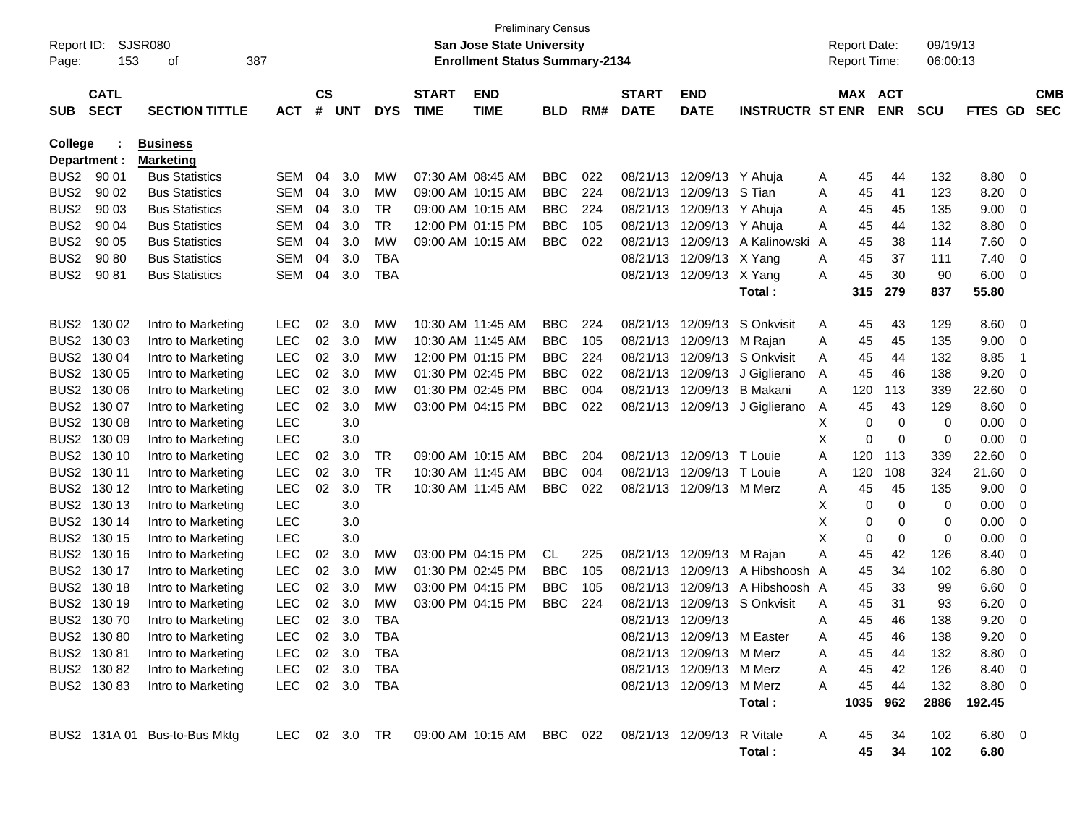| Report ID:<br>Page: | 153                        | <b>SJSR080</b><br>387<br>οf         |            |                |                | <b>Preliminary Census</b><br><b>San Jose State University</b><br><b>Enrollment Status Summary-2134</b> |                             |                                                                            |            |     |                             |                            | <b>Report Date:</b><br>Report Time: |   | 09/19/13<br>06:00:13 |            |             |                  |             |                          |
|---------------------|----------------------------|-------------------------------------|------------|----------------|----------------|--------------------------------------------------------------------------------------------------------|-----------------------------|----------------------------------------------------------------------------|------------|-----|-----------------------------|----------------------------|-------------------------------------|---|----------------------|------------|-------------|------------------|-------------|--------------------------|
| <b>SUB</b>          | <b>CATL</b><br><b>SECT</b> | <b>SECTION TITTLE</b>               | <b>ACT</b> | <b>CS</b><br># | <b>UNT</b>     | <b>DYS</b>                                                                                             | <b>START</b><br><b>TIME</b> | <b>END</b><br><b>TIME</b>                                                  | <b>BLD</b> | RM# | <b>START</b><br><b>DATE</b> | <b>END</b><br><b>DATE</b>  | <b>INSTRUCTR ST ENR</b>             |   | MAX ACT              | <b>ENR</b> | <b>SCU</b>  | FTES GD          |             | <b>CMB</b><br><b>SEC</b> |
| College             | Department :               | <b>Business</b><br><b>Marketing</b> |            |                |                |                                                                                                        |                             |                                                                            |            |     |                             |                            |                                     |   |                      |            |             |                  |             |                          |
| BUS <sub>2</sub>    | 90 01                      | <b>Bus Statistics</b>               | SEM        | 04             | 3.0            | MW                                                                                                     | 07:30 AM 08:45 AM           |                                                                            | <b>BBC</b> | 022 | 08/21/13                    | 12/09/13 Y Ahuja           |                                     | A | 45                   | 44         | 132         | 8.80             | 0           |                          |
| BUS <sub>2</sub>    | 90 02                      | <b>Bus Statistics</b>               | SEM        | 04             | 3.0            | MW                                                                                                     | 09:00 AM 10:15 AM           |                                                                            | <b>BBC</b> | 224 | 08/21/13                    | 12/09/13                   | S Tian                              | A | 45                   | 41         | 123         | 8.20             | 0           |                          |
| BUS <sub>2</sub>    | 90 03                      | <b>Bus Statistics</b>               | SEM        | 04             | 3.0            | TR                                                                                                     | 09:00 AM 10:15 AM           |                                                                            | <b>BBC</b> | 224 | 08/21/13                    | 12/09/13                   | Y Ahuja                             | A | 45                   | 45         | 135         | 9.00             | 0           |                          |
| BUS <sub>2</sub>    | 90 04                      | <b>Bus Statistics</b>               | SEM        | 04             | 3.0            | TR                                                                                                     |                             | 12:00 PM 01:15 PM                                                          | <b>BBC</b> | 105 | 08/21/13                    | 12/09/13                   | Y Ahuja                             | Α | 45                   | 44         | 132         | 8.80             | 0           |                          |
| BUS <sub>2</sub>    | 90 05                      | <b>Bus Statistics</b>               | SEM        | 04             | 3.0            | MW                                                                                                     |                             | 09:00 AM 10:15 AM                                                          | <b>BBC</b> | 022 | 08/21/13                    | 12/09/13                   | A Kalinowski                        | A | 45                   | 38         | 114         | 7.60             | 0           |                          |
| BUS <sub>2</sub>    | 90 80                      | <b>Bus Statistics</b>               | SEM        | 04             | 3.0            | TBA                                                                                                    |                             |                                                                            |            |     | 08/21/13                    | 12/09/13                   | X Yang                              | A | 45                   | 37         | 111         | 7.40             | 0           |                          |
| BUS <sub>2</sub>    | 90 81                      | <b>Bus Statistics</b>               | SEM        | 04             | 3.0            | TBA                                                                                                    |                             |                                                                            |            |     | 08/21/13                    | 12/09/13                   | X Yang                              | A | 45                   | 30         | 90          | 6.00             | 0           |                          |
|                     |                            |                                     |            |                |                |                                                                                                        |                             |                                                                            |            |     |                             |                            | Total:                              |   | 315                  | 279        | 837         | 55.80            |             |                          |
| BUS <sub>2</sub>    | 130 02                     | Intro to Marketing                  | <b>LEC</b> | 02             | 3.0            | MW                                                                                                     | 10:30 AM 11:45 AM           |                                                                            | <b>BBC</b> | 224 | 08/21/13                    | 12/09/13                   | S Onkvisit                          | A | 45                   | 43         | 129         | 8.60             | 0           |                          |
| BUS <sub>2</sub>    | 130 03                     | Intro to Marketing                  | <b>LEC</b> | 02             | 3.0            | MW                                                                                                     | 10:30 AM 11:45 AM           |                                                                            | <b>BBC</b> | 105 | 08/21/13                    | 12/09/13                   | M Rajan                             | A | 45                   | 45         | 135         | 9.00             | 0           |                          |
| BUS <sub>2</sub>    | 130 04                     | Intro to Marketing                  | <b>LEC</b> | 02             | 3.0            | MW                                                                                                     | 12:00 PM 01:15 PM           |                                                                            | <b>BBC</b> | 224 | 08/21/13                    | 12/09/13                   | S Onkvisit                          | A | 45                   | 44         | 132         | 8.85             | $\mathbf 1$ |                          |
| BUS <sub>2</sub>    | 130 05                     | Intro to Marketing                  | <b>LEC</b> | 02             | 3.0            | MW                                                                                                     | 01:30 PM 02:45 PM           |                                                                            | <b>BBC</b> | 022 | 08/21/13                    | 12/09/13                   | J Giglierano                        | A | 45                   | 46         | 138         | 9.20             | 0           |                          |
| BUS <sub>2</sub>    | 130 06                     | Intro to Marketing                  | LEC        | 02             | 3.0            | МW                                                                                                     | 01:30 PM 02:45 PM           |                                                                            | <b>BBC</b> | 004 | 08/21/13                    | 12/09/13                   | <b>B</b> Makani                     | A | 120                  | 113        | 339         | 22.60            | 0           |                          |
| BUS <sub>2</sub>    | 130 07                     | Intro to Marketing                  | LEC        | 02             | 3.0            | MW                                                                                                     | 03:00 PM 04:15 PM           |                                                                            | <b>BBC</b> | 022 | 08/21/13                    | 12/09/13                   | J Giglierano                        | A | 45                   | 43         | 129         | 8.60             | 0           |                          |
| BUS <sub>2</sub>    | 130 08                     | Intro to Marketing                  | <b>LEC</b> |                | 3.0            |                                                                                                        |                             |                                                                            |            |     |                             |                            |                                     | Х | 0                    | 0          | 0           | 0.00             | 0           |                          |
| BUS <sub>2</sub>    | 130 09                     | Intro to Marketing                  | <b>LEC</b> |                | 3.0            |                                                                                                        |                             |                                                                            |            |     |                             |                            |                                     | Х | 0                    | 0          | 0           | 0.00             | 0           |                          |
| BUS <sub>2</sub>    | 130 10                     | Intro to Marketing                  | LEC        | 02             | 3.0            | TR                                                                                                     | 09:00 AM 10:15 AM           |                                                                            | <b>BBC</b> | 204 | 08/21/13                    | 12/09/13                   | T Louie                             | Α | 120                  | 113        | 339         | 22.60            | 0           |                          |
| BUS <sub>2</sub>    | 130 11                     | Intro to Marketing                  | <b>LEC</b> | 02             | 3.0            | TR                                                                                                     | 10:30 AM 11:45 AM           |                                                                            | <b>BBC</b> | 004 | 08/21/13                    | 12/09/13                   | T Louie                             | A | 120                  | 108        | 324         | 21.60            | 0           |                          |
| BUS <sub>2</sub>    | 130 12                     | Intro to Marketing                  | LEC        | 02             | 3.0            | <b>TR</b>                                                                                              |                             | 10:30 AM 11:45 AM                                                          | <b>BBC</b> | 022 | 08/21/13                    | 12/09/13                   | M Merz                              | Α | 45                   | 45         | 135         | 9.00             | 0           |                          |
| BUS <sub>2</sub>    | 130 13                     | Intro to Marketing                  | <b>LEC</b> |                | 3.0            |                                                                                                        |                             |                                                                            |            |     |                             |                            |                                     | х | 0                    | 0          | 0           | 0.00             | 0           |                          |
| BUS <sub>2</sub>    | 130 14                     | Intro to Marketing                  | <b>LEC</b> |                | 3.0            |                                                                                                        |                             |                                                                            |            |     |                             |                            |                                     | Χ | 0                    | 0          | 0           | 0.00             | 0           |                          |
| BUS <sub>2</sub>    | 130 15                     | Intro to Marketing                  | <b>LEC</b> |                | 3.0            |                                                                                                        |                             |                                                                            |            |     |                             |                            |                                     | Χ | 0                    | 0          | 0           | 0.00             | 0           |                          |
| BUS <sub>2</sub>    | 130 16                     | Intro to Marketing                  | <b>LEC</b> | 02             | 3.0            | МW                                                                                                     | 03:00 PM 04:15 PM           |                                                                            | CL.        | 225 | 08/21/13                    | 12/09/13                   | M Rajan                             | Α | 45                   | 42         | 126         | 8.40             | 0           |                          |
| BUS <sub>2</sub>    | 130 17                     | Intro to Marketing                  | <b>LEC</b> | 02             | 3.0            | MW                                                                                                     | 01:30 PM 02:45 PM           |                                                                            | <b>BBC</b> | 105 | 08/21/13                    | 12/09/13                   | A Hibshoosh A                       |   | 45                   | 34         | 102         | 6.80             | 0           |                          |
| BUS <sub>2</sub>    | 130 18                     | Intro to Marketing                  | <b>LEC</b> | 02             | 3.0            | MW                                                                                                     | 03:00 PM 04:15 PM           |                                                                            | <b>BBC</b> | 105 | 08/21/13                    | 12/09/13                   | A Hibshoosh A                       |   | 45                   | 33         | 99          | 6.60             | 0           |                          |
| BUS <sub>2</sub>    | 130 19                     | Intro to Marketing                  | <b>LEC</b> | 02             | 3.0            | МW                                                                                                     | 03:00 PM 04:15 PM           |                                                                            | BBC        | 224 | 08/21/13                    | 12/09/13                   | S Onkvisit                          | A | 45                   | 31         | 93          | 6.20             | 0           |                          |
| BUS <sub>2</sub>    | 130 70                     | Intro to Marketing                  | <b>LEC</b> | 02             | 3.0            | <b>TBA</b>                                                                                             |                             |                                                                            |            |     | 08/21/13                    | 12/09/13                   |                                     | Α | 45                   | 46         | 138         | 9.20             | 0           |                          |
|                     | BUS2 130 80                | Intro to Marketing                  | <b>LEC</b> |                | 02 3.0         | <b>TBA</b>                                                                                             |                             |                                                                            |            |     |                             | 08/21/13 12/09/13 M Easter |                                     | А | 45                   | 46         | 138         | 9.20             | 0           |                          |
|                     | BUS2 130 81                | Intro to Marketing                  | LEC        |                | 02 3.0         | TBA                                                                                                    |                             |                                                                            |            |     |                             | 08/21/13 12/09/13 M Merz   |                                     | A | 45                   | 44         | 132         | $8.80\quad 0$    |             |                          |
|                     | BUS2 130 82                | Intro to Marketing                  | LEC        |                | 02 3.0         | TBA                                                                                                    |                             |                                                                            |            |     |                             | 08/21/13 12/09/13 M Merz   |                                     | A | 45                   | 42         | 126         | 8.40 0           |             |                          |
|                     | BUS2 130 83                | Intro to Marketing                  |            |                | LEC 02 3.0 TBA |                                                                                                        |                             |                                                                            |            |     |                             | 08/21/13 12/09/13 M Merz   | Total:                              | A | 45<br>1035           | 44<br>962  | 132<br>2886 | 8.80 0<br>192.45 |             |                          |
|                     |                            | BUS2 131A 01 Bus-to-Bus Mktg        |            |                |                |                                                                                                        |                             | LEC 02 3.0 TR  09:00 AM  10:15 AM  BBC  022  08/21/13  12/09/13  R  Vitale |            |     |                             |                            |                                     | A | 45                   | 34         | 102         | $6.80\ 0$        |             |                          |
|                     |                            |                                     |            |                |                |                                                                                                        |                             |                                                                            |            |     |                             |                            | Total:                              |   | 45                   | 34         | 102         | 6.80             |             |                          |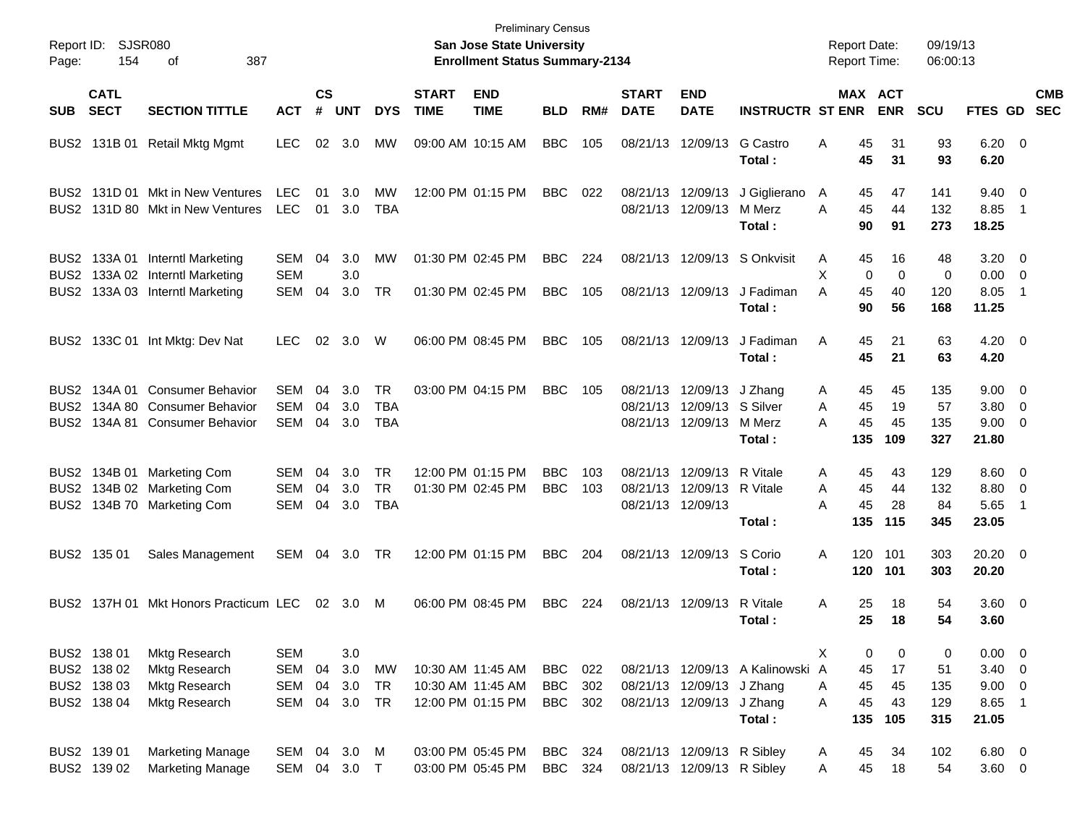| Report ID: SJSR080<br>387<br>154<br>Page:<br>οf |                                                          |                                                                                    |                                        |                    |                          |                                       |                             | <b>Preliminary Census</b><br><b>San Jose State University</b><br><b>Enrollment Status Summary-2134</b> |                                 |                   |                             |                                                                     |                                  | <b>Report Date:</b><br><b>Report Time:</b> |                     |                       | 09/19/13<br>06:00:13    |                                                  |     |                          |
|-------------------------------------------------|----------------------------------------------------------|------------------------------------------------------------------------------------|----------------------------------------|--------------------|--------------------------|---------------------------------------|-----------------------------|--------------------------------------------------------------------------------------------------------|---------------------------------|-------------------|-----------------------------|---------------------------------------------------------------------|----------------------------------|--------------------------------------------|---------------------|-----------------------|-------------------------|--------------------------------------------------|-----|--------------------------|
| <b>SUB</b>                                      | <b>CATL</b><br><b>SECT</b>                               | <b>SECTION TITTLE</b>                                                              | <b>ACT</b>                             | $\mathsf{cs}$<br># | <b>UNT</b>               | <b>DYS</b>                            | <b>START</b><br><b>TIME</b> | <b>END</b><br><b>TIME</b>                                                                              | <b>BLD</b>                      | RM#               | <b>START</b><br><b>DATE</b> | <b>END</b><br><b>DATE</b>                                           | <b>INSTRUCTR ST ENR</b>          | MAX ACT                                    |                     | <b>ENR</b>            | <b>SCU</b>              | FTES GD                                          |     | <b>CMB</b><br><b>SEC</b> |
|                                                 | BUS2 131B 01                                             | <b>Retail Mktg Mgmt</b>                                                            | <b>LEC</b>                             | 02                 | 3.0                      | MW                                    |                             | 09:00 AM 10:15 AM                                                                                      | <b>BBC</b>                      | 105               |                             | 08/21/13 12/09/13                                                   | G Castro<br>Total:               | Α                                          | 45<br>45            | 31<br>31              | 93<br>93                | $6.20 \ 0$<br>6.20                               |     |                          |
|                                                 |                                                          | BUS2 131D 01 Mkt in New Ventures<br>BUS2 131D 80 Mkt in New Ventures               | <b>LEC</b><br><b>LEC</b>               | 01<br>01           | 3.0<br>3.0               | МW<br><b>TBA</b>                      |                             | 12:00 PM 01:15 PM                                                                                      | <b>BBC</b>                      | 022               |                             | 08/21/13 12/09/13<br>08/21/13 12/09/13                              | J Giglierano<br>M Merz<br>Total: | A<br>A                                     | 45<br>45<br>90      | 47<br>44<br>91        | 141<br>132<br>273       | $9.40 \quad 0$<br>8.85<br>18.25                  | - 1 |                          |
|                                                 |                                                          | BUS2 133A 01 Interntl Marketing<br>BUS2 133A 02 Interntl Marketing                 | <b>SEM</b><br><b>SEM</b>               | 04                 | 3.0<br>3.0               | МW                                    |                             | 01:30 PM 02:45 PM                                                                                      | <b>BBC</b>                      | 224               |                             |                                                                     | 08/21/13 12/09/13 S Onkvisit     | Α<br>X                                     | 45<br>$\mathbf 0$   | 16<br>$\mathbf 0$     | 48<br>0                 | $3.20 \ 0$<br>$0.00 \t 0$                        |     |                          |
| BUS2                                            |                                                          | 133A 03 Interntl Marketing                                                         | <b>SEM</b>                             | 04                 | 3.0                      | <b>TR</b>                             |                             | 01:30 PM 02:45 PM                                                                                      | <b>BBC</b>                      | 105               |                             | 08/21/13 12/09/13                                                   | J Fadiman<br>Total:              | A                                          | 45<br>90            | 40<br>56              | 120<br>168              | 8.05<br>11.25                                    | -1  |                          |
|                                                 |                                                          | BUS2 133C 01 Int Mktg: Dev Nat                                                     | LEC.                                   | 02                 | 3.0                      | W                                     |                             | 06:00 PM 08:45 PM                                                                                      | <b>BBC</b>                      | 105               |                             | 08/21/13 12/09/13                                                   | J Fadiman<br>Total:              | Α                                          | 45<br>45            | 21<br>21              | 63<br>63                | $4.20 \ 0$<br>4.20                               |     |                          |
| BUS2<br>BUS2 I                                  | BUS2 134A 01                                             | <b>Consumer Behavior</b><br>134A 80 Consumer Behavior<br>134A 81 Consumer Behavior | SEM<br><b>SEM</b><br><b>SEM</b>        | 04<br>04<br>04     | 3.0<br>3.0<br>3.0        | <b>TR</b><br><b>TBA</b><br><b>TBA</b> |                             | 03:00 PM 04:15 PM                                                                                      | <b>BBC</b>                      | 105               | 08/21/13                    | 08/21/13 12/09/13 J Zhang<br>12/09/13 S Silver<br>08/21/13 12/09/13 | M Merz<br>Total:                 | Α<br>A<br>A<br>135                         | 45<br>45<br>45      | 45<br>19<br>45<br>109 | 135<br>57<br>135<br>327 | $9.00 \t 0$<br>$3.80\ 0$<br>$9.00 \t 0$<br>21.80 |     |                          |
| BUS <sub>2</sub>                                |                                                          | BUS2 134B 01 Marketing Com<br>134B 02 Marketing Com<br>BUS2 134B 70 Marketing Com  | <b>SEM</b><br><b>SEM</b><br><b>SEM</b> | 04<br>04<br>04     | 3.0<br>3.0<br>3.0        | <b>TR</b><br><b>TR</b><br><b>TBA</b>  |                             | 12:00 PM 01:15 PM<br>01:30 PM 02:45 PM                                                                 | <b>BBC</b><br><b>BBC</b>        | 103<br>103        | 08/21/13                    | 08/21/13 12/09/13<br>12/09/13 R Vitale<br>08/21/13 12/09/13         | R Vitale<br>Total:               | A<br>A<br>А<br>135                         | 45<br>45<br>45      | 43<br>44<br>28<br>115 | 129<br>132<br>84<br>345 | $8.60 \quad 0$<br>8.80 0<br>5.65<br>23.05        | -1  |                          |
|                                                 | BUS2 135 01                                              | Sales Management                                                                   | SEM                                    | 04                 | 3.0                      | TR                                    |                             | 12:00 PM 01:15 PM                                                                                      | <b>BBC</b>                      | 204               |                             | 08/21/13 12/09/13                                                   | S Corio<br>Total :               | 120<br>A<br>120                            |                     | 101<br>101            | 303<br>303              | $20.20 \t 0$<br>20.20                            |     |                          |
|                                                 |                                                          | BUS2 137H 01 Mkt Honors Practicum LEC                                              |                                        |                    | 02 3.0                   | M                                     |                             | 06:00 PM 08:45 PM                                                                                      | <b>BBC</b>                      | 224               |                             | 08/21/13 12/09/13                                                   | R Vitale<br>Total :              | Α                                          | 25<br>25            | 18<br>18              | 54<br>54                | 3.60 0<br>3.60                                   |     |                          |
|                                                 | BUS2 138 01<br>BUS2 138 02<br>BUS2 138 03<br>BUS2 138 04 | <b>Mktg Research</b><br>Mktg Research<br><b>Mktg Research</b><br>Mktg Research     | <b>SEM</b><br>SEM<br>SEM<br>SEM        | 04<br>04<br>04     | 3.0<br>3.0<br>3.0<br>3.0 | <b>MW</b><br>TR<br>TR                 |                             | 10:30 AM 11:45 AM<br>10:30 AM 11:45 AM<br>12:00 PM 01:15 PM                                            | BBC<br><b>BBC</b><br><b>BBC</b> | 022<br>302<br>302 |                             | 08/21/13 12/09/13 J Zhang<br>08/21/13 12/09/13 J Zhang              | 08/21/13 12/09/13 A Kalinowski   | Χ<br>A<br>A<br>Α                           | 0<br>45<br>45<br>45 | 0<br>17<br>45<br>43   | 0<br>51<br>135<br>129   | 0.00 0<br>$3.40 \ 0$<br>$9.00 \t 0$<br>8.65 1    |     |                          |
|                                                 | BUS2 139 01<br>BUS2 139 02                               | <b>Marketing Manage</b><br><b>Marketing Manage</b>                                 | SEM 04 3.0 M<br>SEM 04 3.0 T           |                    |                          |                                       |                             | 03:00 PM 05:45 PM<br>03:00 PM 05:45 PM                                                                 | BBC 324<br><b>BBC</b>           | 324               |                             | 08/21/13 12/09/13 R Sibley<br>08/21/13 12/09/13 R Sibley            | Total:                           | 135<br>A<br>A                              | 45<br>45            | 105<br>34<br>18       | 315<br>102<br>54        | 21.05<br>6.80 0<br>$3.60 \t 0$                   |     |                          |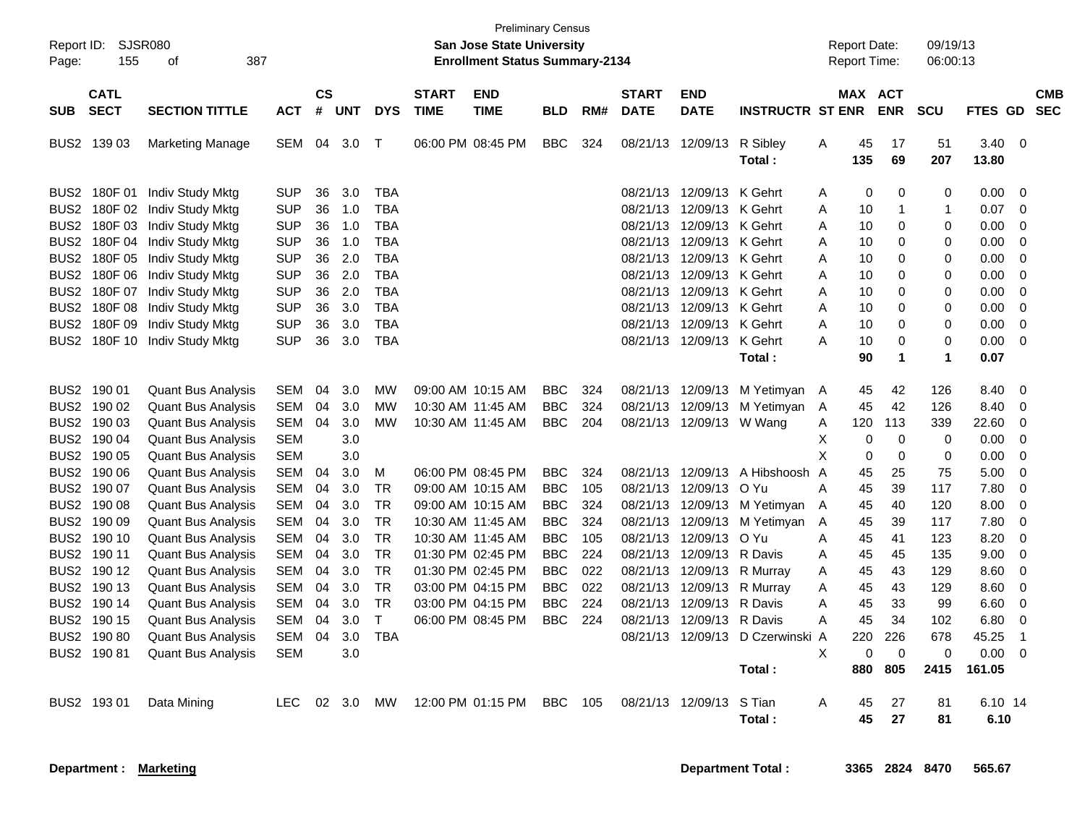| Report ID:<br>Page: | <b>SJSR080</b><br>155      | 387<br>οf                 |            |                    |            |            | <b>Preliminary Census</b><br><b>San Jose State University</b><br><b>Enrollment Status Summary-2134</b> |                           |            |     |                             |                           |                              | <b>Report Date:</b><br><b>Report Time:</b> |           | 09/19/13<br>06:00:13 |              |                |                |                          |
|---------------------|----------------------------|---------------------------|------------|--------------------|------------|------------|--------------------------------------------------------------------------------------------------------|---------------------------|------------|-----|-----------------------------|---------------------------|------------------------------|--------------------------------------------|-----------|----------------------|--------------|----------------|----------------|--------------------------|
| <b>SUB</b>          | <b>CATL</b><br><b>SECT</b> | <b>SECTION TITTLE</b>     | <b>ACT</b> | $\mathsf{cs}$<br># | <b>UNT</b> | <b>DYS</b> | <b>START</b><br><b>TIME</b>                                                                            | <b>END</b><br><b>TIME</b> | <b>BLD</b> | RM# | <b>START</b><br><b>DATE</b> | <b>END</b><br><b>DATE</b> | <b>INSTRUCTR ST ENR</b>      |                                            | MAX ACT   | <b>ENR</b>           | <b>SCU</b>   | <b>FTES GD</b> |                | <b>CMB</b><br><b>SEC</b> |
| BUS2                | 139 03                     | <b>Marketing Manage</b>   | <b>SEM</b> | 04                 | 3.0        | Т          |                                                                                                        | 06:00 PM 08:45 PM         | <b>BBC</b> | 324 | 08/21/13                    | 12/09/13                  | R Sibley<br>Total:           | Α                                          | 45<br>135 | 17<br>69             | 51<br>207    | 3.40<br>13.80  | $\Omega$       |                          |
| BUS2                | 180F 01                    | Indiv Study Mktg          | <b>SUP</b> | 36                 | 3.0        | <b>TBA</b> |                                                                                                        |                           |            |     |                             | 08/21/13 12/09/13 K Gehrt |                              | A                                          | 0         | $\mathbf 0$          | 0            | 0.00           | 0              |                          |
| BUS2                | 180F 02                    | Indiv Study Mktg          | <b>SUP</b> | 36                 | 1.0        | <b>TBA</b> |                                                                                                        |                           |            |     | 08/21/13                    | 12/09/13 K Gehrt          |                              | Α                                          | 10        | -1                   | $\mathbf{1}$ | 0.07           | $\Omega$       |                          |
| BUS <sub>2</sub>    | 180F03                     | Indiv Study Mktg          | <b>SUP</b> | 36                 | 1.0        | <b>TBA</b> |                                                                                                        |                           |            |     | 08/21/13                    | 12/09/13 K Gehrt          |                              | A                                          | 10        | 0                    | $\mathbf 0$  | 0.00           | $\overline{0}$ |                          |
| BUS <sub>2</sub>    | 180F 04                    | Indiv Study Mktg          | <b>SUP</b> | 36                 | 1.0        | <b>TBA</b> |                                                                                                        |                           |            |     | 08/21/13                    | 12/09/13 K Gehrt          |                              | Α                                          | 10        | $\Omega$             | $\Omega$     | 0.00           | $\Omega$       |                          |
|                     | BUS2 180F 05               | Indiv Study Mktg          | <b>SUP</b> | 36                 | 2.0        | <b>TBA</b> |                                                                                                        |                           |            |     | 08/21/13                    | 12/09/13 K Gehrt          |                              | A                                          | 10        | 0                    | $\mathbf 0$  | 0.00           | 0              |                          |
| BUS2                | 180F 06                    | Indiv Study Mktg          | <b>SUP</b> | 36                 | 2.0        | <b>TBA</b> |                                                                                                        |                           |            |     | 08/21/13                    | 12/09/13 K Gehrt          |                              | A                                          | 10        | 0                    | $\mathbf 0$  | 0.00           | $\Omega$       |                          |
| BUS <sub>2</sub>    | 180F 07                    | Indiv Study Mktg          | <b>SUP</b> | 36                 | 2.0        | <b>TBA</b> |                                                                                                        |                           |            |     | 08/21/13                    | 12/09/13 K Gehrt          |                              | A                                          | 10        | 0                    | 0            | 0.00           | $\mathbf 0$    |                          |
| BUS <sub>2</sub>    | 180F 08                    | <b>Indiv Study Mktg</b>   | <b>SUP</b> | 36                 | 3.0        | <b>TBA</b> |                                                                                                        |                           |            |     | 08/21/13                    | 12/09/13 K Gehrt          |                              | A                                          | 10        | $\Omega$             | $\Omega$     | 0.00           | $\mathbf 0$    |                          |
|                     | BUS2 180F 09               | Indiv Study Mktg          | <b>SUP</b> | 36                 | 3.0        | <b>TBA</b> |                                                                                                        |                           |            |     |                             | 08/21/13 12/09/13 K Gehrt |                              | A                                          | 10        | $\Omega$             | $\mathbf 0$  | 0.00           | $\mathbf 0$    |                          |
|                     | BUS2 180F 10               | Indiv Study Mktg          | <b>SUP</b> | 36                 | 3.0        | <b>TBA</b> |                                                                                                        |                           |            |     |                             | 08/21/13 12/09/13 K Gehrt |                              | A                                          | 10        | 0                    | $\mathbf 0$  | 0.00           | $\mathbf 0$    |                          |
|                     |                            |                           |            |                    |            |            |                                                                                                        |                           |            |     |                             |                           | Total:                       |                                            | 90        | $\blacktriangleleft$ | $\mathbf{1}$ | 0.07           |                |                          |
|                     | BUS2 190 01                | <b>Quant Bus Analysis</b> | SEM        | 04                 | 3.0        | <b>MW</b>  |                                                                                                        | 09:00 AM 10:15 AM         | <b>BBC</b> | 324 |                             |                           | 08/21/13 12/09/13 M Yetimyan | A                                          | 45        | 42                   | 126          | 8.40           | $\mathbf 0$    |                          |
|                     | BUS2 190 02                | <b>Quant Bus Analysis</b> | <b>SEM</b> | 04                 | 3.0        | <b>MW</b>  |                                                                                                        | 10:30 AM 11:45 AM         | <b>BBC</b> | 324 | 08/21/13                    |                           | 12/09/13 M Yetimyan          | A                                          | 45        | 42                   | 126          | 8.40           | 0              |                          |
|                     | BUS2 190 03                | <b>Quant Bus Analysis</b> | SEM        | 04                 | 3.0        | <b>MW</b>  |                                                                                                        | 10:30 AM 11:45 AM         | <b>BBC</b> | 204 |                             | 08/21/13 12/09/13 W Wang  |                              | Α                                          | 120       | 113                  | 339          | 22.60          | $\mathbf 0$    |                          |
|                     | BUS2 190 04                | <b>Quant Bus Analysis</b> | <b>SEM</b> |                    | 3.0        |            |                                                                                                        |                           |            |     |                             |                           |                              | X                                          | $\Omega$  | 0                    | $\mathbf 0$  | 0.00           | $\mathbf 0$    |                          |
|                     | BUS2 190 05                | <b>Quant Bus Analysis</b> | <b>SEM</b> |                    | 3.0        |            |                                                                                                        |                           |            |     |                             |                           |                              | X                                          | 0         | $\Omega$             | $\mathbf 0$  | 0.00           | $\Omega$       |                          |
|                     | BUS2 190 06                | <b>Quant Bus Analysis</b> | <b>SEM</b> | 04                 | 3.0        | M          |                                                                                                        | 06:00 PM 08:45 PM         | <b>BBC</b> | 324 | 08/21/13                    | 12/09/13                  | A Hibshoosh A                |                                            | 45        | 25                   | 75           | 5.00           | $\mathbf 0$    |                          |
|                     | BUS2 190 07                | <b>Quant Bus Analysis</b> | <b>SEM</b> | 04                 | 3.0        | <b>TR</b>  |                                                                                                        | 09:00 AM 10:15 AM         | <b>BBC</b> | 105 | 08/21/13                    | 12/09/13                  | O Yu                         | A                                          | 45        | 39                   | 117          | 7.80           | $\Omega$       |                          |
|                     | BUS2 190 08                | <b>Quant Bus Analysis</b> | <b>SEM</b> | 04                 | 3.0        | <b>TR</b>  |                                                                                                        | 09:00 AM_10:15 AM         | <b>BBC</b> | 324 |                             |                           | 08/21/13 12/09/13 M Yetimyan | A                                          | 45        | 40                   | 120          | 8.00           | $\Omega$       |                          |
|                     | BUS2 190 09                | <b>Quant Bus Analysis</b> | <b>SEM</b> | 04                 | 3.0        | <b>TR</b>  |                                                                                                        | 10:30 AM 11:45 AM         | <b>BBC</b> | 324 | 08/21/13                    | 12/09/13                  | M Yetimyan                   | A                                          | 45        | 39                   | 117          | 7.80           | $\Omega$       |                          |
|                     | BUS2 190 10                | <b>Quant Bus Analysis</b> | <b>SEM</b> | 04                 | 3.0        | <b>TR</b>  |                                                                                                        | 10:30 AM 11:45 AM         | <b>BBC</b> | 105 | 08/21/13                    | 12/09/13                  | O Yu                         | A                                          | 45        | 41                   | 123          | 8.20           | $\overline{0}$ |                          |
|                     | BUS2 190 11                | <b>Quant Bus Analysis</b> | <b>SEM</b> | 04                 | 3.0        | <b>TR</b>  |                                                                                                        | 01:30 PM 02:45 PM         | <b>BBC</b> | 224 | 08/21/13                    | 12/09/13                  | R Davis                      | A                                          | 45        | 45                   | 135          | 9.00           | 0              |                          |
|                     | BUS2 190 12                | <b>Quant Bus Analysis</b> | <b>SEM</b> | 04                 | 3.0        | TR         |                                                                                                        | 01:30 PM 02:45 PM         | <b>BBC</b> | 022 |                             | 08/21/13 12/09/13         | R Murray                     | A                                          | 45        | 43                   | 129          | 8.60           | $\mathbf 0$    |                          |
|                     | BUS2 190 13                | <b>Quant Bus Analysis</b> | <b>SEM</b> | 04                 | 3.0        | TR         |                                                                                                        | 03:00 PM 04:15 PM         | <b>BBC</b> | 022 | 08/21/13                    | 12/09/13                  | R Murray                     | A                                          | 45        | 43                   | 129          | 8.60           | $\mathbf 0$    |                          |
|                     | BUS2 190 14                | <b>Quant Bus Analysis</b> | <b>SEM</b> | 04                 | 3.0        | <b>TR</b>  |                                                                                                        | 03:00 PM 04:15 PM         | <b>BBC</b> | 224 | 08/21/13                    | 12/09/13                  | R Davis                      | A                                          | 45        | 33                   | 99           | 6.60           | $\mathbf 0$    |                          |
|                     | BUS2 190 15                | <b>Quant Bus Analysis</b> | <b>SEM</b> | 04                 | 3.0        | T          |                                                                                                        | 06:00 PM 08:45 PM         | <b>BBC</b> | 224 | 08/21/13                    | 12/09/13                  | R Davis                      | A                                          | 45        | 34                   | 102          | 6.80           | $\Omega$       |                          |
| BUS2                | 190 80                     | <b>Quant Bus Analysis</b> | <b>SEM</b> | 04                 | 3.0        | <b>TBA</b> |                                                                                                        |                           |            |     | 08/21/13                    | 12/09/13                  | D Czerwinski A               |                                            | 220       | 226                  | 678          | 45.25          | $\mathbf{1}$   |                          |
|                     | BUS2 19081                 | <b>Quant Bus Analysis</b> | <b>SEM</b> |                    | 3.0        |            |                                                                                                        |                           |            |     |                             |                           |                              | X                                          | $\Omega$  | $\Omega$             | $\Omega$     | 0.00           | $\Omega$       |                          |
|                     |                            |                           |            |                    |            |            |                                                                                                        |                           |            |     |                             |                           | Total:                       |                                            | 880       | 805                  | 2415         | 161.05         |                |                          |
|                     | BUS2 193 01                | Data Mining               | LEC        | 02                 | 3.0        | MW         |                                                                                                        | 12:00 PM 01:15 PM         | <b>BBC</b> | 105 |                             | 08/21/13 12/09/13         | S Tian                       | A                                          | 45        | 27                   | 81           | 6.10 14        |                |                          |
|                     |                            |                           |            |                    |            |            |                                                                                                        |                           |            |     |                             |                           | Total:                       |                                            | 45        | 27                   | 81           | 6.10           |                |                          |
|                     |                            |                           |            |                    |            |            |                                                                                                        |                           |            |     |                             |                           |                              |                                            |           |                      |              |                |                |                          |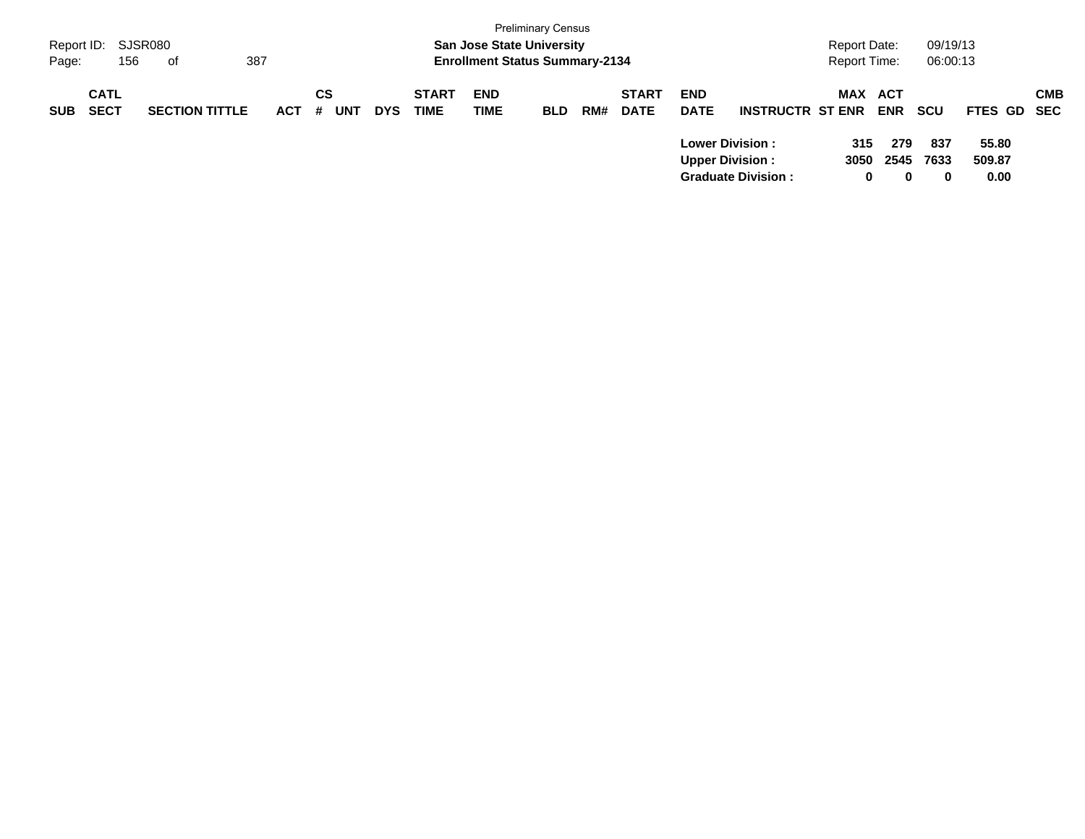|            | <b>Preliminary Census</b><br>SJSR080<br><b>San Jose State University</b><br>Report ID:<br>387<br><b>Enrollment Status Summary-2134</b><br>156<br>Page:<br>of |                       |            |                       |            |                             |                           |            |     |                             |                           |                                                     |                  | Report Date:<br><b>Report Time:</b> | 09/19/13<br>06:00:13    |                         |            |
|------------|--------------------------------------------------------------------------------------------------------------------------------------------------------------|-----------------------|------------|-----------------------|------------|-----------------------------|---------------------------|------------|-----|-----------------------------|---------------------------|-----------------------------------------------------|------------------|-------------------------------------|-------------------------|-------------------------|------------|
| <b>SUB</b> | <b>CATL</b><br><b>SECT</b>                                                                                                                                   | <b>SECTION TITTLE</b> | <b>ACT</b> | CS<br><b>UNT</b><br># | <b>DYS</b> | <b>START</b><br><b>TIME</b> | <b>END</b><br><b>TIME</b> | <b>BLD</b> | RM# | <b>START</b><br><b>DATE</b> | <b>END</b><br><b>DATE</b> | <b>INSTRUCTR ST ENR</b>                             | MAX              | ACT<br><b>ENR</b>                   | <b>SCU</b>              | FTES GD SEC             | <b>CMB</b> |
|            |                                                                                                                                                              |                       |            |                       |            |                             |                           |            |     |                             | <b>Upper Division:</b>    | <b>Lower Division:</b><br><b>Graduate Division:</b> | 315<br>3050<br>0 | 279<br>2545<br>0                    | 837<br>7633<br>$\bf{0}$ | 55.80<br>509.87<br>0.00 |            |